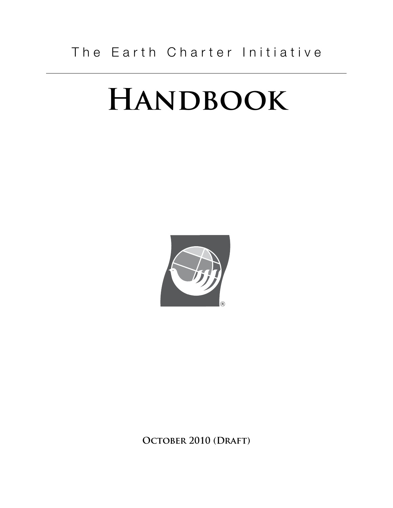# **Handbook**



**October 2010 (Draft)**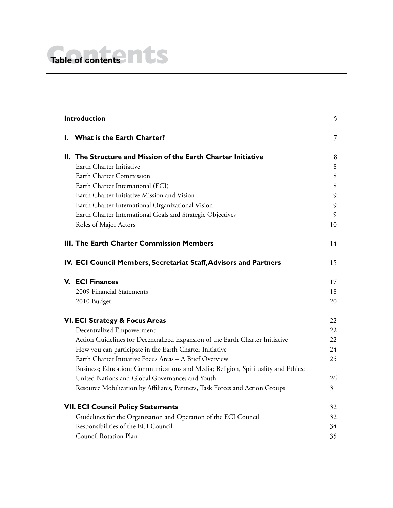

# **Introduction** 5 **I. What is the Earth Charter?** 7 **II. The Structure and Mission of the Earth Charter Initiative** 8 Earth Charter Initiative 8 Earth Charter Commission 8 Earth Charter International (ECI) 8 Earth Charter Initiative Mission and Vision 9 Earth Charter International Organizational Vision 9 Earth Charter International Goals and Strategic Objectives 9 Roles of Major Actors 10 **III. The Earth Charter Commission Members** 14 **IV. ECI Council Members, Secretariat Staff, Advisors and Partners** 15 **V. ECI Finances** 17 2009 Financial Statements 18 2010 Budget 20 **VI. ECI Strategy & Focus Areas** 22 Decentralized Empowerment 22 Action Guidelines for Decentralized Expansion of the Earth Charter Initiative 22 How you can participate in the Earth Charter Initiative 24 Earth Charter Initiative Focus Areas – A Brief Overview 25 Business; Education; Communications and Media; Religion, Spirituality and Ethics; United Nations and Global Governance; and Youth 26 Resource Mobilization by Affiliates, Partners, Task Forces and Action Groups 31 **VII. ECI Council Policy Statements** 32 Guidelines for the Organization and Operation of the ECI Council 32 Responsibilities of the ECI Council 34 Council Rotation Plan 35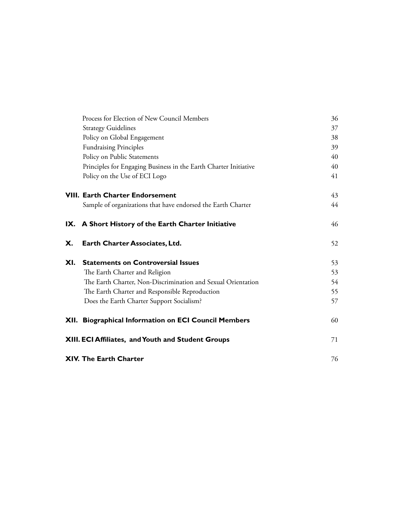|     | Process for Election of New Council Members                      | 36 |
|-----|------------------------------------------------------------------|----|
|     | <b>Strategy Guidelines</b>                                       | 37 |
|     | Policy on Global Engagement                                      | 38 |
|     | <b>Fundraising Principles</b>                                    | 39 |
|     | Policy on Public Statements                                      | 40 |
|     | Principles for Engaging Business in the Earth Charter Initiative | 40 |
|     | Policy on the Use of ECI Logo                                    | 41 |
|     | <b>VIII. Earth Charter Endorsement</b>                           | 43 |
|     | Sample of organizations that have endorsed the Earth Charter     | 44 |
|     | IX. A Short History of the Earth Charter Initiative              | 46 |
| Х.  | Earth Charter Associates, Ltd.                                   | 52 |
| XI. | <b>Statements on Controversial Issues</b>                        | 53 |
|     | The Earth Charter and Religion                                   | 53 |
|     | The Earth Charter, Non-Discrimination and Sexual Orientation     | 54 |
|     | The Earth Charter and Responsible Reproduction                   | 55 |
|     | Does the Earth Charter Support Socialism?                        | 57 |
|     | XII. Biographical Information on ECI Council Members             | 60 |
|     | XIII. ECI Affiliates, and Youth and Student Groups               | 71 |
|     | <b>XIV. The Earth Charter</b>                                    | 76 |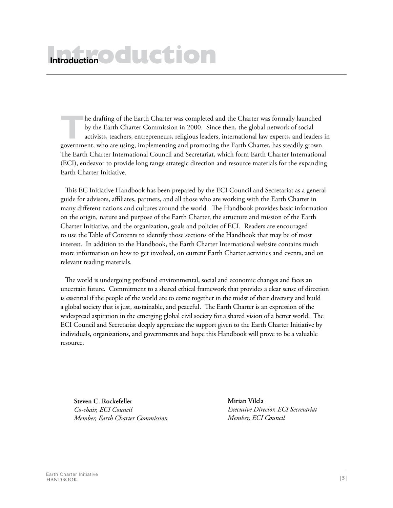he drafting of the Earth Charter was completed and the Charter was formally launched<br>by the Earth Charter Commission in 2000. Since then, the global network of social<br>activists, teachers, entrepreneurs, religious leaders, by the Earth Charter Commission in 2000. Since then, the global network of social government, who are using, implementing and promoting the Earth Charter, has steadily grown. The Earth Charter International Council and Secretariat, which form Earth Charter International (ECI), endeavor to provide long range strategic direction and resource materials for the expanding Earth Charter Initiative.

This EC Initiative Handbook has been prepared by the ECI Council and Secretariat as a general guide for advisors, affiliates, partners, and all those who are working with the Earth Charter in many different nations and cultures around the world. The Handbook provides basic information on the origin, nature and purpose of the Earth Charter, the structure and mission of the Earth Charter Initiative, and the organization, goals and policies of ECI. Readers are encouraged to use the Table of Contents to identify those sections of the Handbook that may be of most interest. In addition to the Handbook, the Earth Charter International website contains much more information on how to get involved, on current Earth Charter activities and events, and on relevant reading materials.

The world is undergoing profound environmental, social and economic changes and faces an uncertain future. Commitment to a shared ethical framework that provides a clear sense of direction is essential if the people of the world are to come together in the midst of their diversity and build a global society that is just, sustainable, and peaceful. The Earth Charter is an expression of the widespread aspiration in the emerging global civil society for a shared vision of a better world. The ECI Council and Secretariat deeply appreciate the support given to the Earth Charter Initiative by individuals, organizations, and governments and hope this Handbook will prove to be a valuable resource.

**Steven C. Rockefeller** *Co-chair, ECI Council Member, Earth Charter Commission* **Mirian Vilela** *Executive Director, ECI Secretariat Member, ECI Council*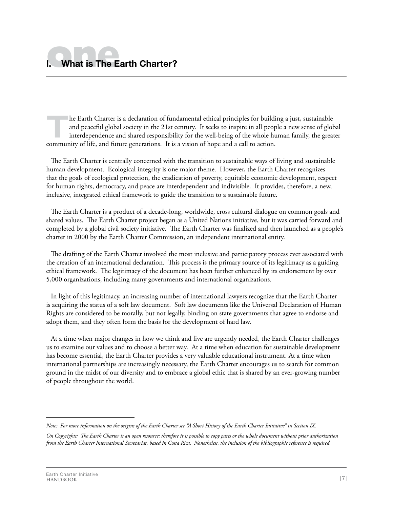he Earth Charter is a declaration of fundamental ethical principles for building a just, sustainable<br>and peaceful global society in the 21st century. It seeks to inspire in all people a new sense of glob<br>interdependence an and peaceful global society in the 21st century. It seeks to inspire in all people a new sense of global interdependence and shared responsibility for the well-being of the whole human family, the greater community of life, and future generations. It is a vision of hope and a call to action.

The Earth Charter is centrally concerned with the transition to sustainable ways of living and sustainable human development. Ecological integrity is one major theme. However, the Earth Charter recognizes that the goals of ecological protection, the eradication of poverty, equitable economic development, respect for human rights, democracy, and peace are interdependent and indivisible. It provides, therefore, a new, inclusive, integrated ethical framework to guide the transition to a sustainable future.

The Earth Charter is a product of a decade-long, worldwide, cross cultural dialogue on common goals and shared values. The Earth Charter project began as a United Nations initiative, but it was carried forward and completed by a global civil society initiative. The Earth Charter was finalized and then launched as a people's charter in 2000 by the Earth Charter Commission, an independent international entity.

The drafting of the Earth Charter involved the most inclusive and participatory process ever associated with the creation of an international declaration. This process is the primary source of its legitimacy as a guiding ethical framework. The legitimacy of the document has been further enhanced by its endorsement by over 5,000 organizations, including many governments and international organizations.

In light of this legitimacy, an increasing number of international lawyers recognize that the Earth Charter is acquiring the status of a soft law document. Soft law documents like the Universal Declaration of Human Rights are considered to be morally, but not legally, binding on state governments that agree to endorse and adopt them, and they often form the basis for the development of hard law.

At a time when major changes in how we think and live are urgently needed, the Earth Charter challenges us to examine our values and to choose a better way. At a time when education for sustainable development has become essential, the Earth Charter provides a very valuable educational instrument. At a time when international partnerships are increasingly necessary, the Earth Charter encourages us to search for common ground in the midst of our diversity and to embrace a global ethic that is shared by an ever-growing number of people throughout the world.

*Note: For more information on the origins of the Earth Charter see "A Short History of the Earth Charter Initiative" in Section IX.*

*On Copyrights: The Earth Charter is an open resource; therefore it is possible to copy parts or the whole document without prior authorization from the Earth Charter International Secretariat, based in Costa Rica. Nonetheless, the inclusion of the bibliographic reference is required.*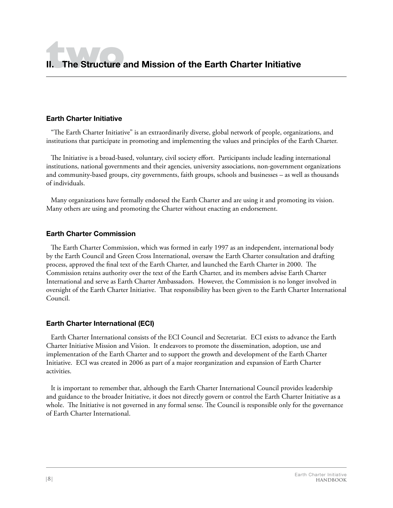#### **Earth Charter Initiative**

"The Earth Charter Initiative" is an extraordinarily diverse, global network of people, organizations, and institutions that participate in promoting and implementing the values and principles of the Earth Charter.

The Initiative is a broad-based, voluntary, civil society effort. Participants include leading international institutions, national governments and their agencies, university associations, non-government organizations and community-based groups, city governments, faith groups, schools and businesses – as well as thousands of individuals.

Many organizations have formally endorsed the Earth Charter and are using it and promoting its vision. Many others are using and promoting the Charter without enacting an endorsement.

#### **Earth Charter Commission**

The Earth Charter Commission, which was formed in early 1997 as an independent, international body by the Earth Council and Green Cross International, oversaw the Earth Charter consultation and drafting process, approved the final text of the Earth Charter, and launched the Earth Charter in 2000. The Commission retains authority over the text of the Earth Charter, and its members advise Earth Charter International and serve as Earth Charter Ambassadors. However, the Commission is no longer involved in oversight of the Earth Charter Initiative. That responsibility has been given to the Earth Charter International Council.

#### **Earth Charter International (ECI)**

Earth Charter International consists of the ECI Council and Secretariat. ECI exists to advance the Earth Charter Initiative Mission and Vision. It endeavors to promote the dissemination, adoption, use and implementation of the Earth Charter and to support the growth and development of the Earth Charter Initiative. ECI was created in 2006 as part of a major reorganization and expansion of Earth Charter activities.

It is important to remember that, although the Earth Charter International Council provides leadership and guidance to the broader Initiative, it does not directly govern or control the Earth Charter Initiative as a whole. The Initiative is not governed in any formal sense. The Council is responsible only for the governance of Earth Charter International.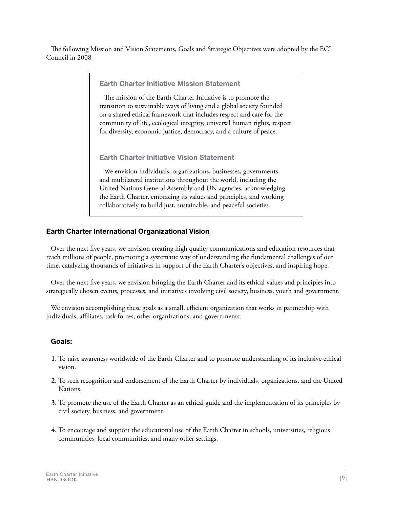The following Mission and Vision Statements, Goals and Strategic Objectives were adopted by the ECI Council in 2008

**Earth Charter Initiative Mission Statement** 

The mission of the Earth Charter Initiative is to promote the transition to sustainable ways of living and a global society founded on a shared ethical framework that includes respect and care for the community of life, ecological integrity, universal human rights, respect for diversity, economic justice, democracy, and a culture of peace.

**Earth Charter Initiative Vision Statement** 

We envision individuals, organizations, businesses, governments, and multilateral institutions throughout the world, including the United Nations General Assembly and UN agencies, acknowledging the Earth Charter, embracing its values and principles, and working collaboratively to build just, sustainable, and peaceful societies.

# **Earth Charter International Organizational Vision**

Over the next five years, we envision creating high quality communications and education resources that reach millions of people, promoting a systematic way of understanding the fundamental challenges of our time, catalyzing thousands of initiatives in support of the Earth Charter's objectives, and inspiring hope.

Over the next five years, we envision bringing the Earth Charter and its ethical values and principles into strategically chosen events, processes, and initiatives involving civil society, business, youth and government.

We envision accomplishing these goals as a small, efficient organization that works in partnership with individuals, affiliates, task forces, other organizations, and governments.

# **Goals:**

- **1.** To raise awareness worldwide of the Earth Charter and to promote understanding of its inclusive ethical vision.
- **2.** To seek recognition and endorsement of the Earth Charter by individuals, organizations, and the United Nations.
- **3.** To promote the use of the Earth Charter as an ethical guide and the implementation of its principles by civil society, business, and government.
- **4.** To encourage and support the educational use of the Earth Charter in schools, universities, religious communities, local communities, and many other settings.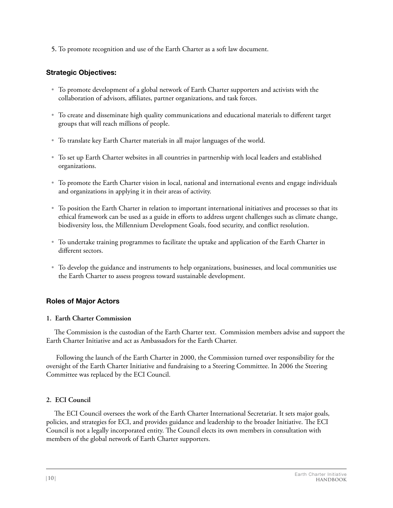**5.** To promote recognition and use of the Earth Charter as a soft law document.

# **Strategic Objectives:**

- To promote development of a global network of Earth Charter supporters and activists with the collaboration of advisors, affiliates, partner organizations, and task forces.
- To create and disseminate high quality communications and educational materials to different target groups that will reach millions of people.
- To translate key Earth Charter materials in all major languages of the world.
- To set up Earth Charter websites in all countries in partnership with local leaders and established organizations.
- To promote the Earth Charter vision in local, national and international events and engage individuals and organizations in applying it in their areas of activity.
- To position the Earth Charter in relation to important international initiatives and processes so that its ethical framework can be used as a guide in efforts to address urgent challenges such as climate change, biodiversity loss, the Millennium Development Goals, food security, and conflict resolution.
- To undertake training programmes to facilitate the uptake and application of the Earth Charter in different sectors.
- To develop the guidance and instruments to help organizations, businesses, and local communities use the Earth Charter to assess progress toward sustainable development.

# **Roles of Major Actors**

#### **1. Earth Charter Commission**

 The Commission is the custodian of the Earth Charter text. Commission members advise and support the Earth Charter Initiative and act as Ambassadors for the Earth Charter.

 Following the launch of the Earth Charter in 2000, the Commission turned over responsibility for the oversight of the Earth Charter Initiative and fundraising to a Steering Committee. In 2006 the Steering Committee was replaced by the ECI Council.

#### **2. ECI Council**

 The ECI Council oversees the work of the Earth Charter International Secretariat. It sets major goals, policies, and strategies for ECI, and provides guidance and leadership to the broader Initiative. The ECI Council is not a legally incorporated entity. The Council elects its own members in consultation with members of the global network of Earth Charter supporters.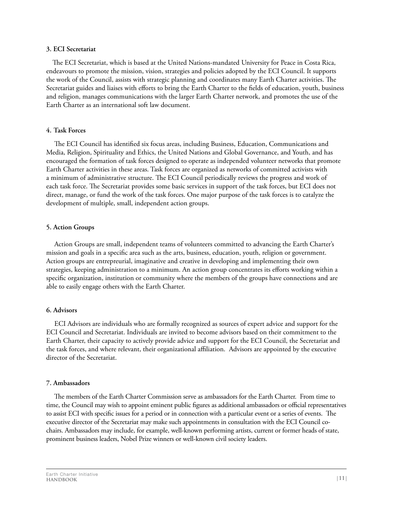#### **3. ECI Secretariat**

 The ECI Secretariat, which is based at the United Nations-mandated University for Peace in Costa Rica, endeavours to promote the mission, vision, strategies and policies adopted by the ECI Council. It supports the work of the Council, assists with strategic planning and coordinates many Earth Charter activities. The Secretariat guides and liaises with efforts to bring the Earth Charter to the fields of education, youth, business and religion, manages communications with the larger Earth Charter network, and promotes the use of the Earth Charter as an international soft law document.

#### **4. Task Forces**

 The ECI Council has identified six focus areas, including Business, Education, Communications and Media, Religion, Spirituality and Ethics, the United Nations and Global Governance, and Youth, and has encouraged the formation of task forces designed to operate as independed volunteer networks that promote Earth Charter activities in these areas. Task forces are organized as networks of committed activists with a minimum of administrative structure. The ECI Council periodically reviews the progress and work of each task force. The Secretariat provides some basic services in support of the task forces, but ECI does not direct, manage, or fund the work of the task forces. One major purpose of the task forces is to catalyze the development of multiple, small, independent action groups.

#### **5. Action Groups**

 Action Groups are small, independent teams of volunteers committed to advancing the Earth Charter's mission and goals in a specific area such as the arts, business, education, youth, religion or government. Action groups are entrepreurial, imaginative and creative in developing and implementing their own strategies, keeping administration to a minimum. An action group concentrates its efforts working within a specific organization, institution or community where the members of the groups have connections and are able to easily engage others with the Earth Charter.

#### **6. Advisors**

 ECI Advisors are individuals who are formally recognized as sources of expert advice and support for the ECI Council and Secretariat. Individuals are invited to become advisors based on their commitment to the Earth Charter, their capacity to actively provide advice and support for the ECI Council, the Secretariat and the task forces, and where relevant, their organizational affiliation. Advisors are appointed by the executive director of the Secretariat.

#### **7. Ambassadors**

 The members of the Earth Charter Commission serve as ambassadors for the Earth Charter. From time to time, the Council may wish to appoint eminent public figures as additional ambassadors or official representatives to assist ECI with specific issues for a period or in connection with a particular event or a series of events. The executive director of the Secretariat may make such appointments in consultation with the ECI Council cochairs. Ambassadors may include, for example, well-known performing artists, current or former heads of state, prominent business leaders, Nobel Prize winners or well-known civil society leaders.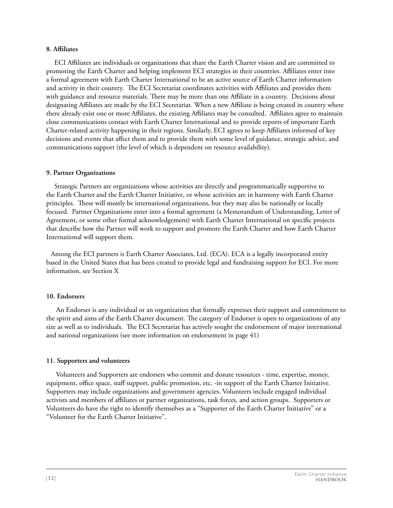#### **8. Affiliates**

 ECI Affiliates are individuals or organizations that share the Earth Charter vision and are committed to promoting the Earth Charter and helping implement ECI strategies in their countries. Affiliates enter into a formal agreement with Earth Charter International to be an active source of Earth Charter information and activity in their country. The ECI Secretariat coordinates activities with Affiliates and provides them with guidance and resource materials. There may be more than one Affiliate in a country. Decisions about designating Affiliates are made by the ECI Secretariat. When a new Affiliate is being created in country where there already exist one or more Affiliates, the existing Affiliates may be consulted. Affiliates agree to maintain close communications contact with Earth Charter International and to provide reports of important Earth Charter-related activity happening in their regions. Similarly, ECI agrees to keep Affiliates informed of key decisions and events that affect them and to provide them with some level of guidance, strategic advice, and communications support (the level of which is dependent on resource availability).

#### **9. Partner Organizations**

 Strategic Partners are organizations whose activities are directly and programmatically supportive to the Earth Charter and the Earth Charter Initiative, or whose activities are in harmony with Earth Charter principles. These will mostly be international organizations, but they may also be nationally or locally focused. Partner Organizations enter into a formal agreement (a Memorandum of Understanding, Letter of Agreement, or some other formal acknowledgement) with Earth Charter International on specific projects that describe how the Partner will work to support and promote the Earth Charter and how Earth Charter International will support them.

Among the ECI partners is Earth Charter Associates, Ltd. (ECA). ECA is a legally incorporated entity based in the United States that has been created to provide legal and fundraising support for ECI. For more information, see Section X

#### **10. Endorsers**

 An Endorser is any individual or an organization that formally expresses their support and commitment to the spirit and aims of the Earth Charter document. The category of Endorser is open to organizations of any size as well as to individuals. The ECI Secretariat has actively sought the endorsement of major international and national organizations (see more information on endorsement in page 41)

#### **11. Supporters and volunteers**

 Volunteers and Supporters are endorsers who commit and donate resources - time, expertise, money, equipment, office space, staff support, public promotion, etc. -in support of the Earth Charter Initiative. Supporters may include organizations and government agencies. Volunteers include engaged individual activists and members of affiliates or partner organizations, task forces, and action groups. Supporters or Volunteers do have the right to identify themselves as a "Supporter of the Earth Charter Initiative" or a "Volunteer for the Earth Charter Initiative".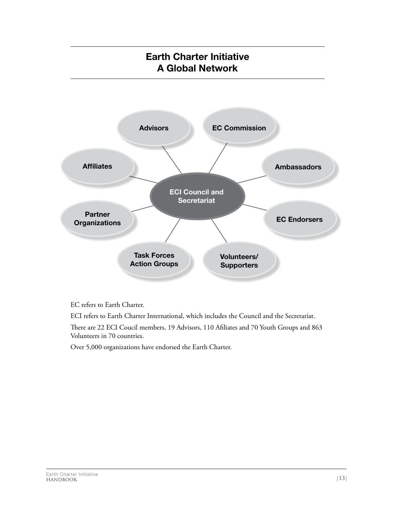

EC refers to Earth Charter.

ECI refers to Earth Charter International, which includes the Council and the Secretariat.

There are 22 ECI Coucil members, 19 Advisors, 110 Afiliates and 70 Youth Groups and 863 Volunteers in 70 countries.

Over 5,000 organizations have endorsed the Earth Charter.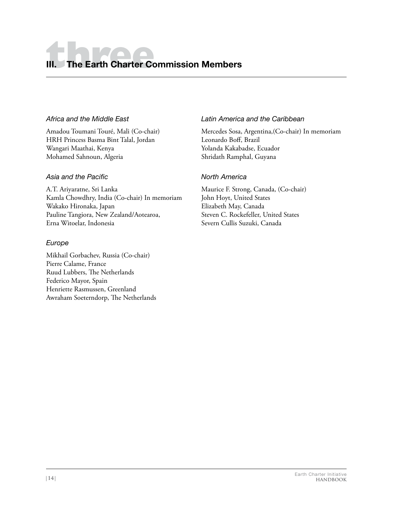#### *Africa and the Middle East*

Amadou Toumani Touré, Mali (Co-chair) HRH Princess Basma Bint Talal, Jordan Wangari Maathai, Kenya Mohamed Sahnoun, Algeria

#### *Asia and the Pacific*

A.T. Ariyaratne, Sri Lanka Kamla Chowdhry, India (Co-chair) In memoriam Wakako Hironaka, Japan Pauline Tangiora, New Zealand/Aotearoa, Erna Witoelar, Indonesia

# *Europe*

Mikhail Gorbachev, Russia (Co-chair) Pierre Calame, France Ruud Lubbers, The Netherlands Federico Mayor, Spain Henriette Rasmussen, Greenland Awraham Soeterndorp, The Netherlands

# *Latin America and the Caribbean*

Mercedes Sosa, Argentina,(Co-chair) In memoriam Leonardo Boff, Brazil Yolanda Kakabadse, Ecuador Shridath Ramphal, Guyana

# *North America*

Maurice F. Strong, Canada, (Co-chair) John Hoyt, United States Elizabeth May, Canada Steven C. Rockefeller, United States Severn Cullis Suzuki, Canada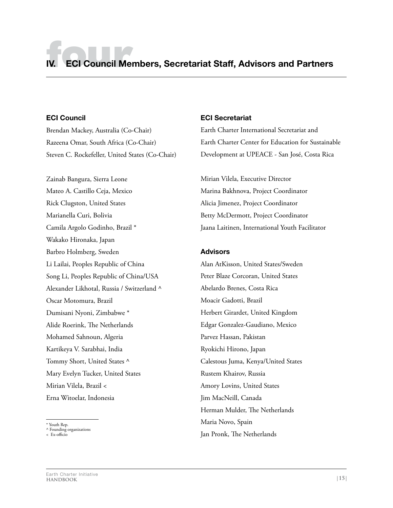#### **ECI Council**

Brendan Mackey, Australia (Co-Chair) Razeena Omar, South Africa (Co-Chair) Steven C. Rockefeller, United States (Co-Chair)

Zainab Bangura, Sierra Leone Mateo A. Castillo Ceja, Mexico Rick Clugston, United States Marianella Curi, Bolivia Camila Argolo Godinho, Brazil \* Wakako Hironaka, Japan Barbro Holmberg, Sweden Li Lailai, Peoples Republic of China Song Li, Peoples Republic of China/USA Alexander Likhotal, Russia / Switzerland ^ Oscar Motomura, Brazil Dumisani Nyoni, Zimbabwe \* Alide Roerink, The Netherlands Mohamed Sahnoun, Algeria Kartikeya V. Sarabhai, India Tommy Short, United States ^ Mary Evelyn Tucker, United States Mirian Vilela, Brazil < Erna Witoelar, Indonesia

\* Youth Rep.

^ Founding organizations

< Ex-officio

#### **ECI Secretariat**

Earth Charter International Secretariat and Earth Charter Center for Education for Sustainable Development at UPEACE - San José, Costa Rica

Mirian Vilela, Executive Director Marina Bakhnova, Project Coordinator Alicia Jimenez, Project Coordinator Betty McDermott, Project Coordinator Jaana Laitinen, International Youth Facilitator

#### **Advisors**

Alan AtKisson, United States/Sweden Peter Blaze Corcoran, United States Abelardo Brenes, Costa Rica Moacir Gadotti, Brazil Herbert Girardet, United Kingdom Edgar Gonzalez-Gaudiano, Mexico Parvez Hassan, Pakistan Ryokichi Hirono, Japan Calestous Juma, Kenya/United States Rustem Khairov, Russia Amory Lovins, United States Jim MacNeill, Canada Herman Mulder, The Netherlands Maria Novo, Spain Jan Pronk, The Netherlands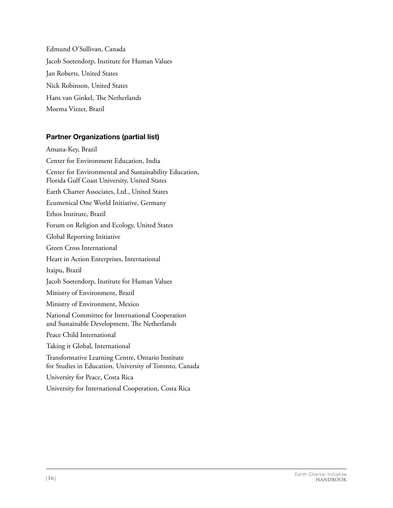Edmund O'Sullivan, Canada Jacob Soetendorp, Institute for Human Values Jan Roberts, United States Nick Robinson, United States Hans van Ginkel, The Netherlands Moema Vizzer, Brazil

#### **Partner Organizations (partial list)**

Amana-Key, Brazil Center for Environment Education, India Center for Environmental and Sustainability Education, Florida Gulf Coast University, United States Earth Charter Associates, Ltd., United States Ecumenical One World Initiative, Germany Ethos Institute, Brazil Forum on Religion and Ecology, United States Global Reporting Initiative Green Cross International Heart in Action Enterprises, International Itaipu, Brazil Jacob Soetendorp, Institute for Human Values Ministry of Environment, Brazil Ministry of Environment, Mexico National Committee for International Cooperation and Sustainable Development, The Netherlands Peace Child International Taking it Global, International Transformative Learning Centre, Ontario Institute for Studies in Education, University of Toronto, Canada University for Peace, Costa Rica

University for International Cooperation, Costa Rica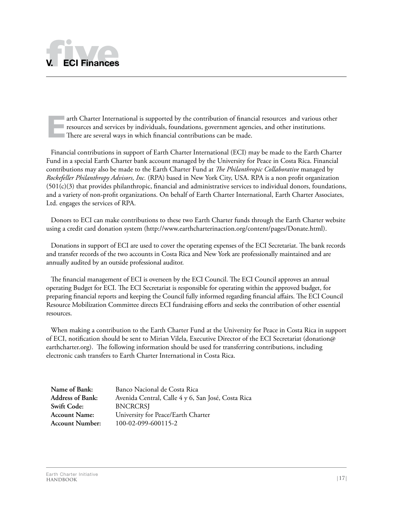

**E**arth Charter International is supported by the contribution of financial resources and various other resources and services by individuals, foundations, government agencies, and other institutions. There are several ways in which financial contributions can be made.

Financial contributions in support of Earth Charter International (ECI) may be made to the Earth Charter Fund in a special Earth Charter bank account managed by the University for Peace in Costa Rica. Financial contributions may also be made to the Earth Charter Fund at *The Philanthropic Collaborative* managed by *Rockefeller Philanthropy Advisors, Inc.* (RPA) based in New York City, USA. RPA is a non profit organization  $(501(c)(3)$  that provides philanthropic, financial and administrative services to individual donors, foundations, and a variety of non-profit organizations. On behalf of Earth Charter International, Earth Charter Associates, Ltd. engages the services of RPA.

Donors to ECI can make contributions to these two Earth Charter funds through the Earth Charter website using a credit card donation system (http://www.earthcharterinaction.org/content/pages/Donate.html).

Donations in support of ECI are used to cover the operating expenses of the ECI Secretariat. The bank records and transfer records of the two accounts in Costa Rica and New York are professionally maintained and are annually audited by an outside professional auditor.

The financial management of ECI is overseen by the ECI Council. The ECI Council approves an annual operating Budget for ECI. The ECI Secretariat is responsible for operating within the approved budget, for preparing financial reports and keeping the Council fully informed regarding financial affairs. The ECI Council Resource Mobilization Committee directs ECI fundraising efforts and seeks the contribution of other essential resources.

When making a contribution to the Earth Charter Fund at the University for Peace in Costa Rica in support of ECI, notification should be sent to Mirian Vilela, Executive Director of the ECI Secretariat (donation@ earthcharter.org). The following information should be used for transferring contributions, including electronic cash transfers to Earth Charter International in Costa Rica.

| Name of Bank:           | Banco Nacional de Costa Rica                       |
|-------------------------|----------------------------------------------------|
| <b>Address of Bank:</b> | Avenida Central, Calle 4 y 6, San José, Costa Rica |
| <b>Swift Code:</b>      | <b>BNCRCRSI</b>                                    |
| <b>Account Name:</b>    | University for Peace/Earth Charter                 |
| <b>Account Number:</b>  | 100-02-099-600115-2                                |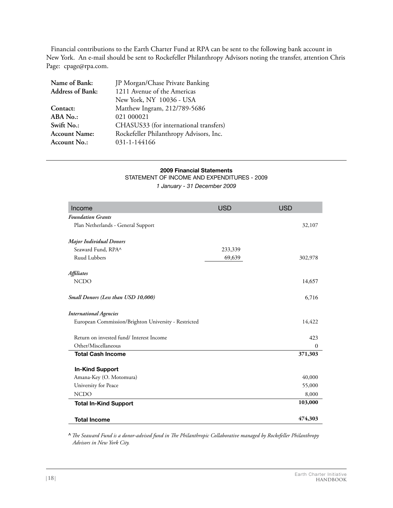Financial contributions to the Earth Charter Fund at RPA can be sent to the following bank account in New York. An e-mail should be sent to Rockefeller Philanthropy Advisors noting the transfer, attention Chris Page: cpage@rpa.com.

| JP Morgan/Chase Private Banking         |
|-----------------------------------------|
| 1211 Avenue of the Americas             |
| New York, NY 10036 - USA                |
| Matthew Ingram, 212/789-5686            |
| 021 000021                              |
| CHASUS33 (for international transfers)  |
| Rockefeller Philanthropy Advisors, Inc. |
| 031-1-144166                            |
|                                         |

#### **2009 Financial Statements** STATEMENT OF INCOME AND EXPENDITURES - 2009

*1 January - 31 December 2009*

| Income                                               | <b>USD</b> | <b>USD</b>   |
|------------------------------------------------------|------------|--------------|
| <b>Foundation Grants</b>                             |            |              |
| Plan Netherlands - General Support                   |            | 32,107       |
| <b>Major Individual Donors</b>                       |            |              |
| Seaward Fund, RPA^                                   | 233,339    |              |
| Ruud Lubbers                                         | 69,639     | 302,978      |
| Affiliates                                           |            |              |
| <b>NCDO</b>                                          |            | 14,657       |
| Small Donors (Less than USD 10,000)                  |            | 6,716        |
| <b>International Agencies</b>                        |            |              |
| European Commission/Brighton University - Restricted |            | 14,422       |
| Return on invested fund/ Interest Income             |            | 423          |
| Other/Miscellaneous                                  |            | $\mathbf{0}$ |
| <b>Total Cash Income</b>                             |            | 371,303      |
| <b>In-Kind Support</b>                               |            |              |
| Amana-Key (O. Motomura)                              |            | 40,000       |
| University for Peace                                 |            | 55,000       |
| <b>NCDO</b>                                          |            | 8,000        |
| <b>Total In-Kind Support</b>                         |            | 103,000      |
| <b>Total Income</b>                                  |            | 474,303      |

^ *The Seaward Fund is a donor-advised fund in The Philanthropic Collaborative managed by Rockefeller Philanthropy Advisors in New York City.*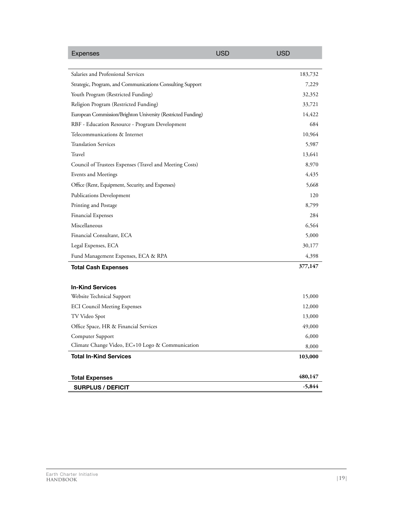| <b>Expenses</b>                                              | <b>USD</b> | <b>USD</b> |
|--------------------------------------------------------------|------------|------------|
|                                                              |            |            |
| Salaries and Professional Services                           |            | 183,732    |
| Strategic, Program, and Communications Consulting Support    |            | 7,229      |
| Youth Program (Restricted Funding)                           |            | 32,352     |
| Religion Program (Restricted Funding)                        |            | 33,721     |
| European Commission/Brighton University (Restricted Funding) |            | 14,422     |
| RBF - Education Resource - Program Development               |            | 684        |
| Telecommunications & Internet                                |            | 10,964     |
| <b>Translation Services</b>                                  |            | 5,987      |
| Travel                                                       |            | 13,641     |
| Council of Trustees Expenses (Travel and Meeting Costs)      |            | 8,970      |
| Events and Meetings                                          |            | 4,435      |
| Office (Rent, Equipment, Security, and Expenses)             |            | 5,668      |
| <b>Publications Development</b>                              |            | 120        |
| Printing and Postage                                         |            | 8,799      |
| Financial Expenses                                           |            | 284        |
| Miscellaneous                                                |            | 6,564      |
| Financial Consultant, ECA                                    |            | 5,000      |
| Legal Expenses, ECA                                          |            | 30,177     |
| Fund Management Expenses, ECA & RPA                          |            | 4,398      |
| <b>Total Cash Expenses</b>                                   |            | 377,147    |
| <b>In-Kind Services</b>                                      |            |            |
| Website Technical Support                                    |            | 15,000     |
| <b>ECI Council Meeting Expenses</b>                          |            | 12,000     |
| TV Video Spot                                                |            | 13,000     |
| Office Space, HR & Financial Services                        |            | 49,000     |
| Computer Support                                             |            | 6,000      |
| Climate Change Video, EC+10 Logo & Communication             |            | 8,000      |
| <b>Total In-Kind Services</b>                                |            | 103,000    |
| <b>Total Expenses</b>                                        |            | 480,147    |
| <b>SURPLUS / DEFICIT</b>                                     |            | $-5,844$   |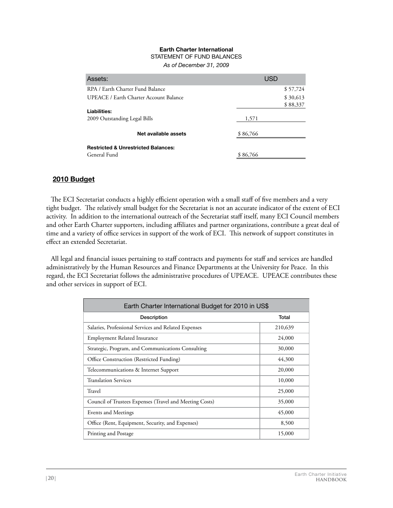#### **Earth Charter International**

#### STATEMENT OF FUND BALANCES

*As of December 31, 2009* 

| Assets:                                        |          | USD |                      |
|------------------------------------------------|----------|-----|----------------------|
| RPA / Earth Charter Fund Balance               |          |     | \$57,724             |
| UPEACE / Earth Charter Account Balance         |          |     | \$30,613<br>\$88,337 |
| Liabilities:                                   |          |     |                      |
| 2009 Outstanding Legal Bills                   | 1,571    |     |                      |
| Net available assets                           | \$86,766 |     |                      |
| <b>Restricted &amp; Unrestricted Balances:</b> |          |     |                      |
| General Fund                                   | \$86,766 |     |                      |

#### **2010 Budget**

The ECI Secretariat conducts a highly efficient operation with a small staff of five members and a very tight budget. The relatively small budget for the Secretariat is not an accurate indicator of the extent of ECI activity. In addition to the international outreach of the Secretariat staff itself, many ECI Council members and other Earth Charter supporters, including affiliates and partner organizations, contribute a great deal of time and a variety of office services in support of the work of ECI. This network of support constitutes in effect an extended Secretariat.

All legal and financial issues pertaining to staff contracts and payments for staff and services are handled administratively by the Human Resources and Finance Departments at the University for Peace. In this regard, the ECI Secretariat follows the administrative procedures of UPEACE. UPEACE contributes these and other services in support of ECI.

| Earth Charter International Budget for 2010 in US\$     |         |  |
|---------------------------------------------------------|---------|--|
| Description                                             | Total   |  |
| Salaries, Professional Services and Related Expenses    | 210,639 |  |
| Employment Related Insurance                            | 24,000  |  |
| Strategic, Program, and Communications Consulting       | 30,000  |  |
| Office Construction (Restricted Funding)                | 44,300  |  |
| Telecommunications & Internet Support                   | 20,000  |  |
| Translation Services                                    | 10,000  |  |
| Travel                                                  | 25,000  |  |
| Council of Trustees Expenses (Travel and Meeting Costs) | 35,000  |  |
| Events and Meetings                                     | 45,000  |  |
| Office (Rent, Equipment, Security, and Expenses)        | 8,500   |  |
| Printing and Postage                                    | 15,000  |  |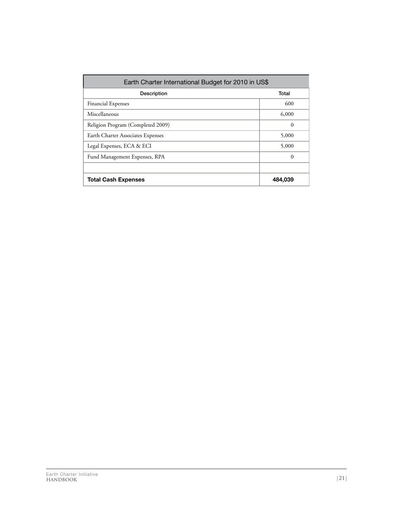| Earth Charter International Budget for 2010 in US\$ |              |  |
|-----------------------------------------------------|--------------|--|
| Description                                         | Total        |  |
| <b>Financial Expenses</b>                           | 600          |  |
| Miscellaneous                                       | 6,000        |  |
| Religion Program (Completed 2009)                   | $\mathbf{0}$ |  |
| Earth Charter Associates Expenses                   | 5,000        |  |
| Legal Expenses, ECA & ECI                           | 5,000        |  |
| Fund Management Expenses, RPA                       | $\Omega$     |  |
|                                                     |              |  |
| <b>Total Cash Expenses</b>                          | 484,039      |  |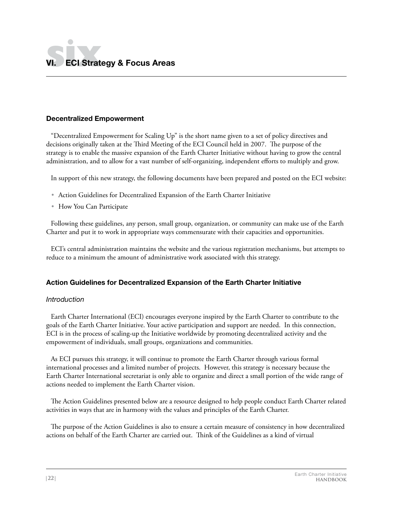#### **Decentralized Empowerment**

"Decentralized Empowerment for Scaling Up" is the short name given to a set of policy directives and decisions originally taken at the Third Meeting of the ECI Council held in 2007. The purpose of the strategy is to enable the massive expansion of the Earth Charter Initiative without having to grow the central administration, and to allow for a vast number of self-organizing, independent efforts to multiply and grow.

In support of this new strategy, the following documents have been prepared and posted on the ECI website:

- Action Guidelines for Decentralized Expansion of the Earth Charter Initiative
- How You Can Participate

Following these guidelines, any person, small group, organization, or community can make use of the Earth Charter and put it to work in appropriate ways commensurate with their capacities and opportunities.

ECI's central administration maintains the website and the various registration mechanisms, but attempts to reduce to a minimum the amount of administrative work associated with this strategy.

#### **Action Guidelines for Decentralized Expansion of the Earth Charter Initiative**

#### *Introduction*

Earth Charter International (ECI) encourages everyone inspired by the Earth Charter to contribute to the goals of the Earth Charter Initiative. Your active participation and support are needed. In this connection, ECI is in the process of scaling-up the Initiative worldwide by promoting decentralized activity and the empowerment of individuals, small groups, organizations and communities.

As ECI pursues this strategy, it will continue to promote the Earth Charter through various formal international processes and a limited number of projects. However, this strategy is necessary because the Earth Charter International secretariat is only able to organize and direct a small portion of the wide range of actions needed to implement the Earth Charter vision.

The Action Guidelines presented below are a resource designed to help people conduct Earth Charter related activities in ways that are in harmony with the values and principles of the Earth Charter.

The purpose of the Action Guidelines is also to ensure a certain measure of consistency in how decentralized actions on behalf of the Earth Charter are carried out. Think of the Guidelines as a kind of virtual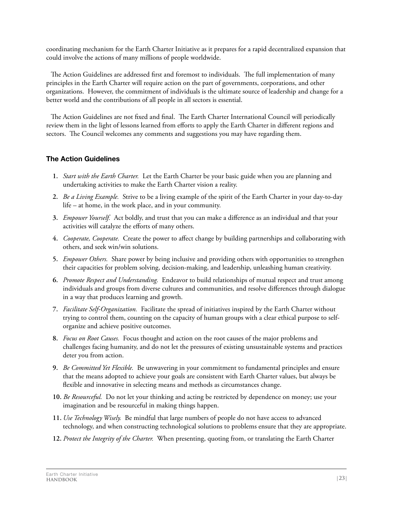coordinating mechanism for the Earth Charter Initiative as it prepares for a rapid decentralized expansion that could involve the actions of many millions of people worldwide.

The Action Guidelines are addressed first and foremost to individuals. The full implementation of many principles in the Earth Charter will require action on the part of governments, corporations, and other organizations. However, the commitment of individuals is the ultimate source of leadership and change for a better world and the contributions of all people in all sectors is essential.

The Action Guidelines are not fixed and final. The Earth Charter International Council will periodically review them in the light of lessons learned from efforts to apply the Earth Charter in different regions and sectors. The Council welcomes any comments and suggestions you may have regarding them.

# **The Action Guidelines**

- **1.** *Start with the Earth Charter.* Let the Earth Charter be your basic guide when you are planning and undertaking activities to make the Earth Charter vision a reality.
- **2.** *Be a Living Example.* Strive to be a living example of the spirit of the Earth Charter in your day-to-day life – at home, in the work place, and in your community.
- **3.** *Empower Yourself.* Act boldly, and trust that you can make a difference as an individual and that your activities will catalyze the efforts of many others.
- **4.** *Cooperate, Cooperate.* Create the power to affect change by building partnerships and collaborating with others, and seek win/win solutions.
- **5.** *Empower Others.* Share power by being inclusive and providing others with opportunities to strengthen their capacities for problem solving, decision-making, and leadership, unleashing human creativity.
- **6.** *Promote Respect and Understanding.* Endeavor to build relationships of mutual respect and trust among individuals and groups from diverse cultures and communities, and resolve differences through dialogue in a way that produces learning and growth.
- **7.** *Facilitate Self-Organization.* Facilitate the spread of initiatives inspired by the Earth Charter without trying to control them, counting on the capacity of human groups with a clear ethical purpose to selforganize and achieve positive outcomes.
- **8.** *Focus on Root Causes.* Focus thought and action on the root causes of the major problems and challenges facing humanity, and do not let the pressures of existing unsustainable systems and practices deter you from action.
- **9.** *Be Committed Yet Flexible.* Be unwavering in your commitment to fundamental principles and ensure that the means adopted to achieve your goals are consistent with Earth Charter values, but always be flexible and innovative in selecting means and methods as circumstances change.
- **10.** *Be Resourceful.* Do not let your thinking and acting be restricted by dependence on money; use your imagination and be resourceful in making things happen.
- **11.** *Use Technology Wisely.* Be mindful that large numbers of people do not have access to advanced technology, and when constructing technological solutions to problems ensure that they are appropriate.
- **12.** *Protect the Integrity of the Charter.* When presenting, quoting from, or translating the Earth Charter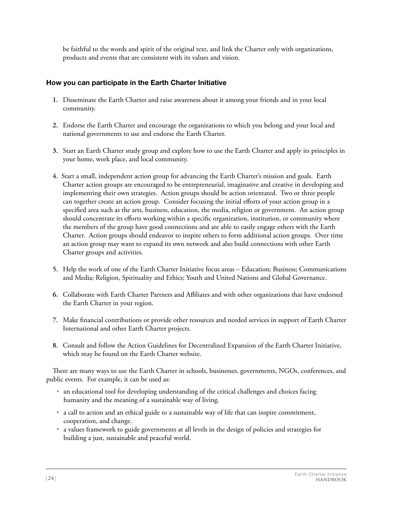be faithful to the words and spirit of the original text, and link the Charter only with organizations, products and events that are consistent with its values and vision.

# **How you can participate in the Earth Charter Initiative**

- **1.** Disseminate the Earth Charter and raise awareness about it among your friends and in your local community.
- **2.** Endorse the Earth Charter and encourage the organizations to which you belong and your local and national governments to use and endorse the Earth Charter.
- **3.** Start an Earth Charter study group and explore how to use the Earth Charter and apply its principles in your home, work place, and local community.
- **4.** Start a small, independent action group for advancing the Earth Charter's mission and goals. Earth Charter action groups are encouraged to be entrepreneurial, imaginative and creative in developing and implementing their own strategies. Action groups should be action orientated. Two or three people can together create an action group. Consider focusing the initial efforts of your action group in a specified area such as the arts, business, education, the media, religion or government. An action group should concentrate its efforts working within a specific organization, institution, or community where the members of the group have good connections and are able to easily engage others with the Earth Charter. Action groups should endeavor to inspire others to form additional action groups. Over time an action group may want to expand its own network and also build connections with other Earth Charter groups and activities.
- **5.** Help the work of one of the Earth Charter Initiative focus areas Education; Business; Communications and Media; Religion, Spirituality and Ethics; Youth and United Nations and Global Governance.
- **6.** Collaborate with Earth Charter Partners and Affiliates and with other organizations that have endorsed the Earth Charter in your region.
- **7.** Make financial contributions or provide other resources and needed services in support of Earth Charter International and other Earth Charter projects.
- **8.** Consult and follow the Action Guidelines for Decentralized Expansion of the Earth Charter Initiative, which may be found on the Earth Charter website.

 There are many ways to use the Earth Charter in schools, businesses, governments, NGOs, conferences, and public events. For example, it can be used as:

- an educational tool for developing understanding of the critical challenges and choices facing humanity and the meaning of a sustainable way of living.
- a call to action and an ethical guide to a sustainable way of life that can inspire commitment, cooperation, and change.
- a values framework to guide governments at all levels in the design of policies and strategies for building a just, sustainable and peaceful world.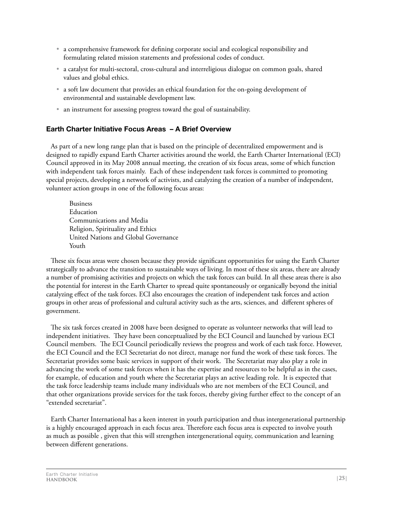- a comprehensive framework for defining corporate social and ecological responsibility and formulating related mission statements and professional codes of conduct.
- a catalyst for multi-sectoral, cross-cultural and interreligious dialogue on common goals, shared values and global ethics.
- a soft law document that provides an ethical foundation for the on-going development of environmental and sustainable development law.
- an instrument for assessing progress toward the goal of sustainability.

# **Earth Charter Initiative Focus Areas – A Brief Overview**

As part of a new long range plan that is based on the principle of decentralized empowerment and is designed to rapidly expand Earth Charter activities around the world, the Earth Charter International (ECI) Council approved in its May 2008 annual meeting, the creation of six focus areas, some of which function with independent task forces mainly. Each of these independent task forces is committed to promoting special projects, developing a network of activists, and catalyzing the creation of a number of independent, volunteer action groups in one of the following focus areas:

Business Education Communications and Media Religion, Spirituality and Ethics United Nations and Global Governance Youth

These six focus areas were chosen because they provide significant opportunities for using the Earth Charter strategically to advance the transition to sustainable ways of living. In most of these six areas, there are already a number of promising activities and projects on which the task forces can build. In all these areas there is also the potential for interest in the Earth Charter to spread quite spontaneously or organically beyond the initial catalyzing effect of the task forces. ECI also encourages the creation of independent task forces and action groups in other areas of professional and cultural activity such as the arts, sciences, and different spheres of government.

The six task forces created in 2008 have been designed to operate as volunteer networks that will lead to independent initiatives. They have been conceptualized by the ECI Council and launched by various ECI Council members. The ECI Council periodically reviews the progress and work of each task force. However, the ECI Council and the ECI Secretariat do not direct, manage nor fund the work of these task forces. The Secretariat provides some basic services in support of their work. The Secretariat may also play a role in advancing the work of some task forces when it has the expertise and resources to be helpful as in the cases, for example, of education and youth where the Secretariat plays an active leading role. It is expected that the task force leadership teams include many individuals who are not members of the ECI Council, and that other organizations provide services for the task forces, thereby giving further effect to the concept of an "extended secretariat".

Earth Charter International has a keen interest in youth participation and thus intergenerational partnership is a highly encouraged approach in each focus area. Therefore each focus area is expected to involve youth as much as possible , given that this will strengthen intergenerational equity, communication and learning between different generations.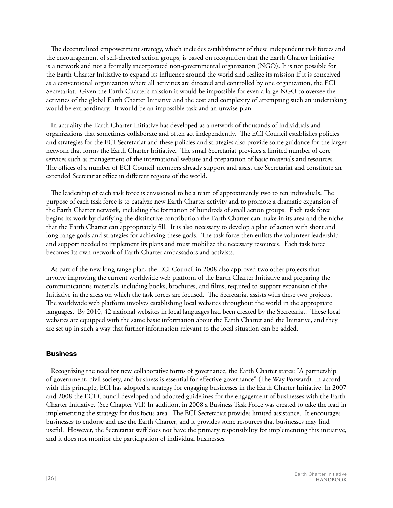The decentralized empowerment strategy, which includes establishment of these independent task forces and the encouragement of self-directed action groups, is based on recognition that the Earth Charter Initiative is a network and not a formally incorporated non-governmental organization (NGO). It is not possible for the Earth Charter Initiative to expand its influence around the world and realize its mission if it is conceived as a conventional organization where all activities are directed and controlled by one organization, the ECI Secretariat. Given the Earth Charter's mission it would be impossible for even a large NGO to oversee the activities of the global Earth Charter Initiative and the cost and complexity of attempting such an undertaking would be extraordinary. It would be an impossible task and an unwise plan.

In actuality the Earth Charter Initiative has developed as a network of thousands of individuals and organizations that sometimes collaborate and often act independently. The ECI Council establishes policies and strategies for the ECI Secretariat and these policies and strategies also provide some guidance for the larger network that forms the Earth Charter Initiative. The small Secretariat provides a limited number of core services such as management of the international website and preparation of basic materials and resources. The offices of a number of ECI Council members already support and assist the Secretariat and constitute an extended Secretariat office in different regions of the world.

The leadership of each task force is envisioned to be a team of approximately two to ten individuals. The purpose of each task force is to catalyze new Earth Charter activity and to promote a dramatic expansion of the Earth Charter network, including the formation of hundreds of small action groups. Each task force begins its work by clarifying the distinctive contribution the Earth Charter can make in its area and the niche that the Earth Charter can appropriately fill. It is also necessary to develop a plan of action with short and long range goals and strategies for achieving these goals. The task force then enlists the volunteer leadership and support needed to implement its plans and must mobilize the necessary resources. Each task force becomes its own network of Earth Charter ambassadors and activists.

As part of the new long range plan, the ECI Council in 2008 also approved two other projects that involve improving the current worldwide web platform of the Earth Charter Initiative and preparing the communications materials, including books, brochures, and films, required to support expansion of the Initiative in the areas on which the task forces are focused. The Secretariat assists with these two projects. The worldwide web platform involves establishing local websites throughout the world in the appropriate languages. By 2010, 42 national websites in local languages had been created by the Secretariat. These local websites are equipped with the same basic information about the Earth Charter and the Initiative, and they are set up in such a way that further information relevant to the local situation can be added.

#### **Business**

Recognizing the need for new collaborative forms of governance, the Earth Charter states: "A partnership of government, civil society, and business is essential for effective governance" (The Way Forward). In accord with this principle, ECI has adopted a strategy for engaging businesses in the Earth Charter Initiative. In 2007 and 2008 the ECI Council developed and adopted guidelines for the engagement of businesses with the Earth Charter Initiative. (See Chapter VII) In addition, in 2008 a Business Task Force was created to take the lead in implementing the strategy for this focus area. The ECI Secretariat provides limited assistance. It encourages businesses to endorse and use the Earth Charter, and it provides some resources that businesses may find useful. However, the Secretariat staff does not have the primary responsibility for implementing this initiative, and it does not monitor the participation of individual businesses.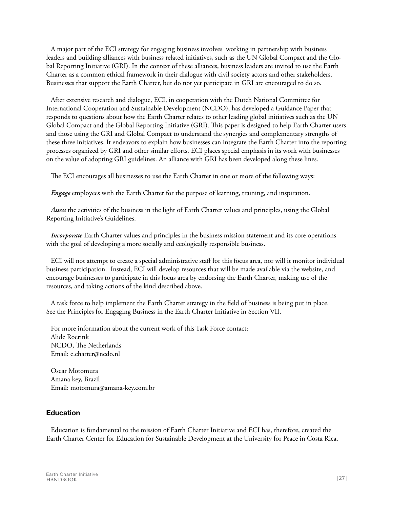A major part of the ECI strategy for engaging business involves working in partnership with business leaders and building alliances with business related initiatives, such as the UN Global Compact and the Global Reporting Initiative (GRI). In the context of these alliances, business leaders are invited to use the Earth Charter as a common ethical framework in their dialogue with civil society actors and other stakeholders. Businesses that support the Earth Charter, but do not yet participate in GRI are encouraged to do so.

After extensive research and dialogue, ECI, in cooperation with the Dutch National Committee for International Cooperation and Sustainable Development (NCDO), has developed a Guidance Paper that responds to questions about how the Earth Charter relates to other leading global initiatives such as the UN Global Compact and the Global Reporting Initiative (GRI). This paper is designed to help Earth Charter users and those using the GRI and Global Compact to understand the synergies and complementary strengths of these three initiatives. It endeavors to explain how businesses can integrate the Earth Charter into the reporting processes organized by GRI and other similar efforts. ECI places special emphasis in its work with businesses on the value of adopting GRI guidelines. An alliance with GRI has been developed along these lines.

The ECI encourages all businesses to use the Earth Charter in one or more of the following ways:

*Engage* employees with the Earth Charter for the purpose of learning, training, and inspiration.

*Assess* the activities of the business in the light of Earth Charter values and principles, using the Global Reporting Initiative's Guidelines.

*Incorporate* Earth Charter values and principles in the business mission statement and its core operations with the goal of developing a more socially and ecologically responsible business.

ECI will not attempt to create a special administrative staff for this focus area, nor will it monitor individual business participation. Instead, ECI will develop resources that will be made available via the website, and encourage businesses to participate in this focus area by endorsing the Earth Charter, making use of the resources, and taking actions of the kind described above.

A task force to help implement the Earth Charter strategy in the field of business is being put in place. See the Principles for Engaging Business in the Earth Charter Initiative in Section VII.

For more information about the current work of this Task Force contact: Alide Roerink NCDO, The Netherlands Email: e.charter@ncdo.nl

Oscar Motomura Amana key, Brazil Email: motomura@amana-key.com.br

# **Education**

Education is fundamental to the mission of Earth Charter Initiative and ECI has, therefore, created the Earth Charter Center for Education for Sustainable Development at the University for Peace in Costa Rica.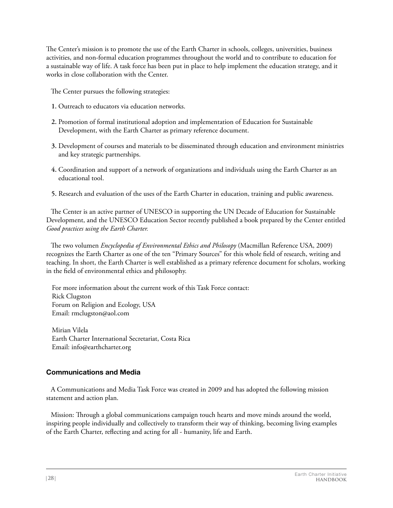The Center's mission is to promote the use of the Earth Charter in schools, colleges, universities, business activities, and non-formal education programmes throughout the world and to contribute to education for a sustainable way of life. A task force has been put in place to help implement the education strategy, and it works in close collaboration with the Center.

The Center pursues the following strategies:

- **1.** Outreach to educators via education networks.
- **2.** Promotion of formal institutional adoption and implementation of Education for Sustainable Development, with the Earth Charter as primary reference document.
- **3.** Development of courses and materials to be disseminated through education and environment ministries and key strategic partnerships.
- **4.** Coordination and support of a network of organizations and individuals using the Earth Charter as an educational tool.
- **5.** Research and evaluation of the uses of the Earth Charter in education, training and public awareness.

The Center is an active partner of UNESCO in supporting the UN Decade of Education for Sustainable Development, and the UNESCO Education Sector recently published a book prepared by the Center entitled *Good practices using the Earth Charter.*

The two volumen *Encyclopedia of Environmental Ethics and Philosopy* (Macmillan Reference USA, 2009) recognizes the Earth Charter as one of the ten "Primary Sources" for this whole field of research, writing and teaching. In short, the Earth Charter is well established as a primary reference document for scholars, working in the field of environmental ethics and philosophy.

For more information about the current work of this Task Force contact: Rick Clugston Forum on Religion and Ecology, USA Email: rmclugston@aol.com

Mirian Vilela Earth Charter International Secretariat, Costa Rica Email: info@earthcharter.org

# **Communications and Media**

A Communications and Media Task Force was created in 2009 and has adopted the following mission statement and action plan.

Mission: Through a global communications campaign touch hearts and move minds around the world, inspiring people individually and collectively to transform their way of thinking, becoming living examples of the Earth Charter, reflecting and acting for all - humanity, life and Earth.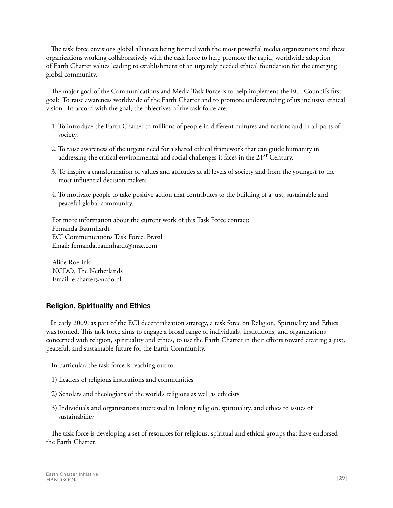The task force envisions global alliances being formed with the most powerful media organizations and these organizations working collaboratively with the task force to help promote the rapid, worldwide adoption of Earth Charter values leading to establishment of an urgently needed ethical foundation for the emerging global community.

The major goal of the Communications and Media Task Force is to help implement the ECI Council's first goal: To raise awareness worldwide of the Earth Charter and to promote understanding of its inclusive ethical vision. In accord with the goal, the objectives of the task force are:

- 1. To introduce the Earth Charter to millions of people in different cultures and nations and in all parts of society.
- 2. To raise awareness of the urgent need for a shared ethical framework that can guide humanity in addressing the critical environmental and social challenges it faces in the 21<sup>st</sup> Century.
- 3. To inspire a transformation of values and attitudes at all levels of society and from the youngest to the most influential decision makers.
- 4. To motivate people to take positive action that contributes to the building of a just, sustainable and peaceful global community.

For more information about the current work of this Task Force contact: Fernanda Baumhardt ECI Communications Task Force, Brazil Email: fernanda.baumhardt@mac.com

Alide Roerink NCDO, The Netherlands Email: e.charter@ncdo.nl

#### **Religion, Spirituality and Ethics**

In early 2009, as part of the ECI decentralization strategy, a task force on Religion, Spirituality and Ethics was formed. This task force aims to engage a broad range of individuals, institutions, and organizations concerned with religion, spirituality and ethics, to use the Earth Charter in their efforts toward creating a just, peaceful, and sustainable future for the Earth Community.

In particular, the task force is reaching out to:

- 1) Leaders of religious institutions and communities
- 2) Scholars and theologians of the world's religions as well as ethicists
- 3) Individuals and organizations interested in linking religion, spirituality, and ethics to issues of sustainability

The task force is developing a set of resources for religious, spiritual and ethical groups that have endorsed the Earth Charter.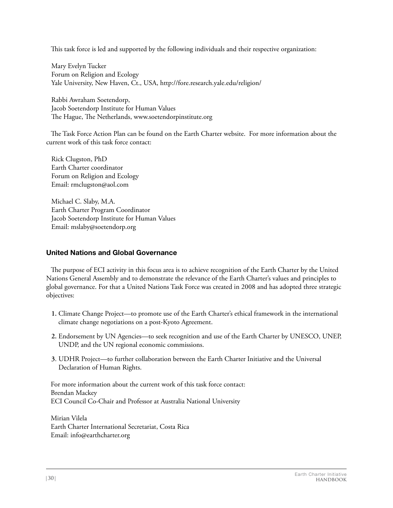This task force is led and supported by the following individuals and their respective organization:

Mary Evelyn Tucker Forum on Religion and Ecology Yale University, New Haven, Ct., USA, http://fore.research.yale.edu/religion/

Rabbi Awraham Soetendorp, Jacob Soetendorp Institute for Human Values The Hague, The Netherlands, www.soetendorpinstitute.org

The Task Force Action Plan can be found on the Earth Charter website. For more information about the current work of this task force contact:

Rick Clugston, PhD Earth Charter coordinator Forum on Religion and Ecology Email: rmclugston@aol.com

Michael C. Slaby, M.A. Earth Charter Program Coordinator Jacob Soetendorp Institute for Human Values Email: mslaby@soetendorp.org

#### **United Nations and Global Governance**

The purpose of ECI activity in this focus area is to achieve recognition of the Earth Charter by the United Nations General Assembly and to demonstrate the relevance of the Earth Charter's values and principles to global governance. For that a United Nations Task Force was created in 2008 and has adopted three strategic objectives:

- **1.** Climate Change Project—to promote use of the Earth Charter's ethical framework in the international climate change negotiations on a post-Kyoto Agreement.
- **2.** Endorsement by UN Agencies—to seek recognition and use of the Earth Charter by UNESCO, UNEP, UNDP, and the UN regional economic commissions.
- **3**. UDHR Project—to further collaboration between the Earth Charter Initiative and the Universal Declaration of Human Rights.

For more information about the current work of this task force contact: Brendan Mackey ECI Council Co-Chair and Professor at Australia National University

Mirian Vilela Earth Charter International Secretariat, Costa Rica Email: info@earthcharter.org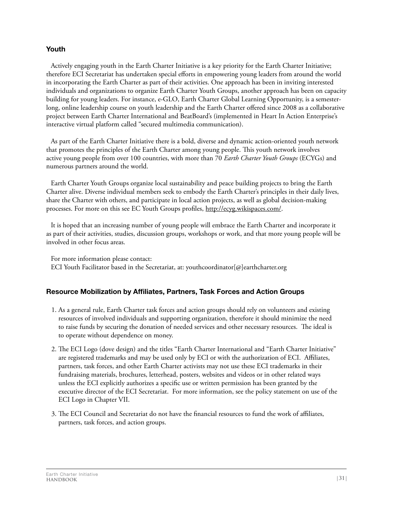# **Youth**

Actively engaging youth in the Earth Charter Initiative is a key priority for the Earth Charter Initiative; therefore ECI Secretariat has undertaken special efforts in empowering young leaders from around the world in incorporating the Earth Charter as part of their activities. One approach has been in inviting interested individuals and organizations to organize Earth Charter Youth Groups, another approach has been on capacity building for young leaders. For instance, e-GLO, Earth Charter Global Learning Opportunity, is a semesterlong, online leadership course on youth leadership and the Earth Charter offered since 2008 as a collaborative project between Earth Charter International and BeatBoard's (implemented in Heart In Action Enterprise's interactive virtual platform called "secured multimedia communication).

As part of the Earth Charter Initiative there is a bold, diverse and dynamic action-oriented youth network that promotes the principles of the Earth Charter among young people. This youth network involves active young people from over 100 countries, with more than 70 *Earth Charter Youth Groups* (ECYGs) and numerous partners around the world.

Earth Charter Youth Groups organize local sustainability and peace building projects to bring the Earth Charter alive. Diverse individual members seek to embody the Earth Charter's principles in their daily lives, share the Charter with others, and participate in local action projects, as well as global decision-making processes. For more on this see EC Youth Groups profiles, http://ecyg.wikispaces.com/.

It is hoped that an increasing number of young people will embrace the Earth Charter and incorporate it as part of their activities, studies, discussion groups, workshops or work, and that more young people will be involved in other focus areas.

For more information please contact: ECI Youth Facilitator based in the Secretariat, at: youthcoordinator[@]earthcharter.org

# **Resource Mobilization by Affiliates, Partners, Task Forces and Action Groups**

- 1. As a general rule, Earth Charter task forces and action groups should rely on volunteers and existing resources of involved individuals and supporting organization, therefore it should minimize the need to raise funds by securing the donation of needed services and other necessary resources. The ideal is to operate without dependence on money.
- 2. The ECI Logo (dove design) and the titles "Earth Charter International and "Earth Charter Initiative" are registered trademarks and may be used only by ECI or with the authorization of ECI. Affiliates, partners, task forces, and other Earth Charter activists may not use these ECI trademarks in their fundraising materials, brochures, letterhead, posters, websites and videos or in other related ways unless the ECI explicitly authorizes a specific use or written permission has been granted by the executive director of the ECI Secretariat. For more information, see the policy statement on use of the ECI Logo in Chapter VII.
- 3. The ECI Council and Secretariat do not have the financial resources to fund the work of affiliates, partners, task forces, and action groups.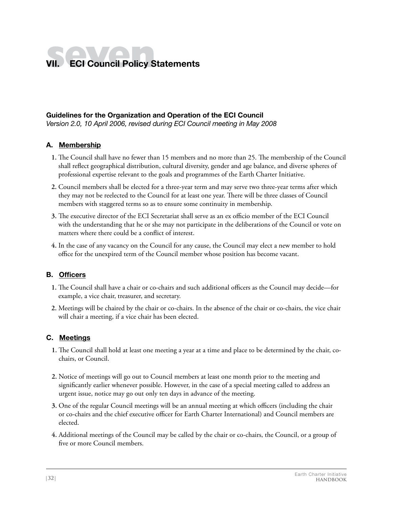# **ECI Council Policy Statements**

# **Guidelines for the Organization and Operation of the ECI Council**

*Version 2.0, 10 April 2006, revised during ECI Council meeting in May 2008*

# **A. Membership**

- **1.** The Council shall have no fewer than 15 members and no more than 25. The membership of the Council shall reflect geographical distribution, cultural diversity, gender and age balance, and diverse spheres of professional expertise relevant to the goals and programmes of the Earth Charter Initiative.
- **2.** Council members shall be elected for a three-year term and may serve two three-year terms after which they may not be reelected to the Council for at least one year. There will be three classes of Council members with staggered terms so as to ensure some continuity in membership.
- **3.** The executive director of the ECI Secretariat shall serve as an ex officio member of the ECI Council with the understanding that he or she may not participate in the deliberations of the Council or vote on matters where there could be a conflict of interest.
- **4.** In the case of any vacancy on the Council for any cause, the Council may elect a new member to hold office for the unexpired term of the Council member whose position has become vacant.

# **B. Officers**

- **1.** The Council shall have a chair or co-chairs and such additional officers as the Council may decide—for example, a vice chair, treasurer, and secretary.
- **2.** Meetings will be chaired by the chair or co-chairs. In the absence of the chair or co-chairs, the vice chair will chair a meeting, if a vice chair has been elected.

# **C. Meetings**

- **1.** The Council shall hold at least one meeting a year at a time and place to be determined by the chair, cochairs, or Council.
- **2.** Notice of meetings will go out to Council members at least one month prior to the meeting and significantly earlier whenever possible. However, in the case of a special meeting called to address an urgent issue, notice may go out only ten days in advance of the meeting.
- **3.** One of the regular Council meetings will be an annual meeting at which officers (including the chair or co-chairs and the chief executive officer for Earth Charter International) and Council members are elected.
- **4.** Additional meetings of the Council may be called by the chair or co-chairs, the Council, or a group of five or more Council members.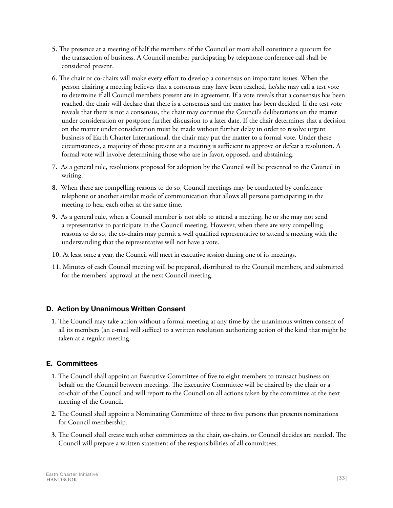- **5.** The presence at a meeting of half the members of the Council or more shall constitute a quorum for the transaction of business. A Council member participating by telephone conference call shall be considered present.
- **6.** The chair or co-chairs will make every effort to develop a consensus on important issues. When the person chairing a meeting believes that a consensus may have been reached, he/she may call a test vote to determine if all Council members present are in agreement. If a vote reveals that a consensus has been reached, the chair will declare that there is a consensus and the matter has been decided. If the test vote reveals that there is not a consensus, the chair may continue the Council's deliberations on the matter under consideration or postpone further discussion to a later date. If the chair determines that a decision on the matter under consideration must be made without further delay in order to resolve urgent business of Earth Charter International, the chair may put the matter to a formal vote. Under these circumstances, a majority of those present at a meeting is sufficient to approve or defeat a resolution. A formal vote will involve determining those who are in favor, opposed, and abstaining.
- **7.** As a general rule, resolutions proposed for adoption by the Council will be presented to the Council in writing.
- **8.** When there are compelling reasons to do so, Council meetings may be conducted by conference telephone or another similar mode of communication that allows all persons participating in the meeting to hear each other at the same time.
- **9.** As a general rule, when a Council member is not able to attend a meeting, he or she may not send a representative to participate in the Council meeting. However, when there are very compelling reasons to do so, the co-chairs may permit a well qualified representative to attend a meeting with the understanding that the representative will not have a vote.
- **10.** At least once a year, the Council will meet in executive session during one of its meetings.
- **11.** Minutes of each Council meeting will be prepared, distributed to the Council members, and submitted for the members' approval at the next Council meeting.

# **D. Action by Unanimous Written Consent**

**1.** The Council may take action without a formal meeting at any time by the unanimous written consent of all its members (an e-mail will suffice) to a written resolution authorizing action of the kind that might be taken at a regular meeting.

# **E. Committees**

- **1.** The Council shall appoint an Executive Committee of five to eight members to transact business on behalf on the Council between meetings. The Executive Committee will be chaired by the chair or a co-chair of the Council and will report to the Council on all actions taken by the committee at the next meeting of the Council.
- **2.** The Council shall appoint a Nominating Committee of three to five persons that presents nominations for Council membership.
- **3.** The Council shall create such other committees as the chair, co-chairs, or Council decides are needed. The Council will prepare a written statement of the responsibilities of all committees.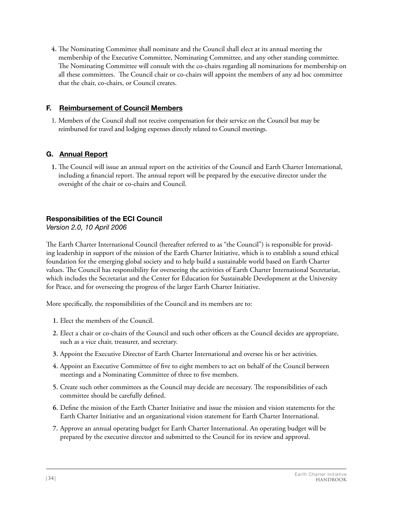**4.** The Nominating Committee shall nominate and the Council shall elect at its annual meeting the membership of the Executive Committee, Nominating Committee, and any other standing committee. The Nominating Committee will consult with the co-chairs regarding all nominations for membership on all these committees. The Council chair or co-chairs will appoint the members of any ad hoc committee that the chair, co-chairs, or Council creates.

# **F. Reimbursement of Council Members**

1. Members of the Council shall not receive compensation for their service on the Council but may be reimbursed for travel and lodging expenses directly related to Council meetings.

# **G. Annual Report**

**1.** The Council will issue an annual report on the activities of the Council and Earth Charter International, including a financial report. The annual report will be prepared by the executive director under the oversight of the chair or co-chairs and Council.

# **Responsibilities of the ECI Council**

*Version 2.0, 10 April 2006*

The Earth Charter International Council (hereafter referred to as "the Council") is responsible for providing leadership in support of the mission of the Earth Charter Initiative, which is to establish a sound ethical foundation for the emerging global society and to help build a sustainable world based on Earth Charter values. The Council has responsibility for overseeing the activities of Earth Charter International Secretariat, which includes the Secretariat and the Center for Education for Sustainable Development at the University for Peace, and for overseeing the progress of the larger Earth Charter Initiative.

More specifically, the responsibilities of the Council and its members are to:

- **1.** Elect the members of the Council.
- **2.** Elect a chair or co-chairs of the Council and such other officers as the Council decides are appropriate, such as a vice chair, treasurer, and secretary.
- **3.** Appoint the Executive Director of Earth Charter International and oversee his or her activities.
- **4.** Appoint an Executive Committee of five to eight members to act on behalf of the Council between meetings and a Nominating Committee of three to five members.
- **5.** Create such other committees as the Council may decide are necessary. The responsibilities of each committee should be carefully defined.
- **6.** Define the mission of the Earth Charter Initiative and issue the mission and vision statements for the Earth Charter Initiative and an organizational vision statement for Earth Charter International.
- **7.** Approve an annual operating budget for Earth Charter International. An operating budget will be prepared by the executive director and submitted to the Council for its review and approval.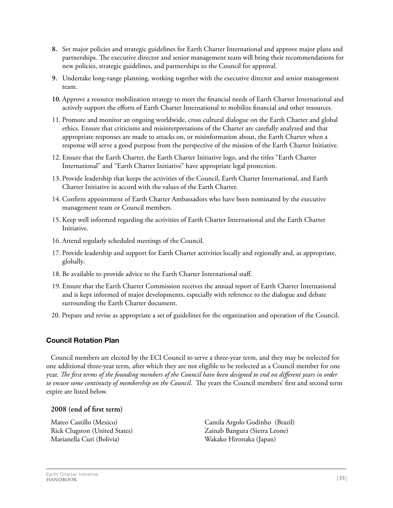- **8.** Set major policies and strategic guidelines for Earth Charter International and approve major plans and partnerships. The executive director and senior management team will bring their recommendations for new policies, strategic guidelines, and partnerships to the Council for approval.
- **9.** Undertake long-range planning, working together with the executive director and senior management team.
- **10.** Approve a resource mobilization strategy to meet the financial needs of Earth Charter International and actively support the efforts of Earth Charter International to mobilize financial and other resources.
- 11. Promote and monitor an ongoing worldwide, cross cultural dialogue on the Earth Charter and global ethics. Ensure that criticisms and misinterpretations of the Charter are carefully analyzed and that appropriate responses are made to attacks on, or misinformation about, the Earth Charter when a response will serve a good purpose from the perspective of the mission of the Earth Charter Initiative.
- 12. Ensure that the Earth Charter, the Earth Charter Initiative logo, and the titles "Earth Charter International" and "Earth Charter Initiative" have appropriate legal protection.
- 13. Provide leadership that keeps the activities of the Council, Earth Charter International, and Earth Charter Initiative in accord with the values of the Earth Charter.
- 14. Confirm appointment of Earth Charter Ambassadors who have been nominated by the executive management team or Council members.
- 15. Keep well informed regarding the activities of Earth Charter International and the Earth Charter Initiative.
- 16. Attend regularly scheduled meetings of the Council.
- 17. Provide leadership and support for Earth Charter activities locally and regionally and, as appropriate, globally.
- 18. Be available to provide advice to the Earth Charter International staff.
- 19. Ensure that the Earth Charter Commission receives the annual report of Earth Charter International and is kept informed of major developments, especially with reference to the dialogue and debate surrounding the Earth Charter document.
- 20. Prepare and revise as appropriate a set of guidelines for the organization and operation of the Council.

# **Council Rotation Plan**

Council members are elected by the ECI Council to serve a three-year term, and they may be reelected for one additional three-year term, after which they are not eligible to be reelected as a Council member for one year. *The first terms of the founding members of the Council have been designed to end on different years in order to ensure some continuity of membership on the Council.* The years the Council members' first and second term expire are listed below.

#### **2008 (end of first term)**

Mateo Castillo (Mexico) Rick Clugston (United States) Marianella Curi (Bolivia)

Camila Argolo Godinho (Brazil) Zainab Bangura (Sierra Leone) Wakako Hironaka (Japan)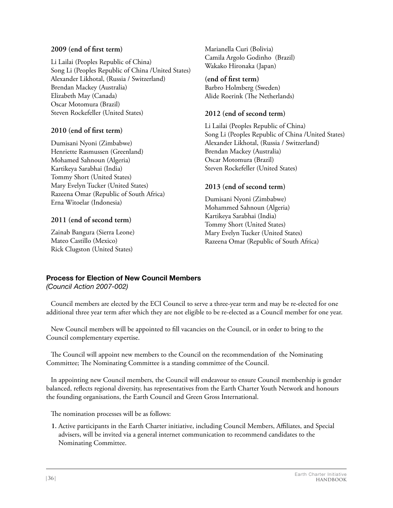# **2009 (end of first term)**

Li Lailai (Peoples Republic of China) Song Li (Peoples Republic of China /United States) Alexander Likhotal, (Russia / Switzerland) Brendan Mackey (Australia) Elizabeth May (Canada) Oscar Motomura (Brazil) Steven Rockefeller (United States)

# **2010 (end of first term)**

Dumisani Nyoni (Zimbabwe) Henriette Rasmussen (Greenland) Mohamed Sahnoun (Algeria) Kartikeya Sarabhai (India) Tommy Short (United States) Mary Evelyn Tucker (United States) Razeena Omar (Republic of South Africa) Erna Witoelar (Indonesia)

# **2011 (end of second term)**

Zainab Bangura (Sierra Leone) Mateo Castillo (Mexico) Rick Clugston (United States)

Marianella Curi (Bolivia) Camila Argolo Godinho (Brazil) Wakako Hironaka (Japan)

# **(end of first term)**

Barbro Holmberg (Sweden) Alide Roerink (The Netherlands)

# **2012 (end of second term)**

Li Lailai (Peoples Republic of China) Song Li (Peoples Republic of China /United States) Alexander Likhotal, (Russia / Switzerland) Brendan Mackey (Australia) Oscar Motomura (Brazil) Steven Rockefeller (United States)

# **2013 (end of second term)**

Dumisani Nyoni (Zimbabwe) Mohammed Sahnoun (Algeria) Kartikeya Sarabhai (India) Tommy Short (United States) Mary Evelyn Tucker (United States) Razeena Omar (Republic of South Africa)

# **Process for Election of New Council Members**

*(Council Action 2007-002)*

Council members are elected by the ECI Council to serve a three-year term and may be re-elected for one additional three year term after which they are not eligible to be re-elected as a Council member for one year.

New Council members will be appointed to fill vacancies on the Council, or in order to bring to the Council complementary expertise.

The Council will appoint new members to the Council on the recommendation of the Nominating Committee; The Nominating Committee is a standing committee of the Council.

In appointing new Council members, the Council will endeavour to ensure Council membership is gender balanced, reflects regional diversity, has representatives from the Earth Charter Youth Network and honours the founding organisations, the Earth Council and Green Gross International.

The nomination processes will be as follows:

**1.** Active participants in the Earth Charter initiative, including Council Members, Affiliates, and Special advisers, will be invited via a general internet communication to recommend candidates to the Nominating Committee.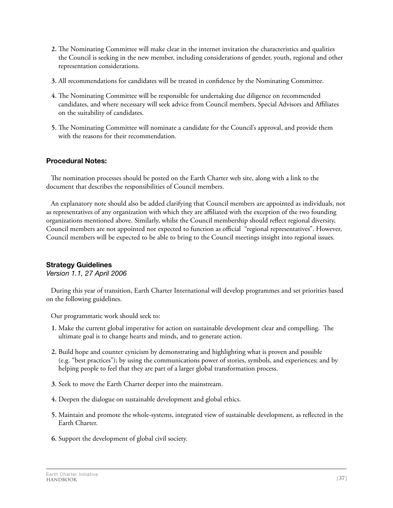- **2.** The Nominating Committee will make clear in the internet invitation the characteristics and qualities the Council is seeking in the new member, including considerations of gender, youth, regional and other representation considerations.
- **3.** All recommendations for candidates will be treated in confidence by the Nominating Committee.
- **4.** The Nominating Committee will be responsible for undertaking due diligence on recommended candidates, and where necessary will seek advice from Council members, Special Advisors and Affiliates on the suitability of candidates.
- **5.** The Nominating Committee will nominate a candidate for the Council's approval, and provide them with the reasons for their recommendation.

# **Procedural Notes:**

The nomination processes should be posted on the Earth Charter web site, along with a link to the document that describes the responsibilities of Council members.

An explanatory note should also be added clarifying that Council members are appointed as individuals, not as representatives of any organization with which they are affiliated with the exception of the two founding organizations mentioned above. Similarly, whilst the Council membership should reflect regional diversity, Council members are not appointed nor expected to function as official "regional representatives". However, Council members will be expected to be able to bring to the Council meetings insight into regional issues.

# **Strategy Guidelines**

*Version 1.1, 27 April 2006*

During this year of transition, Earth Charter International will develop programmes and set priorities based on the following guidelines.

Our programmatic work should seek to:

- **1.** Make the current global imperative for action on sustainable development clear and compelling. The ultimate goal is to change hearts and minds, and to generate action.
- **2.** Build hope and counter cynicism by demonstrating and highlighting what is proven and possible (e.g. "best practices"); by using the communications power of stories, symbols, and experiences; and by helping people to feel that they are part of a larger global transformation process.
- **3.** Seek to move the Earth Charter deeper into the mainstream.
- **4.** Deepen the dialogue on sustainable development and global ethics.
- **5.** Maintain and promote the whole-systems, integrated view of sustainable development, as reflected in the Earth Charter.
- **6.** Support the development of global civil society.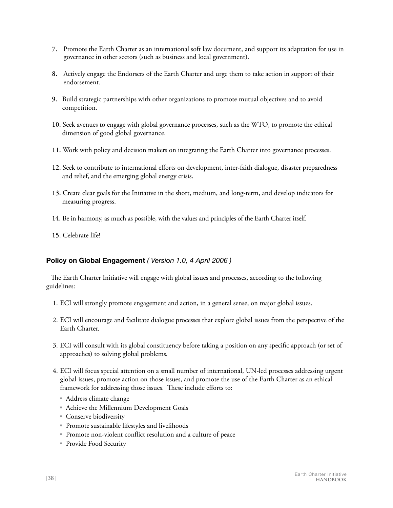- **7.** Promote the Earth Charter as an international soft law document, and support its adaptation for use in governance in other sectors (such as business and local government).
- **8.** Actively engage the Endorsers of the Earth Charter and urge them to take action in support of their endorsement.
- **9.** Build strategic partnerships with other organizations to promote mutual objectives and to avoid competition.
- **10.** Seek avenues to engage with global governance processes, such as the WTO, to promote the ethical dimension of good global governance.
- **11.** Work with policy and decision makers on integrating the Earth Charter into governance processes.
- **12.** Seek to contribute to international efforts on development, inter-faith dialogue, disaster preparedness and relief, and the emerging global energy crisis.
- **13.** Create clear goals for the Initiative in the short, medium, and long-term, and develop indicators for measuring progress.
- **14.** Be in harmony, as much as possible, with the values and principles of the Earth Charter itself.
- **15.** Celebrate life!

#### **Policy on Global Engagement** *( Version 1.0, 4 April 2006 )*

The Earth Charter Initiative will engage with global issues and processes, according to the following guidelines:

- 1. ECI will strongly promote engagement and action, in a general sense, on major global issues.
- 2. ECI will encourage and facilitate dialogue processes that explore global issues from the perspective of the Earth Charter.
- 3. ECI will consult with its global constituency before taking a position on any specific approach (or set of approaches) to solving global problems.
- 4. ECI will focus special attention on a small number of international, UN-led processes addressing urgent global issues, promote action on those issues, and promote the use of the Earth Charter as an ethical framework for addressing those issues. These include efforts to:
	- Address climate change
	- Achieve the Millennium Development Goals
	- Conserve biodiversity
	- Promote sustainable lifestyles and livelihoods
	- Promote non-violent conflict resolution and a culture of peace
	- Provide Food Security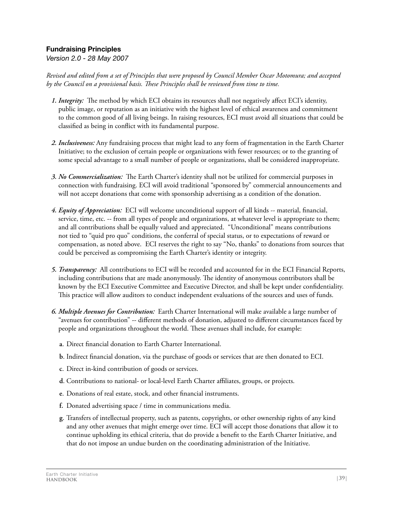# **Fundraising Principles**

*Version 2.0 - 28 May 2007*

*Revised and edited from a set of Principles that were proposed by Council Member Oscar Motomura; and accepted by the Council on a provisional basis. These Principles shall be reviewed from time to time.* 

- *1. Integrity:* The method by which ECI obtains its resources shall not negatively affect ECI's identity, public image, or reputation as an initiative with the highest level of ethical awareness and commitment to the common good of all living beings. In raising resources, ECI must avoid all situations that could be classified as being in conflict with its fundamental purpose.
- *2. Inclusiveness:* Any fundraising process that might lead to any form of fragmentation in the Earth Charter Initiative; to the exclusion of certain people or organizations with fewer resources; or to the granting of some special advantage to a small number of people or organizations, shall be considered inappropriate.
- *3. No Commercialization:* The Earth Charter's identity shall not be utilized for commercial purposes in connection with fundraising. ECI will avoid traditional "sponsored by" commercial announcements and will not accept donations that come with sponsorship advertising as a condition of the donation.
- *4. Equity of Appreciation:* ECI will welcome unconditional support of all kinds -- material, financial, service, time, etc. -- from all types of people and organizations, at whatever level is appropriate to them; and all contributions shall be equally valued and appreciated. "Unconditional" means contributions not tied to "quid pro quo" conditions, the conferral of special status, or to expectations of reward or compensation, as noted above. ECI reserves the right to say "No, thanks" to donations from sources that could be perceived as compromising the Earth Charter's identity or integrity.
- *5. Transparency:* All contributions to ECI will be recorded and accounted for in the ECI Financial Reports, including contributions that are made anonymously. The identity of anonymous contributors shall be known by the ECI Executive Committee and Executive Director, and shall be kept under confidentiality. This practice will allow auditors to conduct independent evaluations of the sources and uses of funds.
- *6. Multiple Avenues for Contribution:* Earth Charter International will make available a large number of "avenues for contribution" -- different methods of donation, adjusted to different circumstances faced by people and organizations throughout the world. These avenues shall include, for example:
	- **a**. Direct financial donation to Earth Charter International.
	- **b**. Indirect financial donation, via the purchase of goods or services that are then donated to ECI.
	- **c**. Direct in-kind contribution of goods or services.
	- **d**. Contributions to national- or local-level Earth Charter affiliates, groups, or projects.
	- **e**. Donations of real estate, stock, and other financial instruments.
	- **f.** Donated advertising space / time in communications media.
	- **g**. Transfers of intellectual property, such as patents, copyrights, or other ownership rights of any kind and any other avenues that might emerge over time. ECI will accept those donations that allow it to continue upholding its ethical criteria, that do provide a benefit to the Earth Charter Initiative, and that do not impose an undue burden on the coordinating administration of the Initiative.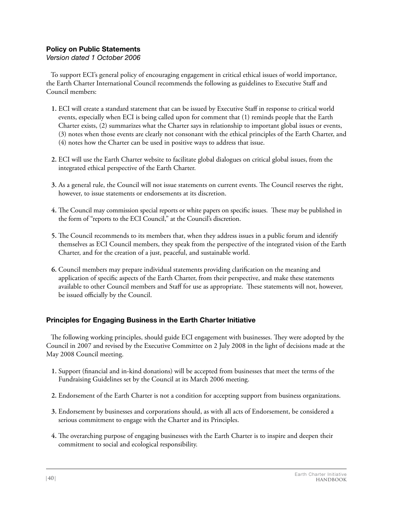# **Policy on Public Statements**

*Version dated 1 October 2006*

To support ECI's general policy of encouraging engagement in critical ethical issues of world importance, the Earth Charter International Council recommends the following as guidelines to Executive Staff and Council members:

- **1.** ECI will create a standard statement that can be issued by Executive Staff in response to critical world events, especially when ECI is being called upon for comment that (1) reminds people that the Earth Charter exists, (2) summarizes what the Charter says in relationship to important global issues or events, (3) notes when those events are clearly not consonant with the ethical principles of the Earth Charter, and (4) notes how the Charter can be used in positive ways to address that issue.
- **2.** ECI will use the Earth Charter website to facilitate global dialogues on critical global issues, from the integrated ethical perspective of the Earth Charter.
- **3.** As a general rule, the Council will not issue statements on current events. The Council reserves the right, however, to issue statements or endorsements at its discretion.
- **4.** The Council may commission special reports or white papers on specific issues. These may be published in the form of "reports to the ECI Council," at the Council's discretion.
- **5.** The Council recommends to its members that, when they address issues in a public forum and identify themselves as ECI Council members, they speak from the perspective of the integrated vision of the Earth Charter, and for the creation of a just, peaceful, and sustainable world.
- **6.** Council members may prepare individual statements providing clarification on the meaning and application of specific aspects of the Earth Charter, from their perspective, and make these statements available to other Council members and Staff for use as appropriate. These statements will not, however, be issued officially by the Council.

# **Principles for Engaging Business in the Earth Charter Initiative**

The following working principles, should guide ECI engagement with businesses. They were adopted by the Council in 2007 and revised by the Executive Committee on 2 July 2008 in the light of decisions made at the May 2008 Council meeting.

- **1.** Support (financial and in-kind donations) will be accepted from businesses that meet the terms of the Fundraising Guidelines set by the Council at its March 2006 meeting.
- **2.** Endorsement of the Earth Charter is not a condition for accepting support from business organizations.
- **3.** Endorsement by businesses and corporations should, as with all acts of Endorsement, be considered a serious commitment to engage with the Charter and its Principles.
- **4.** The overarching purpose of engaging businesses with the Earth Charter is to inspire and deepen their commitment to social and ecological responsibility.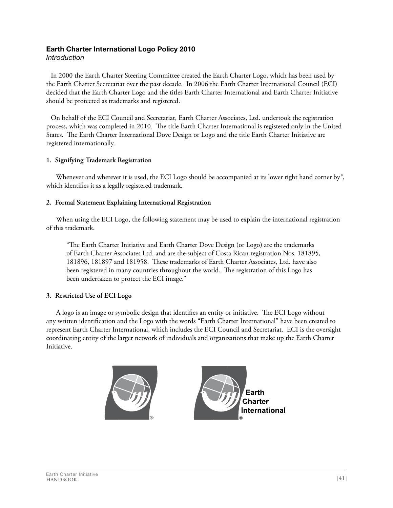#### **Earth Charter International Logo Policy 2010**

#### *Introduction*

In 2000 the Earth Charter Steering Committee created the Earth Charter Logo, which has been used by the Earth Charter Secretariat over the past decade. In 2006 the Earth Charter International Council (ECI) decided that the Earth Charter Logo and the titles Earth Charter International and Earth Charter Initiative should be protected as trademarks and registered.

On behalf of the ECI Council and Secretariat, Earth Charter Associates, Ltd. undertook the registration process, which was completed in 2010. The title Earth Charter International is registered only in the United States. The Earth Charter International Dove Design or Logo and the title Earth Charter Initiative are registered internationally.

#### **1. Signifying Trademark Registration**

 Whenever and wherever it is used, the ECI Logo should be accompanied at its lower right hand corner by®, which identifies it as a legally registered trademark.

#### **2. Formal Statement Explaining International Registration**

 When using the ECI Logo, the following statement may be used to explain the international registration of this trademark.

"The Earth Charter Initiative and Earth Charter Dove Design (or Logo) are the trademarks of Earth Charter Associates Ltd. and are the subject of Costa Rican registration Nos. 181895, 181896, 181897 and 181958. These trademarks of Earth Charter Associates, Ltd. have also been registered in many countries throughout the world. The registration of this Logo has been undertaken to protect the ECI image."

#### **3. Restricted Use of ECI Logo**

 A logo is an image or symbolic design that identifies an entity or initiative. The ECI Logo without any written identification and the Logo with the words "Earth Charter International" have been created to represent Earth Charter International, which includes the ECI Council and Secretariat. ECI is the oversight coordinating entity of the larger network of individuals and organizations that make up the Earth Charter Initiative.

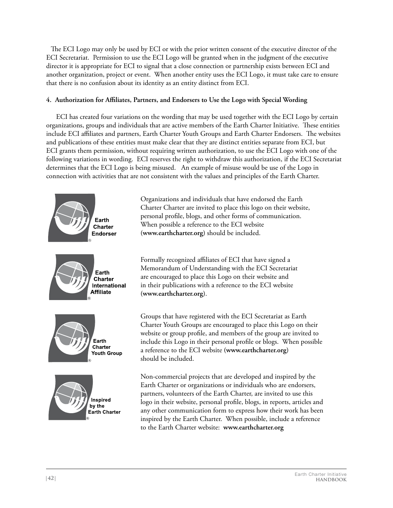The ECI Logo may only be used by ECI or with the prior written consent of the executive director of the ECI Secretariat. Permission to use the ECI Logo will be granted when in the judgment of the executive director it is appropriate for ECI to signal that a close connection or partnership exists between ECI and another organization, project or event. When another entity uses the ECI Logo, it must take care to ensure that there is no confusion about its identity as an entity distinct from ECI.

#### **4. Authorization for Affiliates, Partners, and Endorsers to Use the Logo with Special Wording**

 ECI has created four variations on the wording that may be used together with the ECI Logo by certain organizations, groups and individuals that are active members of the Earth Charter Initiative. These entities include ECI affiliates and partners, Earth Charter Youth Groups and Earth Charter Endorsers. The websites and publications of these entities must make clear that they are distinct entities separate from ECI, but ECI grants them permission, without requiring written authorization, to use the ECI Logo with one of the following variations in wording. ECI reserves the right to withdraw this authorization, if the ECI Secretariat determines that the ECI Logo is being misused. An example of misuse would be use of the Logo in connection with activities that are not consistent with the values and principles of the Earth Charter.



Organizations and individuals that have endorsed the Earth Charter Charter are invited to place this logo on their website, personal profile, blogs, and other forms of communication. When possible a reference to the ECI website **(www.earthcharter.org)** should be included.

Formally recognized affiliates of ECI that have signed a Memorandum of Understanding with the ECI Secretariat are encouraged to place this Logo on their website and in their publications with a reference to the ECI website **(www.earthcharter.org)**.

Groups that have registered with the ECI Secretariat as Earth Charter Youth Groups are encouraged to place this Logo on their website or group profile, and members of the group are invited to include this Logo in their personal profile or blogs. When possible a reference to the ECI website **(www.earthcharter.org)** should be included.

Non-commercial projects that are developed and inspired by the Earth Charter or organizations or individuals who are endorsers, partners, volunteers of the Earth Charter, are invited to use this logo in their website, personal profile, blogs, in reports, articles and any other communication form to express how their work has been inspired by the Earth Charter. When possible, include a reference to the Earth Charter website: **www.earthcharter.org**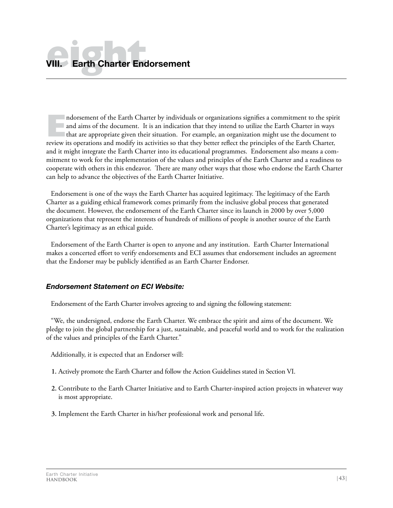ndorsement of the Earth Charter by individuals or organizations signifies a commitment to the spirit<br>and aims of the document. It is an indication that they intend to utilize the Earth Charter in ways<br>that are appropriate and aims of the document. It is an indication that they intend to utilize the Earth Charter in ways that are appropriate given their situation. For example, an organization might use the document to review its operations and modify its activities so that they better reflect the principles of the Earth Charter, and it might integrate the Earth Charter into its educational programmes. Endorsement also means a commitment to work for the implementation of the values and principles of the Earth Charter and a readiness to cooperate with others in this endeavor. There are many other ways that those who endorse the Earth Charter can help to advance the objectives of the Earth Charter Initiative.

Endorsement is one of the ways the Earth Charter has acquired legitimacy. The legitimacy of the Earth Charter as a guiding ethical framework comes primarily from the inclusive global process that generated the document. However, the endorsement of the Earth Charter since its launch in 2000 by over 5,000 organizations that represent the interests of hundreds of millions of people is another source of the Earth Charter's legitimacy as an ethical guide.

Endorsement of the Earth Charter is open to anyone and any institution. Earth Charter International makes a concerted effort to verify endorsements and ECI assumes that endorsement includes an agreement that the Endorser may be publicly identified as an Earth Charter Endorser.

#### *Endorsement Statement on ECI Website:*

Endorsement of the Earth Charter involves agreeing to and signing the following statement:

"We, the undersigned, endorse the Earth Charter. We embrace the spirit and aims of the document. We pledge to join the global partnership for a just, sustainable, and peaceful world and to work for the realization of the values and principles of the Earth Charter."

Additionally, it is expected that an Endorser will:

- **1.** Actively promote the Earth Charter and follow the Action Guidelines stated in Section VI.
- **2.** Contribute to the Earth Charter Initiative and to Earth Charter-inspired action projects in whatever way is most appropriate.
- **3.** Implement the Earth Charter in his/her professional work and personal life.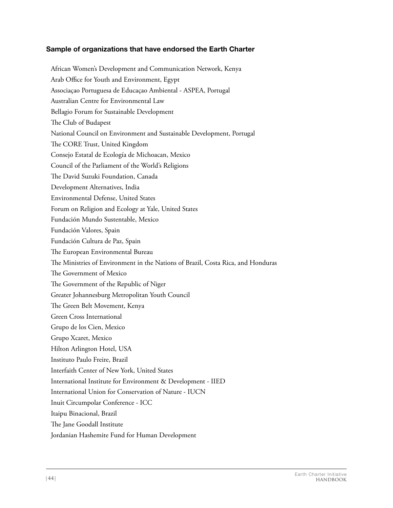#### **Sample of organizations that have endorsed the Earth Charter**

African Women's Development and Communication Network, Kenya Arab Office for Youth and Environment, Egypt Associaçao Portuguesa de Educaçao Ambiental - ASPEA, Portugal Australian Centre for Environmental Law Bellagio Forum for Sustainable Development The Club of Budapest National Council on Environment and Sustainable Development, Portugal The CORE Trust, United Kingdom Consejo Estatal de Ecología de Michoacan, Mexico Council of the Parliament of the World's Religions The David Suzuki Foundation, Canada Development Alternatives, India Environmental Defense, United States Forum on Religion and Ecology at Yale, United States Fundación Mundo Sustentable, Mexico Fundación Valores, Spain Fundación Cultura de Paz, Spain The European Environmental Bureau The Ministries of Environment in the Nations of Brazil, Costa Rica, and Honduras The Government of Mexico The Government of the Republic of Niger Greater Johannesburg Metropolitan Youth Council The Green Belt Movement, Kenya Green Cross International Grupo de los Cien, Mexico Grupo Xcaret, Mexico Hilton Arlington Hotel, USA Instituto Paulo Freire, Brazil Interfaith Center of New York, United States International Institute for Environment & Development - IIED International Union for Conservation of Nature - IUCN Inuit Circumpolar Conference - ICC Itaipu Binacional, Brazil The Jane Goodall Institute Jordanian Hashemite Fund for Human Development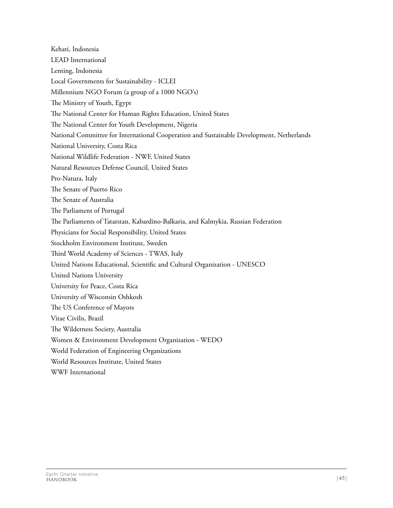Kehati, Indonesia LEAD International Lenting, Indonesia Local Governments for Sustainability - ICLEI Millennium NGO Forum (a group of a 1000 NGO's) The Ministry of Youth, Egypt The National Center for Human Rights Education, United States The National Center for Youth Development, Nigeria National Committee for International Cooperation and Sustainable Development, Netherlands National University, Costa Rica National Wildlife Federation - NWF, United States Natural Resources Defense Council, United States Pro-Natura, Italy The Senate of Puerto Rico The Senate of Australia The Parliament of Portugal The Parliaments of Tatarstan, Kabardino-Balkaria, and Kalmykia, Russian Federation Physicians for Social Responsibility, United States Stockholm Environment Institute, Sweden Third World Academy of Sciences - TWAS, Italy United Nations Educational, Scientific and Cultural Organization - UNESCO United Nations University University for Peace, Costa Rica University of Wisconsin Oshkosh The US Conference of Mayors Vitae Civilis, Brazil The Wilderness Society, Australia Women & Environment Development Organization - WEDO World Federation of Engineering Organizations World Resources Institute, United States WWF International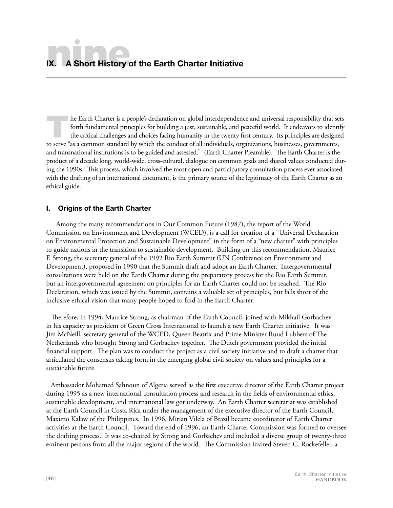The Earth Charter is a people's declaration on global interdependence and universal responsibility that sets<br>forth fundamental principles for building a just, sustainable, and peaceful world. It endeavors to identify<br>the c forth fundamental principles for building a just, sustainable, and peaceful world. It endeavors to identify the critical challenges and choices facing humanity in the twenty first century. Its principles are designed to serve "as a common standard by which the conduct of all individuals, organizations, businesses, governments, and transnational institutions is to be guided and assessed." (Earth Charter Preamble). The Earth Charter is the product of a decade long, world-wide, cross-cultural, dialogue on common goals and shared values conducted during the 1990s. This process, which involved the most open and participatory consultation process ever associated with the drafting of an international document, is the primary source of the legitimacy of the Earth Charter as an ethical guide.

#### **I. Origins of the Earth Charter**

 Among the many recommendations in Our Common Future (1987), the report of the World Commission on Environment and Development (WCED), is a call for creation of a "Universal Declaration on Environmental Protection and Sustainable Development" in the form of a "new charter" with principles to guide nations in the transition to sustainable development. Building on this recommendation, Maurice F. Strong, the secretary general of the 1992 Rio Earth Summit (UN Conference on Environment and Development), proposed in 1990 that the Summit draft and adopt an Earth Charter. Intergovernmental consultations were held on the Earth Charter during the preparatory process for the Rio Earth Summit, but an intergovernmental agreement on principles for an Earth Charter could not be reached. The Rio Declaration, which was issued by the Summit, contains a valuable set of principles, but falls short of the inclusive ethical vision that many people hoped to find in the Earth Charter.

Therefore, in 1994, Maurice Strong, as chairman of the Earth Council, joined with Mikhail Gorbachev in his capacity as president of Green Cross International to launch a new Earth Charter initiative. It was Jim McNeill, secretary general of the WCED, Queen Beatrix and Prime Minister Ruud Lubbers of The Netherlands who brought Strong and Gorbachev together. The Dutch government provided the initial financial support. The plan was to conduct the project as a civil society initiative and to draft a charter that articulated the consensus taking form in the emerging global civil society on values and principles for a sustainable future.

Ambassador Mohamed Sahnoun of Algeria served as the first executive director of the Earth Charter project during 1995 as a new international consultation process and research in the fields of environmental ethics, sustainable development, and international law got underway. An Earth Charter secretariat was established at the Earth Council in Costa Rica under the management of the executive director of the Earth Council, Maximo Kalaw of the Philippines. In 1996, Mirian Vilela of Brazil became coordinator of Earth Charter activities at the Earth Council. Toward the end of 1996, an Earth Charter Commission was formed to oversee the drafting process. It was co-chaired by Strong and Gorbachev and included a diverse group of twenty-three eminent persons from all the major regions of the world. The Commission invited Steven C. Rockefeller, a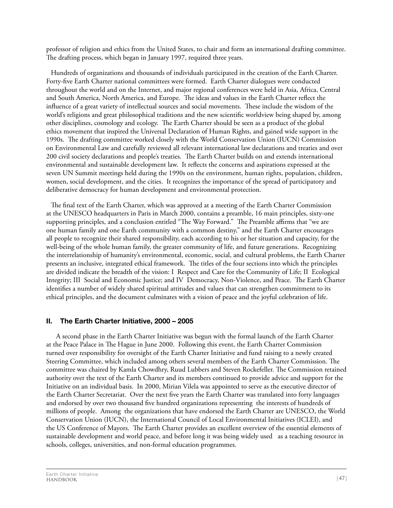professor of religion and ethics from the United States, to chair and form an international drafting committee. The drafting process, which began in January 1997, required three years.

Hundreds of organizations and thousands of individuals participated in the creation of the Earth Charter. Forty-five Earth Charter national committees were formed. Earth Charter dialogues were conducted throughout the world and on the Internet, and major regional conferences were held in Asia, Africa, Central and South America, North America, and Europe. The ideas and values in the Earth Charter reflect the influence of a great variety of intellectual sources and social movements. These include the wisdom of the world's religions and great philosophical traditions and the new scientific worldview being shaped by, among other disciplines, cosmology and ecology. The Earth Charter should be seen as a product of the global ethics movement that inspired the Universal Declaration of Human Rights, and gained wide support in the 1990s. The drafting committee worked closely with the World Conservation Union (IUCN) Commission on Environmental Law and carefully reviewed all relevant international law declarations and treaties and over 200 civil society declarations and people's treaties. The Earth Charter builds on and extends international environmental and sustainable development law. It reflects the concerns and aspirations expressed at the seven UN Summit meetings held during the 1990s on the environment, human rights, population, children, women, social development, and the cities. It recognizes the importance of the spread of participatory and deliberative democracy for human development and environmental protection.

The final text of the Earth Charter, which was approved at a meeting of the Earth Charter Commission at the UNESCO headquarters in Paris in March 2000, contains a preamble, 16 main principles, sixty-one supporting principles, and a conclusion entitled "The Way Forward." The Preamble affirms that "we are one human family and one Earth community with a common destiny," and the Earth Charter encourages all people to recognize their shared responsibility, each according to his or her situation and capacity, for the well-being of the whole human family, the greater community of life, and future generations. Recognizing the interrelationship of humanity's environmental, economic, social, and cultural problems, the Earth Charter presents an inclusive, integrated ethical framework. The titles of the four sections into which the principles are divided indicate the breadth of the vision: I Respect and Care for the Community of Life; II Ecological Integrity; III Social and Economic Justice; and IV Democracy, Non-Violence, and Peace. The Earth Charter identifies a number of widely shared spiritual attitudes and values that can strengthen commitment to its ethical principles, and the document culminates with a vision of peace and the joyful celebration of life.

# **II. The Earth Charter Initiative, 2000 – 2005**

 A second phase in the Earth Charter Initiative was begun with the formal launch of the Earth Charter at the Peace Palace in The Hague in June 2000. Following this event, the Earth Charter Commission turned over responsibility for oversight of the Earth Charter Initiative and fund raising to a newly created Steering Committee, which included among others several members of the Earth Charter Commission. The committee was chaired by Kamla Chowdhry, Ruud Lubbers and Steven Rockefeller. The Commission retained authority over the text of the Earth Charter and its members continued to provide advice and support for the Initiative on an individual basis. In 2000, Mirian Vilela was appointed to serve as the executive director of the Earth Charter Secretariat. Over the next five years the Earth Charter was translated into forty languages and endorsed by over two thousand five hundred organizations representing the interests of hundreds of millions of people. Among the organizations that have endorsed the Earth Charter are UNESCO, the World Conservation Union (IUCN), the International Council of Local Environmental Initiatives (ICLEI), and the US Conference of Mayors. The Earth Charter provides an excellent overview of the essential elements of sustainable development and world peace, and before long it was being widely used as a teaching resource in schools, colleges, universities, and non-formal education programmes.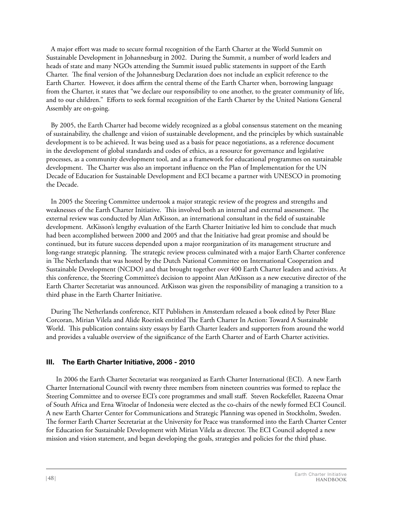A major effort was made to secure formal recognition of the Earth Charter at the World Summit on Sustainable Development in Johannesburg in 2002. During the Summit, a number of world leaders and heads of state and many NGOs attending the Summit issued public statements in support of the Earth Charter. The final version of the Johannesburg Declaration does not include an explicit reference to the Earth Charter. However, it does affirm the central theme of the Earth Charter when, borrowing language from the Charter, it states that "we declare our responsibility to one another, to the greater community of life, and to our children." Efforts to seek formal recognition of the Earth Charter by the United Nations General Assembly are on-going.

By 2005, the Earth Charter had become widely recognized as a global consensus statement on the meaning of sustainability, the challenge and vision of sustainable development, and the principles by which sustainable development is to be achieved. It was being used as a basis for peace negotiations, as a reference document in the development of global standards and codes of ethics, as a resource for governance and legislative processes, as a community development tool, and as a framework for educational programmes on sustainable development. The Charter was also an important influence on the Plan of Implementation for the UN Decade of Education for Sustainable Development and ECI became a partner with UNESCO in promoting the Decade.

In 2005 the Steering Committee undertook a major strategic review of the progress and strengths and weaknesses of the Earth Charter Initiative. This involved both an internal and external assessment. The external review was conducted by Alan AtKisson, an international consultant in the field of sustainable development. AtKisson's lengthy evaluation of the Earth Charter Initiative led him to conclude that much had been accomplished between 2000 and 2005 and that the Initiative had great promise and should be continued, but its future success depended upon a major reorganization of its management structure and long-range strategic planning. The strategic review process culminated with a major Earth Charter conference in The Netherlands that was hosted by the Dutch National Committee on International Cooperation and Sustainable Development (NCDO) and that brought together over 400 Earth Charter leaders and activists. At this conference, the Steering Committee's decision to appoint Alan AtKisson as a new executive director of the Earth Charter Secretariat was announced. AtKisson was given the responsibility of managing a transition to a third phase in the Earth Charter Initiative.

During The Netherlands conference, KIT Publishers in Amsterdam released a book edited by Peter Blaze Corcoran, Mirian Vilela and Alide Roerink entitled The Earth Charter In Action: Toward A Sustainable World. This publication contains sixty essays by Earth Charter leaders and supporters from around the world and provides a valuable overview of the significance of the Earth Charter and of Earth Charter activities.

#### **III. The Earth Charter Initiative, 2006 - 2010**

 In 2006 the Earth Charter Secretariat was reorganized as Earth Charter International (ECI). A new Earth Charter International Council with twenty three members from nineteen countries was formed to replace the Steering Committee and to oversee ECI's core programmes and small staff. Steven Rockefeller, Razeena Omar of South Africa and Erna Witoelar of Indonesia were elected as the co-chairs of the newly formed ECI Council. A new Earth Charter Center for Communications and Strategic Planning was opened in Stockholm, Sweden. The former Earth Charter Secretariat at the University for Peace was transformed into the Earth Charter Center for Education for Sustainable Development with Mirian Vilela as director. The ECI Council adopted a new mission and vision statement, and began developing the goals, strategies and policies for the third phase.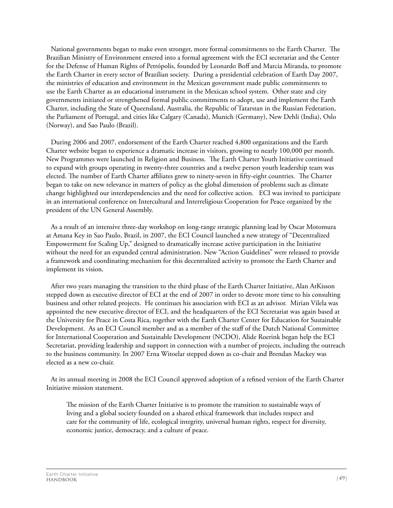National governments began to make even stronger, more formal commitments to the Earth Charter. The Brazilian Ministry of Environment entered into a formal agreement with the ECI secretariat and the Center for the Defense of Human Rights of Petrópolis, founded by Leonardo Boff and Marcia Miranda, to promote the Earth Charter in every sector of Brazilian society. During a presidential celebration of Earth Day 2007, the ministries of education and environment in the Mexican government made public commitments to use the Earth Charter as an educational instrument in the Mexican school system. Other state and city governments initiated or strengthened formal public commitments to adopt, use and implement the Earth Charter, including the State of Queensland, Australia, the Republic of Tatarstan in the Russian Federation, the Parliament of Portugal, and cities like Calgary (Canada), Munich (Germany), New Dehli (India), Oslo (Norway), and Sao Paulo (Brazil).

During 2006 and 2007, endorsement of the Earth Charter reached 4,800 organizations and the Earth Charter website began to experience a dramatic increase in visitors, growing to nearly 100,000 per month. New Programmes were launched in Religion and Business. The Earth Charter Youth Initiative continued to expand with groups operating in twenty-three countries and a twelve person youth leadership team was elected. The number of Earth Charter affiliates grew to ninety-seven in fifty-eight countries. The Charter began to take on new relevance in matters of policy as the global dimension of problems such as climate change highlighted our interdependencies and the need for collective action. ECI was invited to participate in an international conference on Intercultural and Interreligious Cooperation for Peace organized by the president of the UN General Assembly.

As a result of an intensive three-day workshop on long-range strategic planning lead by Oscar Motomura at Amana Key in Sao Paulo, Brazil, in 2007, the ECI Council launched a new strategy of "Decentralized Empowerment for Scaling Up," designed to dramatically increase active participation in the Initiative without the need for an expanded central administration. New "Action Guidelines" were released to provide a framework and coordinating mechanism for this decentralized activity to promote the Earth Charter and implement its vision.

After two years managing the transition to the third phase of the Earth Charter Initiative, Alan AtKisson stepped down as executive director of ECI at the end of 2007 in order to devote more time to his consulting business and other related projects. He continues his association with ECI as an advisor. Mirian Vilela was appointed the new executive director of ECI, and the headquarters of the ECI Secretariat was again based at the University for Peace in Costa Rica, together with the Earth Charter Center for Education for Sustainable Development. As an ECI Council member and as a member of the staff of the Dutch National Committee for International Cooperation and Sustainable Development (NCDO), Alide Roerink began help the ECI Secretariat, providing leadership and support in connection with a number of projects, including the outreach to the business community. In 2007 Erna Witoelar stepped down as co-chair and Brendan Mackey was elected as a new co-chair.

At its annual meeting in 2008 the ECI Council approved adoption of a refined version of the Earth Charter Initiative mission statement.

The mission of the Earth Charter Initiative is to promote the transition to sustainable ways of living and a global society founded on a shared ethical framework that includes respect and care for the community of life, ecological integrity, universal human rights, respect for diversity, economic justice, democracy, and a culture of peace.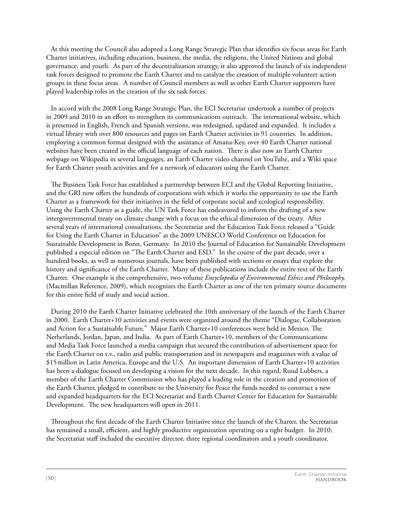At this meeting the Council also adopted a Long Range Strategic Plan that identifies six focus areas for Earth Charter initiatives, including education, business, the media, the religions, the United Nations and global governance, and youth. As part of the decentralization strategy, it also approved the launch of six independent task forces designed to promote the Earth Charter and to catalyze the creation of multiple volunteer action groups in these focus areas. A number of Council members as well as other Earth Charter supporters have played leadership roles in the creation of the six task forces.

In accord with the 2008 Long Range Strategic Plan, the ECI Secretariat undertook a number of projects in 2009 and 2010 in an effort to strengthen its communications outreach. The international website, which is presented in English, French and Spanish versions, was redesigned, updated and expanded. It includes a virtual library with over 800 resources and pages on Earth Charter activities in 91 countries. In addition, employing a common format designed with the assistance of Amana-Key, over 40 Earth Charter national websites have been created in the official language of each nation. There is also now an Earth Charter webpage on Wikipedia in several languages, an Earth Charter video channel on YouTube, and a Wiki space for Earth Charter youth activities and for a network of educators using the Earth Charter.

The Business Task Force has established a partnership between ECI and the Global Reporting Initiative, and the GRI now offers the hundreds of corporations with which it works the opportunity to use the Earth Charter as a framework for their initiatives in the field of corporate social and ecological responsibility. Using the Earth Charter as a guide, the UN Task Force has endeavored to inform the drafting of a new intergovernmental treaty on climate change with a focus on the ethical dimension of the treaty. After several years of international consultations, the Secretariat and the Education Task Force released a "Guide for Using the Earth Charter in Education" at the 2009 UNESCO World Conference on Education for Sustainable Development in Bonn, Germany. In 2010 the Journal of Education for Sustainable Development published a especial edition on "The Earth Charter and ESD." In the course of the past decade, over a hundred books, as well as numerous journals, have been published with sections or essays that explore the history and significance of the Earth Charter. Many of these publications include the entire text of the Earth Charter. One example is the comprehensive, two-volume *Encyclopedia of Environmental Ethics and Philosophy,* (Macmillan Reference, 2009), which recognizes the Earth Charter as one of the ten primary source documents for this entire field of study and social action.

During 2010 the Earth Charter Initiative celebrated the 10th anniversary of the launch of the Earth Charter in 2000. Earth Charter+10 activities and events were organized around the theme "Dialogue, Collaboration and Action for a Sustainable Future." Major Earth Charter+10 conferences were held in Mexico, The Netherlands, Jordan, Japan, and India. As part of Earth Charter+10, members of the Communications and Media Task Force launched a media campaign that secured the contribution of advertisement space for the Earth Charter on t.v., radio and public transportation and in newspapers and magazines with a value of \$15million in Latin America, Europe and the U.S. An important dimension of Earth Charter+10 activities has been a dialogue focused on developing a vision for the next decade. In this regard, Ruud Lubbers, a member of the Earth Charter Commission who has played a leading role in the creation and promotion of the Earth Charter, pledged to contribute to the University for Peace the funds needed to construct a new and expanded headquarters for the ECI Secretariat and Earth Charter Center for Education for Sustainable Development. The new headquarters will open in 2011.

Throughout the first decade of the Earth Charter Initiative since the launch of the Charter, the Secretariat has remained a small, efficient, and highly productive organization operating on a tight budget. In 2010, the Secretariat staff included the executive director, three regional coordinators and a youth coordinator.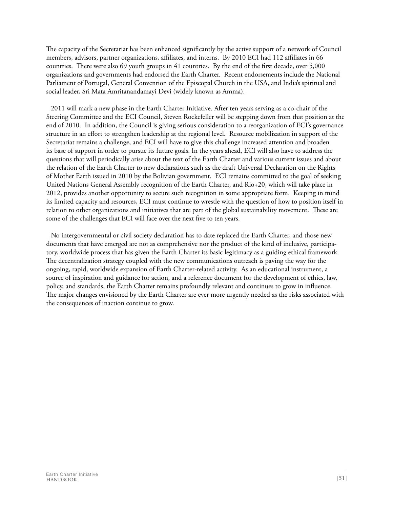The capacity of the Secretariat has been enhanced significantly by the active support of a network of Council members, advisors, partner organizations, affiliates, and interns. By 2010 ECI had 112 affiliates in 66 countries. There were also 69 youth groups in 41 countries. By the end of the first decade, over 5,000 organizations and governments had endorsed the Earth Charter. Recent endorsements include the National Parliament of Portugal, General Convention of the Episcopal Church in the USA, and India's spiritual and social leader, Sri Mata Amritanandamayi Devi (widely known as Amma).

2011 will mark a new phase in the Earth Charter Initiative. After ten years serving as a co-chair of the Steering Committee and the ECI Council, Steven Rockefeller will be stepping down from that position at the end of 2010. In addition, the Council is giving serious consideration to a reorganization of ECI's governance structure in an effort to strengthen leadership at the regional level. Resource mobilization in support of the Secretariat remains a challenge, and ECI will have to give this challenge increased attention and broaden its base of support in order to pursue its future goals. In the years ahead, ECI will also have to address the questions that will periodically arise about the text of the Earth Charter and various current issues and about the relation of the Earth Charter to new declarations such as the draft Universal Declaration on the Rights of Mother Earth issued in 2010 by the Bolivian government. ECI remains committed to the goal of seeking United Nations General Assembly recognition of the Earth Charter, and Rio+20, which will take place in 2012, provides another opportunity to secure such recognition in some appropriate form. Keeping in mind its limited capacity and resources, ECI must continue to wrestle with the question of how to position itself in relation to other organizations and initiatives that are part of the global sustainability movement. These are some of the challenges that ECI will face over the next five to ten years.

No intergovernmental or civil society declaration has to date replaced the Earth Charter, and those new documents that have emerged are not as comprehensive nor the product of the kind of inclusive, participatory, worldwide process that has given the Earth Charter its basic legitimacy as a guiding ethical framework. The decentralization strategy coupled with the new communications outreach is paving the way for the ongoing, rapid, worldwide expansion of Earth Charter-related activity. As an educational instrument, a source of inspiration and guidance for action, and a reference document for the development of ethics, law, policy, and standards, the Earth Charter remains profoundly relevant and continues to grow in influence. The major changes envisioned by the Earth Charter are ever more urgently needed as the risks associated with the consequences of inaction continue to grow.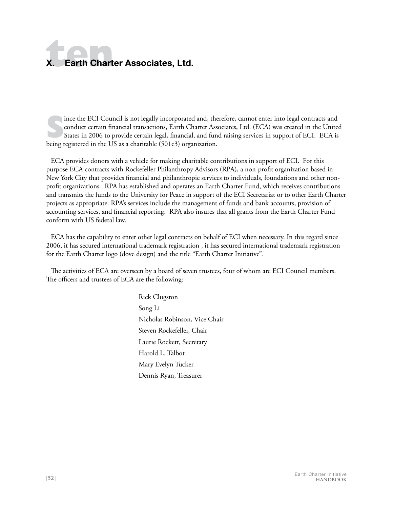# **Earth Charter Associates, Ltd.**

ince the ECI Council is not legally incorporated and, therefore, cannot enter into legal contracts and conduct certain financial transactions, Earth Charter Associates, Ltd. (ECA) was created in the United States in 2006 t conduct certain financial transactions, Earth Charter Associates, Ltd. (ECA) was created in the United States in 2006 to provide certain legal, financial, and fund raising services in support of ECI. ECA is being registered in the US as a charitable (501c3) organization.

ECA provides donors with a vehicle for making charitable contributions in support of ECI. For this purpose ECA contracts with Rockefeller Philanthropy Advisors (RPA), a non-profit organization based in New York City that provides financial and philanthropic services to individuals, foundations and other nonprofit organizations. RPA has established and operates an Earth Charter Fund, which receives contributions and transmits the funds to the University for Peace in support of the ECI Secretariat or to other Earth Charter projects as appropriate. RPA's services include the management of funds and bank accounts, provision of accounting services, and financial reporting. RPA also insures that all grants from the Earth Charter Fund conform with US federal law.

ECA has the capability to enter other legal contracts on behalf of ECI when necessary. In this regard since 2006, it has secured international trademark registration , it has secured international trademark registration for the Earth Charter logo (dove design) and the title "Earth Charter Initiative".

The activities of ECA are overseen by a board of seven trustees, four of whom are ECI Council members. The officers and trustees of ECA are the following:

> Rick Clugston Song Li Nicholas Robinson, Vice Chair Steven Rockefeller, Chair Laurie Rockett, Secretary Harold L. Talbot Mary Evelyn Tucker Dennis Ryan, Treasurer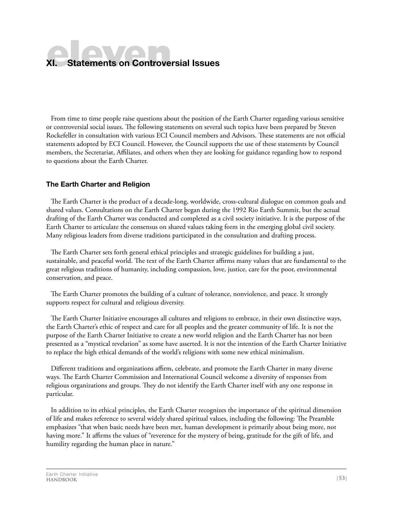From time to time people raise questions about the position of the Earth Charter regarding various sensitive or controversial social issues. The following statements on several such topics have been prepared by Steven Rockefeller in consultation with various ECI Council members and Advisors. These statements are not official statements adopted by ECI Council. However, the Council supports the use of these statements by Council members, the Secretariat, Affiliates, and others when they are looking for guidance regarding how to respond to questions about the Earth Charter.

#### **The Earth Charter and Religion**

The Earth Charter is the product of a decade-long, worldwide, cross-cultural dialogue on common goals and shared values. Consultations on the Earth Charter began during the 1992 Rio Earth Summit, but the actual drafting of the Earth Charter was conducted and completed as a civil society initiative. It is the purpose of the Earth Charter to articulate the consensus on shared values taking form in the emerging global civil society. Many religious leaders from diverse traditions participated in the consultation and drafting process.

The Earth Charter sets forth general ethical principles and strategic guidelines for building a just, sustainable, and peaceful world. The text of the Earth Charter affirms many values that are fundamental to the great religious traditions of humanity, including compassion, love, justice, care for the poor, environmental conservation, and peace.

The Earth Charter promotes the building of a culture of tolerance, nonviolence, and peace. It strongly supports respect for cultural and religious diversity.

The Earth Charter Initiative encourages all cultures and religions to embrace, in their own distinctive ways, the Earth Charter's ethic of respect and care for all peoples and the greater community of life. It is not the purpose of the Earth Charter Initiative to create a new world religion and the Earth Charter has not been presented as a "mystical revelation" as some have asserted. It is not the intention of the Earth Charter Initiative to replace the high ethical demands of the world's religions with some new ethical minimalism.

Different traditions and organizations affirm, celebrate, and promote the Earth Charter in many diverse ways. The Earth Charter Commission and International Council welcome a diversity of responses from religious organizations and groups. They do not identify the Earth Charter itself with any one response in particular.

In addition to its ethical principles, the Earth Charter recognizes the importance of the spiritual dimension of life and makes reference to several widely shared spiritual values, including the following: The Preamble emphasizes "that when basic needs have been met, human development is primarily about being more, not having more." It affirms the values of "reverence for the mystery of being, gratitude for the gift of life, and humility regarding the human place in nature."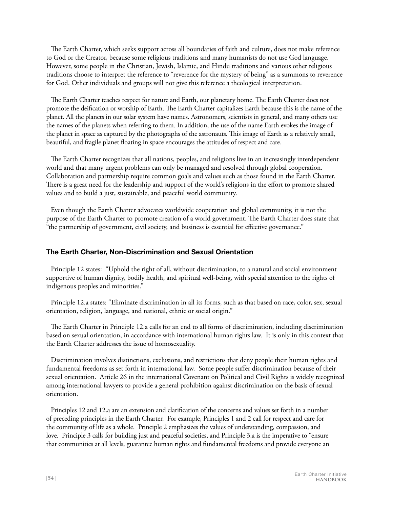The Earth Charter, which seeks support across all boundaries of faith and culture, does not make reference to God or the Creator, because some religious traditions and many humanists do not use God language. However, some people in the Christian, Jewish, Islamic, and Hindu traditions and various other religious traditions choose to interpret the reference to "reverence for the mystery of being" as a summons to reverence for God. Other individuals and groups will not give this reference a theological interpretation.

The Earth Charter teaches respect for nature and Earth, our planetary home. The Earth Charter does not promote the deification or worship of Earth. The Earth Charter capitalizes Earth because this is the name of the planet. All the planets in our solar system have names. Astronomers, scientists in general, and many others use the names of the planets when referring to them. In addition, the use of the name Earth evokes the image of the planet in space as captured by the photographs of the astronauts. This image of Earth as a relatively small, beautiful, and fragile planet floating in space encourages the attitudes of respect and care.

The Earth Charter recognizes that all nations, peoples, and religions live in an increasingly interdependent world and that many urgent problems can only be managed and resolved through global cooperation. Collaboration and partnership require common goals and values such as those found in the Earth Charter. There is a great need for the leadership and support of the world's religions in the effort to promote shared values and to build a just, sustainable, and peaceful world community.

Even though the Earth Charter advocates worldwide cooperation and global community, it is not the purpose of the Earth Charter to promote creation of a world government. The Earth Charter does state that "the partnership of government, civil society, and business is essential for effective governance."

#### **The Earth Charter, Non-Discrimination and Sexual Orientation**

Principle 12 states: "Uphold the right of all, without discrimination, to a natural and social environment supportive of human dignity, bodily health, and spiritual well-being, with special attention to the rights of indigenous peoples and minorities."

Principle 12.a states: "Eliminate discrimination in all its forms, such as that based on race, color, sex, sexual orientation, religion, language, and national, ethnic or social origin."

The Earth Charter in Principle 12.a calls for an end to all forms of discrimination, including discrimination based on sexual orientation, in accordance with international human rights law. It is only in this context that the Earth Charter addresses the issue of homosexuality.

Discrimination involves distinctions, exclusions, and restrictions that deny people their human rights and fundamental freedoms as set forth in international law. Some people suffer discrimination because of their sexual orientation. Article 26 in the international Covenant on Political and Civil Rights is widely recognized among international lawyers to provide a general prohibition against discrimination on the basis of sexual orientation.

Principles 12 and 12.a are an extension and clarification of the concerns and values set forth in a number of preceding principles in the Earth Charter. For example, Principles 1 and 2 call for respect and care for the community of life as a whole. Principle 2 emphasizes the values of understanding, compassion, and love. Principle 3 calls for building just and peaceful societies, and Principle 3.a is the imperative to "ensure that communities at all levels, guarantee human rights and fundamental freedoms and provide everyone an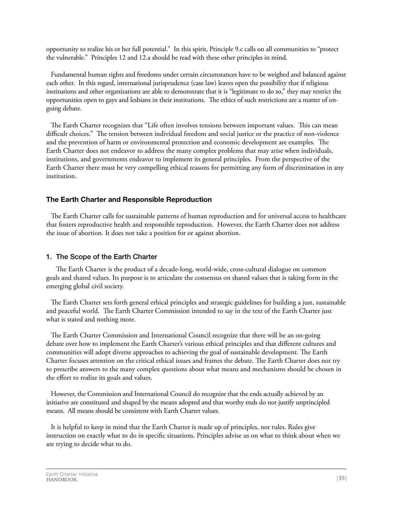opportunity to realize his or her full potential." In this spirit, Principle 9.c calls on all communities to "protect the vulnerable." Principles 12 and 12.a should be read with these other principles in mind.

Fundamental human rights and freedoms under certain circumstances have to be weighed and balanced against each other. In this regard, international jurisprudence (case law) leaves open the possibility that if religious institutions and other organizations are able to demonstrate that it is "legitimate to do so," they may restrict the opportunities open to gays and lesbians in their institutions. The ethics of such restrictions are a matter of ongoing debate.

The Earth Charter recognizes that "Life often involves tensions between important values. This can mean difficult choices." The tension between individual freedom and social justice or the practice of non-violence and the prevention of harm or environmental protection and economic development are examples. The Earth Charter does not endeavor to address the many complex problems that may arise when individuals, institutions, and governments endeavor to implement its general principles. From the perspective of the Earth Charter there must be very compelling ethical reasons for permitting any form of discrimination in any institution.

# **The Earth Charter and Responsible Reproduction**

The Earth Charter calls for sustainable patterns of human reproduction and for universal access to healthcare that fosters reproductive health and responsible reproduction. However, the Earth Charter does not address the issue of abortion. It does not take a position for or against abortion.

# 1. The Scope of the Earth Charter

 The Earth Charter is the product of a decade-long, world-wide, cross-cultural dialogue on common goals and shared values. Its purpose is to articulate the consensus on shared values that is taking form in the emerging global civil society.

The Earth Charter sets forth general ethical principles and strategic guidelines for building a just, sustainable and peaceful world. The Earth Charter Commission intended to say in the text of the Earth Charter just what is stated and nothing more.

The Earth Charter Commission and International Council recognize that there will be an on-going debate over how to implement the Earth Charter's various ethical principles and that different cultures and communities will adopt diverse approaches to achieving the goal of sustainable development. The Earth Charter focuses attention on the critical ethical issues and frames the debate. The Earth Charter does not try to prescribe answers to the many complex questions about what means and mechanisms should be chosen in the effort to realize its goals and values.

However, the Commission and International Council do recognize that the ends actually achieved by an initiative are constituted and shaped by the means adopted and that worthy ends do not justify unprincipled means. All means should be consistent with Earth Charter values.

It is helpful to keep in mind that the Earth Charter is made up of principles, not rules. Rules give instruction on exactly what to do in specific situations. Principles advise us on what to think about when we are trying to decide what to do.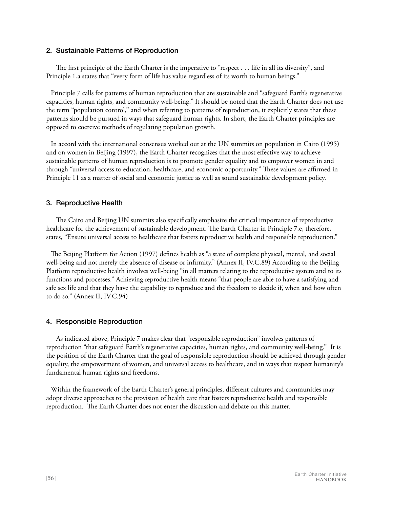#### 2. Sustainable Patterns of Reproduction

 The first principle of the Earth Charter is the imperative to "respect . . . life in all its diversity", and Principle 1.a states that "every form of life has value regardless of its worth to human beings."

Principle 7 calls for patterns of human reproduction that are sustainable and "safeguard Earth's regenerative capacities, human rights, and community well-being." It should be noted that the Earth Charter does not use the term "population control," and when referring to patterns of reproduction, it explicitly states that these patterns should be pursued in ways that safeguard human rights. In short, the Earth Charter principles are opposed to coercive methods of regulating population growth.

In accord with the international consensus worked out at the UN summits on population in Cairo (1995) and on women in Beijing (1997), the Earth Charter recognizes that the most effective way to achieve sustainable patterns of human reproduction is to promote gender equality and to empower women in and through "universal access to education, healthcare, and economic opportunity." These values are affirmed in Principle 11 as a matter of social and economic justice as well as sound sustainable development policy.

#### 3. Reproductive Health

 The Cairo and Beijing UN summits also specifically emphasize the critical importance of reproductive healthcare for the achievement of sustainable development. The Earth Charter in Principle 7.e, therefore, states, "Ensure universal access to healthcare that fosters reproductive health and responsible reproduction."

The Beijing Platform for Action (1997) defines health as "a state of complete physical, mental, and social well-being and not merely the absence of disease or infirmity." (Annex II, IV.C.89) According to the Beijing Platform reproductive health involves well-being "in all matters relating to the reproductive system and to its functions and processes." Achieving reproductive health means "that people are able to have a satisfying and safe sex life and that they have the capability to reproduce and the freedom to decide if, when and how often to do so." (Annex II, IV.C.94)

#### 4. Responsible Reproduction

 As indicated above, Principle 7 makes clear that "responsible reproduction" involves patterns of reproduction "that safeguard Earth's regenerative capacities, human rights, and community well-being." It is the position of the Earth Charter that the goal of responsible reproduction should be achieved through gender equality, the empowerment of women, and universal access to healthcare, and in ways that respect humanity's fundamental human rights and freedoms.

Within the framework of the Earth Charter's general principles, different cultures and communities may adopt diverse approaches to the provision of health care that fosters reproductive health and responsible reproduction. The Earth Charter does not enter the discussion and debate on this matter.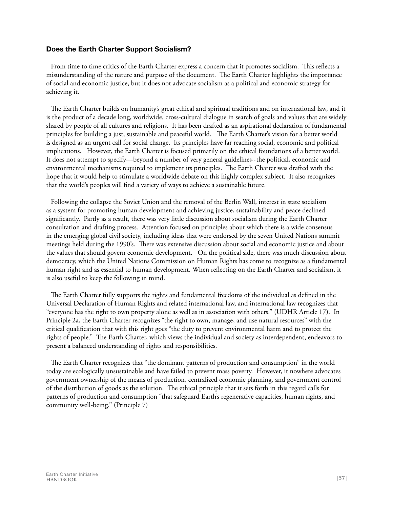#### **Does the Earth Charter Support Socialism?**

From time to time critics of the Earth Charter express a concern that it promotes socialism. This reflects a misunderstanding of the nature and purpose of the document. The Earth Charter highlights the importance of social and economic justice, but it does not advocate socialism as a political and economic strategy for achieving it.

The Earth Charter builds on humanity's great ethical and spiritual traditions and on international law, and it is the product of a decade long, worldwide, cross-cultural dialogue in search of goals and values that are widely shared by people of all cultures and religions. It has been drafted as an aspirational declaration of fundamental principles for building a just, sustainable and peaceful world. The Earth Charter's vision for a better world is designed as an urgent call for social change. Its principles have far reaching social, economic and political implications. However, the Earth Charter is focused primarily on the ethical foundations of a better world. It does not attempt to specify—beyond a number of very general guidelines--the political, economic and environmental mechanisms required to implement its principles. The Earth Charter was drafted with the hope that it would help to stimulate a worldwide debate on this highly complex subject. It also recognizes that the world's peoples will find a variety of ways to achieve a sustainable future.

Following the collapse the Soviet Union and the removal of the Berlin Wall, interest in state socialism as a system for promoting human development and achieving justice, sustainability and peace declined significantly. Partly as a result, there was very little discussion about socialism during the Earth Charter consultation and drafting process. Attention focused on principles about which there is a wide consensus in the emerging global civil society, including ideas that were endorsed by the seven United Nations summit meetings held during the 1990's. There was extensive discussion about social and economic justice and about the values that should govern economic development. On the political side, there was much discussion about democracy, which the United Nations Commission on Human Rights has come to recognize as a fundamental human right and as essential to human development. When reflecting on the Earth Charter and socialism, it is also useful to keep the following in mind.

The Earth Charter fully supports the rights and fundamental freedoms of the individual as defined in the Universal Declaration of Human Rights and related international law, and international law recognizes that "everyone has the right to own property alone as well as in association with others." (UDHR Article 17). In Principle 2a, the Earth Charter recognizes "the right to own, manage, and use natural resources" with the critical qualification that with this right goes "the duty to prevent environmental harm and to protect the rights of people." The Earth Charter, which views the individual and society as interdependent, endeavors to present a balanced understanding of rights and responsibilities.

The Earth Charter recognizes that "the dominant patterns of production and consumption" in the world today are ecologically unsustainable and have failed to prevent mass poverty. However, it nowhere advocates government ownership of the means of production, centralized economic planning, and government control of the distribution of goods as the solution. The ethical principle that it sets forth in this regard calls for patterns of production and consumption "that safeguard Earth's regenerative capacities, human rights, and community well-being." (Principle 7)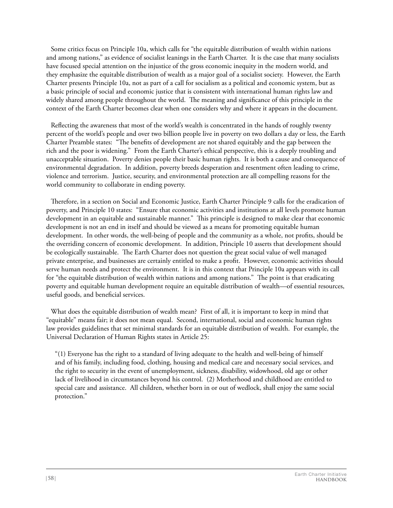Some critics focus on Principle 10a, which calls for "the equitable distribution of wealth within nations and among nations," as evidence of socialist leanings in the Earth Charter. It is the case that many socialists have focused special attention on the injustice of the gross economic inequity in the modern world, and they emphasize the equitable distribution of wealth as a major goal of a socialist society. However, the Earth Charter presents Principle 10a, not as part of a call for socialism as a political and economic system, but as a basic principle of social and economic justice that is consistent with international human rights law and widely shared among people throughout the world. The meaning and significance of this principle in the context of the Earth Charter becomes clear when one considers why and where it appears in the document.

Reflecting the awareness that most of the world's wealth is concentrated in the hands of roughly twenty percent of the world's people and over two billion people live in poverty on two dollars a day or less, the Earth Charter Preamble states: "The benefits of development are not shared equitably and the gap between the rich and the poor is widening." From the Earth Charter's ethical perspective, this is a deeply troubling and unacceptable situation. Poverty denies people their basic human rights. It is both a cause and consequence of environmental degradation. In addition, poverty breeds desperation and resentment often leading to crime, violence and terrorism. Justice, security, and environmental protection are all compelling reasons for the world community to collaborate in ending poverty.

Therefore, in a section on Social and Economic Justice, Earth Charter Principle 9 calls for the eradication of poverty, and Principle 10 states: "Ensure that economic activities and institutions at all levels promote human development in an equitable and sustainable manner." This principle is designed to make clear that economic development is not an end in itself and should be viewed as a means for promoting equitable human development. In other words, the well-being of people and the community as a whole, not profits, should be the overriding concern of economic development. In addition, Principle 10 asserts that development should be ecologically sustainable. The Earth Charter does not question the great social value of well managed private enterprise, and businesses are certainly entitled to make a profit. However, economic activities should serve human needs and protect the environment. It is in this context that Principle 10a appears with its call for "the equitable distribution of wealth within nations and among nations." The point is that eradicating poverty and equitable human development require an equitable distribution of wealth—of essential resources, useful goods, and beneficial services.

What does the equitable distribution of wealth mean? First of all, it is important to keep in mind that "equitable" means fair; it does not mean equal. Second, international, social and economic human rights law provides guidelines that set minimal standards for an equitable distribution of wealth. For example, the Universal Declaration of Human Rights states in Article 25:

"(1) Everyone has the right to a standard of living adequate to the health and well-being of himself and of his family, including food, clothing, housing and medical care and necessary social services, and the right to security in the event of unemployment, sickness, disability, widowhood, old age or other lack of livelihood in circumstances beyond his control. (2) Motherhood and childhood are entitled to special care and assistance. All children, whether born in or out of wedlock, shall enjoy the same social protection."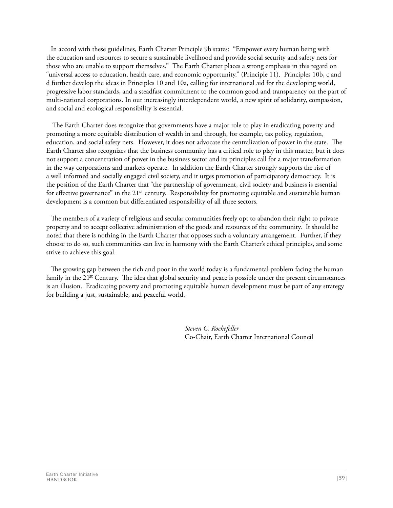In accord with these guidelines, Earth Charter Principle 9b states: "Empower every human being with the education and resources to secure a sustainable livelihood and provide social security and safety nets for those who are unable to support themselves." The Earth Charter places a strong emphasis in this regard on "universal access to education, health care, and economic opportunity." (Principle 11). Principles 10b, c and d further develop the ideas in Principles 10 and 10a, calling for international aid for the developing world, progressive labor standards, and a steadfast commitment to the common good and transparency on the part of multi-national corporations. In our increasingly interdependent world, a new spirit of solidarity, compassion, and social and ecological responsibility is essential.

 The Earth Charter does recognize that governments have a major role to play in eradicating poverty and promoting a more equitable distribution of wealth in and through, for example, tax policy, regulation, education, and social safety nets. However, it does not advocate the centralization of power in the state. The Earth Charter also recognizes that the business community has a critical role to play in this matter, but it does not support a concentration of power in the business sector and its principles call for a major transformation in the way corporations and markets operate. In addition the Earth Charter strongly supports the rise of a well informed and socially engaged civil society, and it urges promotion of participatory democracy. It is the position of the Earth Charter that "the partnership of government, civil society and business is essential for effective governance" in the  $21<sup>st</sup>$  century. Responsibility for promoting equitable and sustainable human development is a common but differentiated responsibility of all three sectors.

The members of a variety of religious and secular communities freely opt to abandon their right to private property and to accept collective administration of the goods and resources of the community. It should be noted that there is nothing in the Earth Charter that opposes such a voluntary arrangement. Further, if they choose to do so, such communities can live in harmony with the Earth Charter's ethical principles, and some strive to achieve this goal.

The growing gap between the rich and poor in the world today is a fundamental problem facing the human family in the 21st Century. The idea that global security and peace is possible under the present circumstances is an illusion. Eradicating poverty and promoting equitable human development must be part of any strategy for building a just, sustainable, and peaceful world.

> *Steven C. Rockefeller* Co-Chair, Earth Charter International Council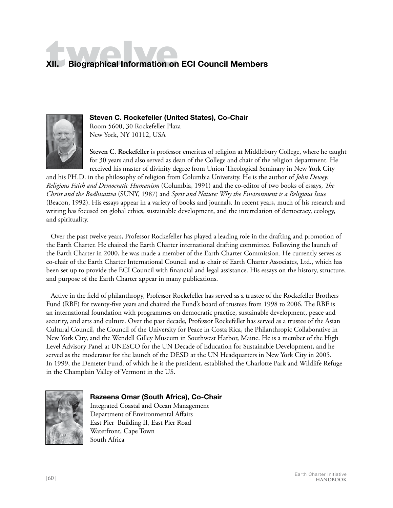

**Steven C. Rockefeller (United States), Co-Chair**

Room 5600, 30 Rockefeller Plaza New York, NY 10112, USA

**Steven C. Rockefeller** is professor emeritus of religion at Middlebury College, where he taught for 30 years and also served as dean of the College and chair of the religion department. He received his master of divinity degree from Union Theological Seminary in New York City

and his PH.D. in the philosophy of religion from Columbia University. He is the author of *John Dewey: Religious Faith and Democratic Humanism* (Columbia, 1991) and the co-editor of two books of essays, *The Christ and the Bodhisattva* (SUNY, 1987) and *Sprit and Nature: Why the Environment is a Religious Issue* (Beacon, 1992). His essays appear in a variety of books and journals. In recent years, much of his research and writing has focused on global ethics, sustainable development, and the interrelation of democracy, ecology, and spirituality.

Over the past twelve years, Professor Rockefeller has played a leading role in the drafting and promotion of the Earth Charter. He chaired the Earth Charter international drafting committee. Following the launch of the Earth Charter in 2000, he was made a member of the Earth Charter Commission. He currently serves as co-chair of the Earth Charter International Council and as chair of Earth Charter Associates, Ltd., which has been set up to provide the ECI Council with financial and legal assistance. His essays on the history, structure, and purpose of the Earth Charter appear in many publications.

Active in the field of philanthropy, Professor Rockefeller has served as a trustee of the Rockefeller Brothers Fund (RBF) for twenty-five years and chaired the Fund's board of trustees from 1998 to 2006. The RBF is an international foundation with programmes on democratic practice, sustainable development, peace and security, and arts and culture. Over the past decade, Professor Rockefeller has served as a trustee of the Asian Cultural Council, the Council of the University for Peace in Costa Rica, the Philanthropic Collaborative in New York City, and the Wendell Gilley Museum in Southwest Harbor, Maine. He is a member of the High Level Advisory Panel at UNESCO for the UN Decade of Education for Sustainable Development, and he served as the moderator for the launch of the DESD at the UN Headquarters in New York City in 2005. In 1999, the Demeter Fund, of which he is the president, established the Charlotte Park and Wildlife Refuge in the Champlain Valley of Vermont in the US.



#### **Razeena Omar (South Africa), Co-Chair**

Integrated Coastal and Ocean Management Department of Environmental Affairs East Pier Building II, East Pier Road Waterfront, Cape Town South Africa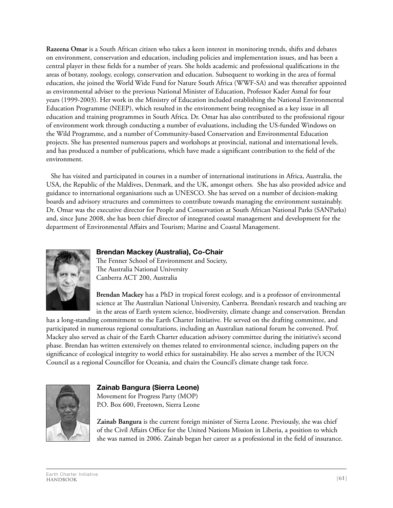**Razeena Omar** is a South African citizen who takes a keen interest in monitoring trends, shifts and debates on environment, conservation and education, including policies and implementation issues, and has been a central player in these fields for a number of years. She holds academic and professional qualifications in the areas of botany, zoology, ecology, conservation and education. Subsequent to working in the area of formal education, she joined the World Wide Fund for Nature South Africa (WWF-SA) and was thereafter appointed as environmental adviser to the previous National Minister of Education, Professor Kader Asmal for four years (1999-2003). Her work in the Ministry of Education included establishing the National Environmental Education Programme (NEEP), which resulted in the environment being recognised as a key issue in all education and training programmes in South Africa. Dr. Omar has also contributed to the professional rigour of environment work through conducting a number of evaluations, including the US-funded Windows on the Wild Programme, and a number of Community-based Conservation and Environmental Education projects. She has presented numerous papers and workshops at provincial, national and international levels, and has produced a number of publications, which have made a significant contribution to the field of the environment.

She has visited and participated in courses in a number of international institutions in Africa, Australia, the USA, the Republic of the Maldives, Denmark, and the UK, amongst others. She has also provided advice and guidance to international organisations such as UNESCO. She has served on a number of decision-making boards and advisory structures and committees to contribute towards managing the environment sustainably. Dr. Omar was the executive director for People and Conservation at South African National Parks (SANParks) and, since June 2008, she has been chief director of integrated coastal management and development for the department of Environmental Affairs and Tourism; Marine and Coastal Management.



#### **Brendan Mackey (Australia), Co-Chair**

The Fenner School of Environment and Society, The Australia National University Canberra ACT 200, Australia

**Brendan Mackey** has a PhD in tropical forest ecology, and is a professor of environmental science at The Australian National University, Canberra. Brendan's research and teaching are in the areas of Earth system science, biodiversity, climate change and conservation. Brendan

has a long-standing commitment to the Earth Charter Initiative. He served on the drafting committee, and participated in numerous regional consultations, including an Australian national forum he convened. Prof. Mackey also served as chair of the Earth Charter education advisory committee during the initiative's second phase. Brendan has written extensively on themes related to environmental science, including papers on the significance of ecological integrity to world ethics for sustainability. He also serves a member of the IUCN Council as a regional Councillor for Oceania, and chairs the Council's climate change task force.



#### **Zainab Bangura (Sierra Leone)**

Movement for Progress Party (MOP) P.O. Box 600, Freetown, Sierra Leone

**Zainab Bangura** is the current foreign minister of Sierra Leone. Previously, she was chief of the Civil Affairs Office for the United Nations Mission in Liberia, a position to which she was named in 2006. Zainab began her career as a professional in the field of insurance.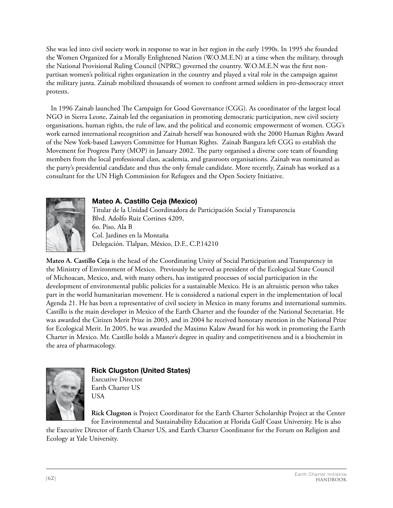She was led into civil society work in response to war in her region in the early 1990s. In 1995 she founded the Women Organized for a Morally Enlightened Nation (W.O.M.E.N) at a time when the military, through the National Provisional Ruling Council (NPRC) governed the country. W.O.M.E.N was the first nonpartisan women's political rights organization in the country and played a vital role in the campaign against the military junta. Zainab mobilized thousands of women to confront armed soldiers in pro-democracy street protests.

In 1996 Zainab launched The Campaign for Good Governance (CGG). As coordinator of the largest local NGO in Sierra Leone, Zainab led the organisation in promoting democratic participation, new civil society organisations, human rights, the rule of law, and the political and economic empowerment of women. CGG's work earned international recognition and Zainab herself was honoured with the 2000 Human Rights Award of the New York-based Lawyers Committee for Human Rights. Zainab Bangura left CGG to establish the Movement for Progress Party (MOP) in January 2002. The party organised a diverse core team of founding members from the local professional class, academia, and grassroots organisations. Zainab was nominated as the party's presidential candidate and thus the only female candidate. More recently, Zainab has worked as a consultant for the UN High Commission for Refugees and the Open Society Initiative.



#### **Mateo A. Castillo Ceja (Mexico)**

Titular de la Unidad Coordinadora de Participación Social y Transparencia Blvd. Adolfo Ruiz Cortines 4209, 6o. Piso, Ala B Col. Jardines en la Montaña Delegación. Tlalpan, México, D.F., C.P.14210

**Mateo A. Castillo Ceja** is the head of the Coordinating Unity of Social Participation and Transparency in the Ministry of Environment of Mexico. Previously he served as president of the Ecological State Council of Michoacan, Mexico, and, with many others, has instigated processes of social participation in the development of environmental public policies for a sustainable Mexico. He is an altruistic person who takes part in the world humanitarian movement. He is considered a national expert in the implementation of local Agenda 21. He has been a representative of civil society in Mexico in many forums and international summits. Castillo is the main developer in Mexico of the Earth Charter and the founder of the National Secretariat. He was awarded the Citizen Merit Prize in 2003, and in 2004 he received honorary mention in the National Prize for Ecological Merit. In 2005, he was awarded the Maximo Kalaw Award for his work in promoting the Earth Charter in Mexico. Mr. Castillo holds a Master's degree in quality and competitiveness and is a biochemist in the area of pharmacology.



# **Rick Clugston (United States)**

Executive Director Earth Charter US USA

**Rick Clugston** is Project Coordinator for the Earth Charter Scholarship Project at the Center for Environmental and Sustainability Education at Florida Gulf Coast University. He is also

the Executive Director of Earth Charter US, and Earth Charter Coordinator for the Forum on Religion and Ecology at Yale University.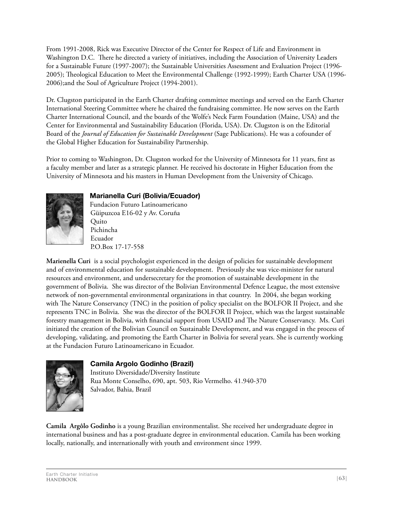From 1991-2008, Rick was Executive Director of the Center for Respect of Life and Environment in Washington D.C. There he directed a variety of initiatives, including the Association of University Leaders for a Sustainable Future (1997-2007); the Sustainable Universities Assessment and Evaluation Project (1996- 2005); Theological Education to Meet the Environmental Challenge (1992-1999); Earth Charter USA (1996- 2006);and the Soul of Agriculture Project (1994-2001).

Dr. Clugston participated in the Earth Charter drafting committee meetings and served on the Earth Charter International Steering Committee where he chaired the fundraising committee. He now serves on the Earth Charter International Council, and the boards of the Wolfe's Neck Farm Foundation (Maine, USA) and the Center for Environmental and Sustainability Education (Florida, USA). Dr. Clugston is on the Editorial Board of the *Journal of Education for Sustainable Development* (Sage Publications). He was a cofounder of the Global Higher Education for Sustainability Partnership.

Prior to coming to Washington, Dr. Clugston worked for the University of Minnesota for 11 years, first as a faculty member and later as a strategic planner. He received his doctorate in Higher Education from the University of Minnesota and his masters in Human Development from the University of Chicago.



# **Marianella Curi (Bolivia/Ecuador)**

Fundacion Futuro Latinoamericano Güipuzcoa E16-02 y Av. Coruña **Quito** Pichincha Ecuador P.O.Box 17-17-558

**Marienella Curi** is a social psychologist experienced in the design of policies for sustainable development and of environmental education for sustainable development. Previously she was vice-minister for natural resources and environment, and undersecretary for the promotion of sustainable development in the government of Bolivia. She was director of the Bolivian Environmental Defence League, the most extensive network of non-governmental environmental organizations in that country. In 2004, she began working with The Nature Conservancy (TNC) in the position of policy specialist on the BOLFOR II Project, and she represents TNC in Bolivia. She was the director of the BOLFOR II Project, which was the largest sustainable forestry management in Bolivia, with financial support from USAID and The Nature Conservancy. Ms. Curi initiated the creation of the Bolivian Council on Sustainable Development, and was engaged in the process of developing, validating, and promoting the Earth Charter in Bolivia for several years. She is currently working at the Fundacion Futuro Latinoamericano in Ecuador.



# **Camila Argolo Godinho (Brazil)**

Instituto Diversidade/Diversity Institute Rua Monte Conselho, 690, apt. 503, Rio Vermelho. 41.940-370 Salvador, Bahia, Brazil

**Camila Argôlo Godinho** is a young Brazilian environmentalist. She received her undergraduate degree in international business and has a post-graduate degree in environmental education. Camila has been working locally, nationally, and internationally with youth and environment since 1999.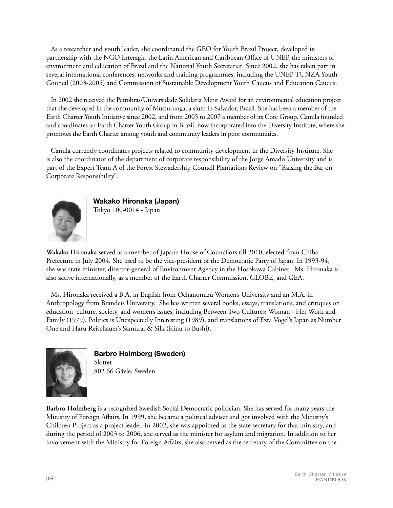As a researcher and youth leader, she coordinated the GEO for Youth Brazil Project, developed in partnership with the NGO Interagir, the Latin American and Caribbean Office of UNEP, the ministers of environment and education of Brazil and the National Youth Secretariat. Since 2002, she has taken part in several international conferences, networks and training programmes, including the UNEP TUNZA Youth Council (2003-2005) and Commission of Sustainable Development Youth Caucus and Education Caucus.

In 2002 she received the Petrobras/Universidade Solidaria Merit Award for an environmental education project that she developed in the community of Mussurunga, a slum in Salvador, Brazil. She has been a member of the Earth Charter Youth Initiative since 2002, and from 2005 to 2007 a member of its Core Group. Camila founded and coordinates an Earth Charter Youth Group in Brazil, now incorporated into the Diversity Institute, where she promotes the Earth Charter among youth and community leaders in poor communities.

Camila currently coordinates projects related to community development in the Diversity Institute. She is also the coordinator of the department of corporate responsibility of the Jorge Amado University and is part of the Expert Team A of the Forest Stewadership Council Plantations Review on "Raising the Bar on Corporate Responsibility".



**Wakako Hironaka (Japan)** Tokyo 100-0014 - Japan

**Wakako Hironaka** served as a member of Japan's House of Councilors till 2010, elected from Chiba Prefecture in July 2004. She used to be the vice-president of the Democratic Party of Japan. In 1993-94, she was state minister, director-general of Environment Agency in the Hosokawa Cabinet. Ms. Hironaka is also active internationally, as a member of the Earth Charter Commission, GLOBE, and GEA.

Ms. Hironaka received a B.A. in English from Ochanomizu Women's University and an M.A. in Anthropology from Brandeis University. She has written several books, essays, translations, and critiques on education, culture, society, and women's issues, including Between Two Cultures: Woman - Her Work and Family (1979), Politics is Unexpectedly Interesting (1989), and translations of Ezra Vogel's Japan as Number One and Haru Reischauer's Samurai & Silk (Kinu to Bushi).



**Barbro Holmberg (Sweden)** Slottet 802 66 Gävle, Sweden

**Barbro Holmberg** is a recognized Swedish Social Democratic politician. She has served for many years the Ministry of Foreign Affairs. In 1999, she became a political adviser and got involved with the Ministry's Children Project as a project leader. In 2002, she was appointed as the state secretary for that ministry, and during the period of 2003 to 2006, she served as the minister for asylum and migration. In addition to her involvement with the Ministry for Foreign Affairs, she also served as the secretary of the Committee on the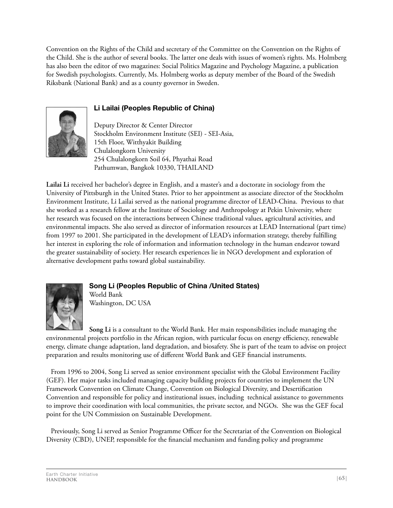Convention on the Rights of the Child and secretary of the Committee on the Convention on the Rights of the Child. She is the author of several books. The latter one deals with issues of women's rights. Ms. Holmberg has also been the editor of two magazines: Social Politics Magazine and Psychology Magazine, a publication for Swedish psychologists. Currently, Ms. Holmberg works as deputy member of the Board of the Swedish Riksbank (National Bank) and as a county governor in Sweden.

# **Li Lailai (Peoples Republic of China)**



Deputy Director & Center Director Stockholm Environment Institute (SEI) - SEI-Asia, 15th Floor, Witthyakit Building Chulalongkorn University 254 Chulalongkorn Soil 64, Phyathai Road Pathumwan, Bangkok 10330, THAILAND

**Lailai Li** received her bachelor's degree in English, and a master's and a doctorate in sociology from the University of Pittsburgh in the United States. Prior to her appointment as associate director of the Stockholm Environment Institute, Li Lailai served as the national programme director of LEAD-China. Previous to that she worked as a research fellow at the Institute of Sociology and Anthropology at Pekin University, where her research was focused on the interactions between Chinese traditional values, agricultural activities, and environmental impacts. She also served as director of information resources at LEAD International (part time) from 1997 to 2001. She participated in the development of LEAD's information strategy, thereby fulfilling her interest in exploring the role of information and information technology in the human endeavor toward the greater sustainability of society. Her research experiences lie in NGO development and exploration of alternative development paths toward global sustainability.



# **Song Li (Peoples Republic of China /United States)**

World Bank Washington, DC USA

**Song Li** is a consultant to the World Bank. Her main responsibilities include managing the environmental projects portfolio in the African region, with particular focus on energy efficiency, renewable energy, climate change adaptation, land degradation, and biosafety. She is part of the team to advise on project preparation and results monitoring use of different World Bank and GEF financial instruments.

From 1996 to 2004, Song Li served as senior environment specialist with the Global Environment Facility (GEF). Her major tasks included managing capacity building projects for countries to implement the UN Framework Convention on Climate Change, Convention on Biological Diversity, and Desertification Convention and responsible for policy and institutional issues, including technical assistance to governments to improve their coordination with local communities, the private sector, and NGOs. She was the GEF focal point for the UN Commission on Sustainable Development.

Previously, Song Li served as Senior Programme Officer for the Secretariat of the Convention on Biological Diversity (CBD), UNEP, responsible for the financial mechanism and funding policy and programme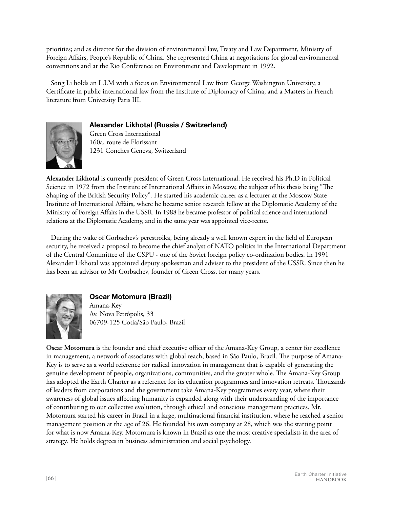priorities; and as director for the division of environmental law, Treaty and Law Department, Ministry of Foreign Affairs, People's Republic of China. She represented China at negotiations for global environmental conventions and at the Rio Conference on Environment and Development in 1992.

Song Li holds an L.LM with a focus on Environmental Law from George Washington University, a Certificate in public international law from the Institute of Diplomacy of China, and a Masters in French literature from University Paris III.



#### **Alexander Likhotal (Russia / Switzerland)**

Green Cross International 160a, route de Florissant 1231 Conches Geneva, Switzerland

**Alexander Likhotal** is currently president of Green Cross International. He received his Ph.D in Political Science in 1972 from the Institute of International Affairs in Moscow, the subject of his thesis being "The Shaping of the British Security Policy". He started his academic career as a lecturer at the Moscow State Institute of International Affairs, where he became senior research fellow at the Diplomatic Academy of the Ministry of Foreign Affairs in the USSR. In 1988 he became professor of political science and international relations at the Diplomatic Academy, and in the same year was appointed vice-rector.

During the wake of Gorbachev's perestroika, being already a well known expert in the field of European security, he received a proposal to become the chief analyst of NATO politics in the International Department of the Central Committee of the CSPU - one of the Soviet foreign policy co-ordination bodies. In 1991 Alexander Likhotal was appointed deputy spokesman and adviser to the president of the USSR. Since then he has been an advisor to Mr Gorbachev, founder of Green Cross, for many years.



# **Oscar Motomura (Brazil)**

Amana-Key Av. Nova Petrópolis, 33 06709-125 Cotia/São Paulo, Brazil

**Oscar Motomura** is the founder and chief executive officer of the Amana-Key Group, a center for excellence in management, a network of associates with global reach, based in São Paulo, Brazil. The purpose of Amana-Key is to serve as a world reference for radical innovation in management that is capable of generating the genuine development of people, organizations, communities, and the greater whole. The Amana-Key Group has adopted the Earth Charter as a reference for its education programmes and innovation retreats. Thousands of leaders from corporations and the government take Amana-Key programmes every year, where their awareness of global issues affecting humanity is expanded along with their understanding of the importance of contributing to our collective evolution, through ethical and conscious management practices. Mr. Motomura started his career in Brazil in a large, multinational financial institution, where he reached a senior management position at the age of 26. He founded his own company at 28, which was the starting point for what is now Amana-Key. Motomura is known in Brazil as one the most creative specialists in the area of strategy. He holds degrees in business administration and social psychology.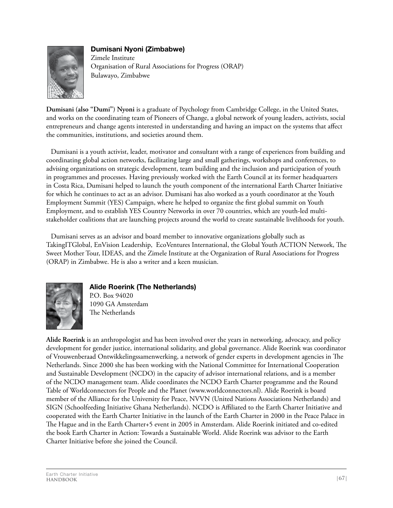

# **Dumisani Nyoni (Zimbabwe)**

Zimele Institute Organisation of Rural Associations for Progress (ORAP) Bulawayo, Zimbabwe

**Dumisani (also "Dumi") Nyoni** is a graduate of Psychology from Cambridge College, in the United States, and works on the coordinating team of Pioneers of Change, a global network of young leaders, activists, social entrepreneurs and change agents interested in understanding and having an impact on the systems that affect the communities, institutions, and societies around them.

Dumisani is a youth activist, leader, motivator and consultant with a range of experiences from building and coordinating global action networks, facilitating large and small gatherings, workshops and conferences, to advising organizations on strategic development, team building and the inclusion and participation of youth in programmes and processes. Having previously worked with the Earth Council at its former headquarters in Costa Rica, Dumisani helped to launch the youth component of the international Earth Charter Initiative for which he continues to act as an advisor. Dumisani has also worked as a youth coordinator at the Youth Employment Summit (YES) Campaign, where he helped to organize the first global summit on Youth Employment, and to establish YES Country Networks in over 70 countries, which are youth-led multistakeholder coalitions that are launching projects around the world to create sustainable livelihoods for youth.

Dumisani serves as an advisor and board member to innovative organizations globally such as TakingITGlobal, EnVision Leadership, EcoVentures International, the Global Youth ACTION Network, The Sweet Mother Tour, IDEAS, and the Zimele Institute at the Organization of Rural Associations for Progress (ORAP) in Zimbabwe. He is also a writer and a keen musician.



# **Alide Roerink (The Netherlands)**

P.O. Box 94020 1090 GA Amsterdam The Netherlands

**Alide Roerink** is an anthropologist and has been involved over the years in networking, advocacy, and policy development for gender justice, international solidarity, and global governance. Alide Roerink was coordinator of Vrouwenberaad Ontwikkelingssamenwerking, a network of gender experts in development agencies in The Netherlands. Since 2000 she has been working with the National Committee for International Cooperation and Sustainable Development (NCDO) in the capacity of advisor international relations, and is a member of the NCDO management team. Alide coordinates the NCDO Earth Charter programme and the Round Table of Worldconnectors for People and the Planet (www.worldconnectors.nl). Alide Roerink is board member of the Alliance for the University for Peace, NVVN (United Nations Associations Netherlands) and SIGN (Schoolfeeding Initiative Ghana Netherlands). NCDO is Affiliated to the Earth Charter Initiative and cooperated with the Earth Charter Initiative in the launch of the Earth Charter in 2000 in the Peace Palace in The Hague and in the Earth Charter+5 event in 2005 in Amsterdam. Alide Roerink initiated and co-edited the book Earth Charter in Action: Towards a Sustainable World. Alide Roerink was advisor to the Earth Charter Initiative before she joined the Council.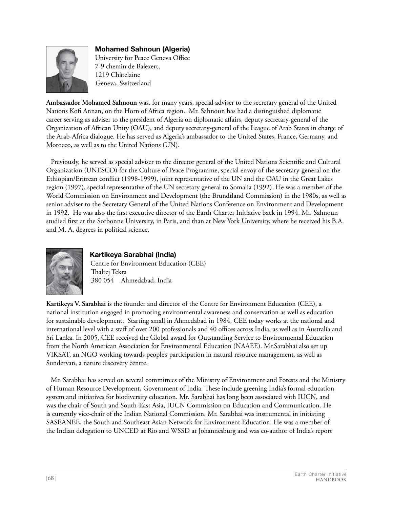

# **Mohamed Sahnoun (Algeria)**

University for Peace Geneva Office 7-9 chemin de Balexert, 1219 Châtelaine Geneva, Switzerland

**Ambassador Mohamed Sahnoun** was, for many years, special adviser to the secretary general of the United Nations Kofi Annan, on the Horn of Africa region. Mr. Sahnoun has had a distinguished diplomatic career serving as adviser to the president of Algeria on diplomatic affairs, deputy secretary-general of the Organization of African Unity (OAU), and deputy secretary-general of the League of Arab States in charge of the Arab-Africa dialogue. He has served as Algeria's ambassador to the United States, France, Germany, and Morocco, as well as to the United Nations (UN).

Previously, he served as special adviser to the director general of the United Nations Scientific and Cultural Organization (UNESCO) for the Culture of Peace Programme, special envoy of the secretary-general on the Ethiopian/Eritrean conflict (1998-1999), joint representative of the UN and the OAU in the Great Lakes region (1997), special representative of the UN secretary general to Somalia (1992). He was a member of the World Commission on Environment and Development (the Brundtland Commission) in the 1980s, as well as senior adviser to the Secretary General of the United Nations Conference on Environment and Development in 1992. He was also the first executive director of the Earth Charter Initiative back in 1994. Mr. Sahnoun studied first at the Sorbonne University, in Paris, and than at New York University, where he received his B.A. and M. A. degrees in political science.



# **Kartikeya Sarabhai (India)**

Centre for Environment Education (CEE) Thaltej Tekra 380 054 Ahmedabad, India

**Kartikeya V. Sarabhai** is the founder and director of the Centre for Environment Education (CEE), a national institution engaged in promoting environmental awareness and conservation as well as education for sustainable development. Starting small in Ahmedabad in 1984, CEE today works at the national and international level with a staff of over 200 professionals and 40 offices across India, as well as in Australia and Sri Lanka. In 2005, CEE received the Global award for Outstanding Service to Environmental Education from the North American Association for Environmental Education (NAAEE). Mr.Sarabhai also set up VIKSAT, an NGO working towards people's participation in natural resource management, as well as Sundervan, a nature discovery centre.

Mr. Sarabhai has served on several committees of the Ministry of Environment and Forests and the Ministry of Human Resource Development, Government of India. These include greening India's formal education system and initiatives for biodiversity education. Mr. Sarabhai has long been associated with IUCN, and was the chair of South and South-East Asia, IUCN Commission on Education and Communication. He is currently vice-chair of the Indian National Commission. Mr. Sarabhai was instrumental in initiating SASEANEE, the South and Southeast Asian Network for Environment Education. He was a member of the Indian delegation to UNCED at Rio and WSSD at Johannesburg and was co-author of India's report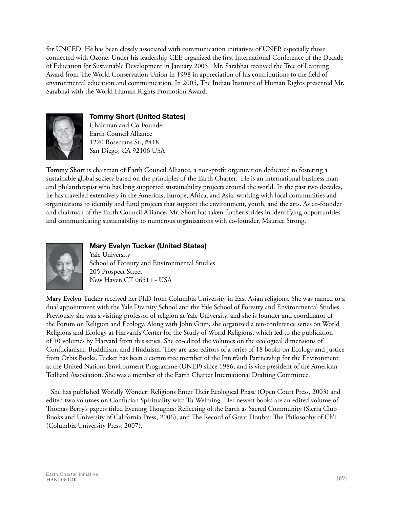for UNCED. He has been closely associated with communication initiatives of UNEP, especially those connected with Ozone. Under his leadership CEE organized the first International Conference of the Decade of Education for Sustainable Development in January 2005. Mr. Sarabhai received the Tree of Learning Award from The World Conservation Union in 1998 in appreciation of his contributions to the field of environmental education and communication. In 2005, The Indian Institute of Human Rights presented Mr. Sarabhai with the World Human Rights Promotion Award.



# **Tommy Short (United States)**

Chairman and Co-Founder Earth Council Alliance 1220 Rosecrans St., #418 San Diego, CA 92106 USA

**Tommy Short** is chairman of Earth Council Alliance, a non-profit organization dedicated to fostering a sustainable global society based on the principles of the Earth Charter. He is an international business man and philanthropist who has long supported sustainability projects around the world. In the past two decades, he has travelled extensively in the Americas, Europe, Africa, and Asia, working with local communities and organizations to identify and fund projects that support the environment, youth, and the arts. As co-founder and chairman of the Earth Council Alliance, Mr. Short has taken further strides in identifying opportunities and communicating sustainability to numerous organizations with co-founder, Maurice Strong.



# **Mary Evelyn Tucker (United States)**

Yale University School of Forestry and Environmental Studies 205 Prospect Street New Haven CT 06511 - USA

**Mary Evelyn Tucker** received her PhD from Columbia University in East Asian religions. She was named to a dual appointment with the Yale Divinity School and the Yale School of Forestry and Environmental Studies. Previously she was a visiting professor of religion at Yale University, and she is founder and coordinator of the Forum on Religion and Ecology. Along with John Grim, she organized a ten-conference series on World Religions and Ecology at Harvard's Center for the Study of World Religions, which led to the publication of 10 volumes by Harvard from this series. She co-edited the volumes on the ecological dimensions of Confucianism, Buddhism, and Hinduism. They are also editors of a series of 18 books on Ecology and Justice from Orbis Books. Tucker has been a committee member of the Interfaith Partnership for the Environment at the United Nations Environment Programme (UNEP) since 1986, and is vice president of the American Teilhard Association. She was a member of the Earth Charter International Drafting Committee.

She has published Worldly Wonder: Religions Enter Their Ecological Phase (Open Court Press, 2003) and edited two volumes on Confucian Spirituality with Tu Weiming. Her newest books are an edited volume of Thomas Berry's papers titled Evening Thoughts: Reflecting of the Earth as Sacred Community (Sierra Club Books and University of California Press, 2006), and The Record of Great Doubts: The Philosophy of Ch'i (Columbia University Press, 2007).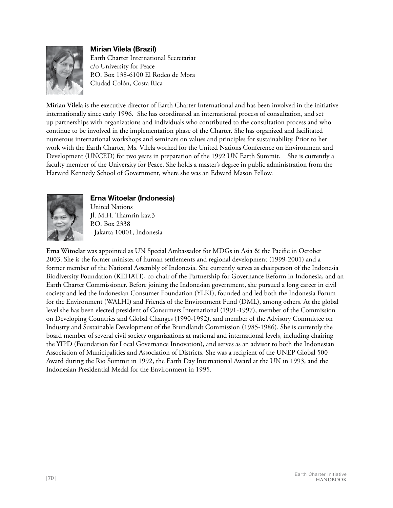

#### **Mirian Vilela (Brazil)**

Earth Charter International Secretariat c/o University for Peace P.O. Box 138-6100 El Rodeo de Mora Ciudad Colón, Costa Rica

**Mirian Vilela** is the executive director of Earth Charter International and has been involved in the initiative internationally since early 1996. She has coordinated an international process of consultation, and set up partnerships with organizations and individuals who contributed to the consultation process and who continue to be involved in the implementation phase of the Charter. She has organized and facilitated numerous international workshops and seminars on values and principles for sustainability. Prior to her work with the Earth Charter, Ms. Vilela worked for the United Nations Conference on Environment and Development (UNCED) for two years in preparation of the 1992 UN Earth Summit. She is currently a faculty member of the University for Peace. She holds a master's degree in public administration from the Harvard Kennedy School of Government, where she was an Edward Mason Fellow.



# **Erna Witoelar (Indonesia)**

United Nations Jl. M.H. Thamrin kav.3 P.O. Box 2338 - Jakarta 10001, Indonesia

**Erna Witoelar** was appointed as UN Special Ambassador for MDGs in Asia & the Pacific in October 2003. She is the former minister of human settlements and regional development (1999-2001) and a former member of the National Assembly of Indonesia. She currently serves as chairperson of the Indonesia Biodiversity Foundation (KEHATI), co-chair of the Partnership for Governance Reform in Indonesia, and an Earth Charter Commissioner. Before joining the Indonesian government, she pursued a long career in civil society and led the Indonesian Consumer Foundation (YLKI), founded and led both the Indonesia Forum for the Environment (WALHI) and Friends of the Environment Fund (DML), among others. At the global level she has been elected president of Consumers International (1991-1997), member of the Commission on Developing Countries and Global Changes (1990-1992), and member of the Advisory Committee on Industry and Sustainable Development of the Brundlandt Commission (1985-1986). She is currently the board member of several civil society organizations at national and international levels, including chairing the YIPD (Foundation for Local Governance Innovation), and serves as an advisor to both the Indonesian Association of Municipalities and Association of Districts. She was a recipient of the UNEP Global 500 Award during the Rio Summit in 1992, the Earth Day International Award at the UN in 1993, and the Indonesian Presidential Medal for the Environment in 1995.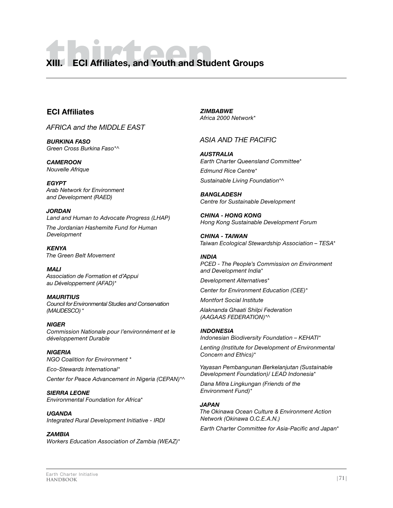# **thirteen XIII. ECI Affiliates, and Youth and Student Groups**

# **ECI Affiliates**

*AFRICA and the MIDDLE EAST* 

*BURKINA FASO Green Cross Burkina Faso\*^*

*CAMEROON Nouvelle Afrique* 

*EGYPT Arab Network for Environment and Development (RAED)*

*JORDAN Land and Human to Advocate Progress (LHAP)*

*The Jordanian Hashemite Fund for Human Development*

*KENYA The Green Belt Movement* 

*MALI Association de Formation et d'Appui au Développement (AFAD)\**

*MAURITIUS Council for Environmental Studies and Conservation (MAUDESCO) \**

*NIGER Commission Nationale pour l'environnément et le développement Durable*

*NIGERIA NGO Coalition for Environment \**

*Eco-Stewards International\**

*Center for Peace Advancement in Nigeria (CEPAN)\*^*

*SIERRA LEONE Environmental Foundation for Africa\**

*UGANDA Integrated Rural Development Initiative - IRDI*

*ZAMBIA*

*Workers Education Association of Zambia (WEAZ)\**

*ZIMBABWE Africa 2000 Network\**

#### *ASIA AND THE PACIFIC*

*AUSTRALIA Earth Charter Queensland Committee\* Edmund Rice Centre\* Sustainable Living Foundation\*^*

*BANGLADESH Centre for Sustainable Development*

*CHINA - HONG KONG Hong Kong Sustainable Development Forum*

*CHINA - TAIWAN Taiwan Ecological Stewardship Association – TESA\**

*INDIA PCED - The People's Commission on Environment and Development India\**

*Development Alternatives\**

*Center for Environment Education (CEE)\**

*Montfort Social Institute*

*Alaknanda Ghaati Shilpi Federation (AAGAAS FEDERATION)\*^*

#### *INDONESIA*

*Indonesian Biodiversity Foundation – KEHATI\**

*Lenting (Institute for Development of Environmental Concern and Ethics)\**

*Yayasan Pembangunan Berkelanjutan (Sustainable Development Foundation)/ LEAD Indonesia\**

*Dana Mitra Lingkungan (Friends of the Environment Fund)\**

#### *JAPAN*

*The Okinawa Ocean Culture & Environment Action Network (Okinawa O.C.E.A.N.) Earth Charter Committee for Asia-Pacific and Japan\**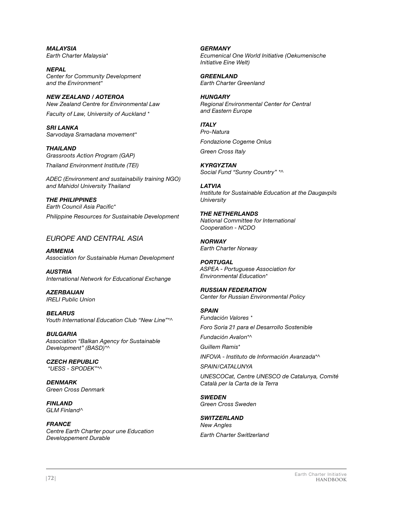*MALAYSIA Earth Charter Malaysia\**

*NEPAL Center for Community Development and the Environment\**

*NEW ZEALAND / AOTEROA New Zealand Centre for Environmental Law Faculty of Law, University of Auckland \**

*SRI LANKA Sarvodaya Sramadana movement\**

*THAILAND Grassroots Action Program (GAP)*

*Thailand Environment Institute (TEI)*

*ADEC (Environment and sustainabiliy training NGO) and Mahidol University Thailand*

*THE PHILIPPINES Earth Council Asia Pacific\**

*Philippine Resources for Sustainable Development*

# *EUROPE AND CENTRAL ASIA*

*ARMENIA Association for Sustainable Human Development*

*AUSTRIA International Network for Educational Exchange*

*AZERBAIJAN IRELI Public Union*

*BELARUS Youth International Education Club "New Line"\*^*

*BULGARIA Association "Balkan Agency for Sustainable Development" (BASD)\*^*

*CZECH REPUBLIC "UESS - SPODEK"\*^*

*DENMARK Green Cross Denmark*

*FINLAND GLM Finland^*

*FRANCE Centre Earth Charter pour une Education Developpement Durable*

*GERMANY Ecumenical One World Initiative (Oekumenische Initiative Eine Welt)*

*GREENLAND Earth Charter Greenland*

*HUNGARY Regional Environmental Center for Central and Eastern Europe*

*ITALY Pro-Natura* 

*Fondazione Cogeme Onlus*

*Green Cross Italy* 

*KYRGYZTAN Social Fund "Sunny Country" \*^*

*LATVIA Institute for Sustainable Education at the Daugavpils University*

*THE NETHERLANDS National Committee for International Cooperation - NCDO* 

*NORWAY Earth Charter Norway*

*PORTUGAL ASPEA - Portuguese Association for Environmental Education\**

*RUSSIAN FEDERATION Center for Russian Environmental Policy*

# *SPAIN*

*Fundación Valores \**

*Foro Soria 21 para el Desarrollo Sostenible*

*Fundación Avalon\*^*

*Guillem Ramis\* INFOVA - Instituto de Información Avanzada\*^*

*SPAIN/CATALUNYA*

*UNESCOCat, Centre UNESCO de Catalunya, Comité Català per la Carta de la Terra*

*SWEDEN Green Cross Sweden* 

*SWITZERLAND New Angles Earth Charter Switlzerland*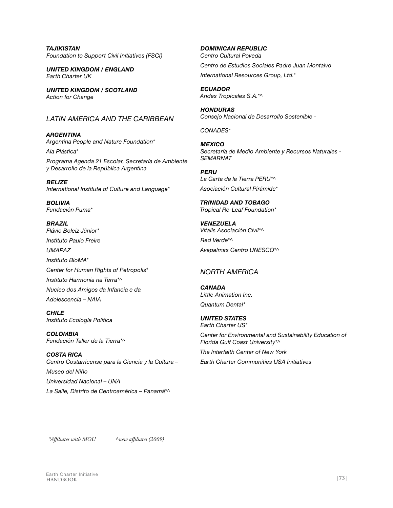*TAJIKISTAN Foundation to Support Civil Initiatives (FSCI)*

*UNITED KINGDOM / ENGLAND Earth Charter UK*

*UNITED KINGDOM / SCOTLAND Action for Change*

#### *LATIN AMERICA AND THE CARIBBEAN*

*ARGENTINA Argentina People and Nature Foundation\**

*Ala Plástica\**

*Programa Agenda 21 Escolar, Secretaría de Ambiente y Desarrollo de la República Argentina*

*BELIZE International Institute of Culture and Language\**

*BOLIVIA Fundación Puma\**

*BRAZIL Flávio Boleiz Júnior\* Instituto Paulo Freire UMAPAZ*

*Instituto BioMA\* Center for Human Rights of Petropolis\* Instituto Harmonia na Terra\*^ Nucleo dos Amigos da Infancia e da Adolescencia – NAIA*

*CHILE Instituto Ecología Política*

*COLOMBIA Fundación Taller de la Tierra\*^*

*COSTA RICA Centro Costarricense para la Ciencia y la Cultura – Museo del Niño Universidad Nacional – UNA La Salle, Distrito de Centroamérica – Panamá\*^*

*DOMINICAN REPUBLIC Centro Cultural Poveda Centro de Estudios Sociales Padre Juan Montalvo International Resources Group, Ltd.\**

*ECUADOR Andes Tropicales S.A.\*^*

*HONDURAS Consejo Nacional de Desarrollo Sostenible -* 

*CONADES\**

*MEXICO Secretaría de Medio Ambiente y Recursos Naturales - SEMARNAT*

*PERU La Carta de la Tierra PERU\*^ Asociación Cultural Pirámide\**

*TRINIDAD AND TOBAGO Tropical Re-Leaf Foundation\**

*VENEZUELA Vitalis Asociación Civil\*^ Red Verde\*^ Avepalmas Centro UNESCO\*^*

# *NORTH AMERICA*

*CANADA Little Animation Inc. Quantum Dental\**

*UNITED STATES Earth Charter US\* Center for Environmental and Sustainability Education of Florida Gulf Coast University\*^*

*The Interfaith Center of New York Earth Charter Communities USA Initiatives*

*\*Affiliates with MOU ^new affiliates (2009)*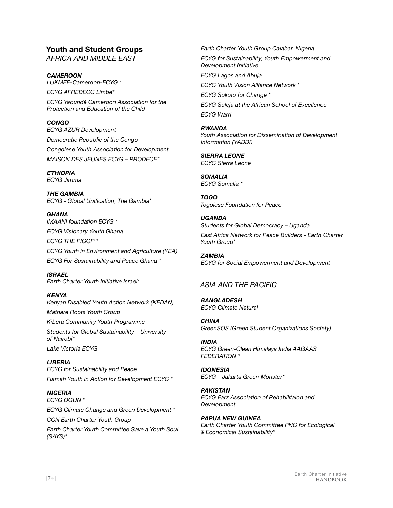# **Youth and Student Groups**

*AFRICA AND MIDDLE EAST*

*CAMEROON LUKMEF-Cameroon-ECYG \**

*ECYG AFREDECC Limbe\**

*ECYG Yaoundé Cameroon Association for the Protection and Education of the Child*

*CONGO ECYG AZUR Development Democratic Republic of the Congo Congolese Youth Association for Development MAISON DES JEUNES ECYG – PRODECE\**

*ETHIOPIA ECYG Jimma*

*THE GAMBIA ECYG - Global Unification, The Gambia\**

*GHANA IMAANI foundation ECYG \**

*ECYG Visionary Youth Ghana*

*ECYG THE PIGOP \**

*ECYG Youth in Environment and Agriculture (YEA) ECYG For Sustainability and Peace Ghana \**

*ISRAEL Earth Charter Youth Initiative Israel\**

*KENYA*

*Kenyan Disabled Youth Action Network (KEDAN) Mathare Roots Youth Group*

*Kibera Community Youth Programme*

*Students for Global Sustainability – University of Nairobi\**

*Lake Victoria ECYG*

*LIBERIA ECYG for Sustainability and Peace Fiamah Youth in Action for Development ECYG \**

*NIGERIA ECYG OGUN \* ECYG Climate Change and Green Development \* CCN Earth Charter Youth Group*

*Earth Charter Youth Committee Save a Youth Soul (SAYS)\**

*Earth Charter Youth Group Calabar, Nigeria*

*ECYG for Sustainability, Youth Empowerment and Development Initiative*

*ECYG Lagos and Abuja*

*ECYG Youth Vision Alliance Network \**

*ECYG Sokoto for Change \**

*ECYG Suleja at the African School of Excellence ECYG Warri*

*RWANDA Youth Association for Dissemination of Development Information (YADDI)*

*SIERRA LEONE ECYG Sierra Leone*

*SOMALIA ECYG Somalia \**

*TOGO Togolese Foundation for Peace*

*UGANDA Students for Global Democracy – Uganda* 

*East Africa Network for Peace Builders - Earth Charter Youth Group\**

*ZAMBIA ECYG for Social Empowerment and Development*

# *ASIA AND THE PACIFIC*

*BANGLADESH ECYG Climate Natural*

*CHINA GreenSOS (Green Student Organizations Society)*

#### *INDIA*

*ECYG Green-Clean Himalaya India AAGAAS FEDERATION \**

*IDONESIA ECYG – Jakarta Green Monster\**

*PAKISTAN ECYG Farz Association of Rehabilitaion and Development*

*PAPUA NEW GUINEA Earth Charter Youth Committee PNG for Ecological & Economical Sustainability\**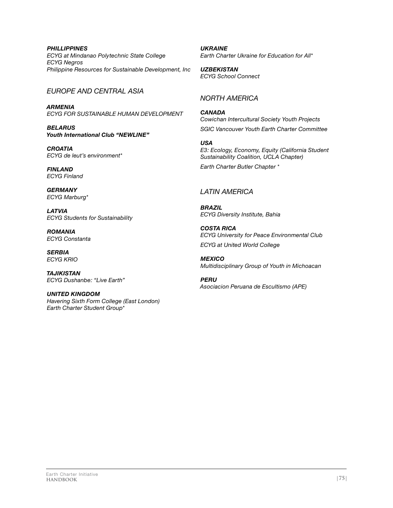*PHILLIPPINES ECYG at Mindanao Polytechnic State College ECYG Negros Philippine Resources for Sustainable Development, Inc* 

# *EUROPE AND CENTRAL ASIA*

*ARMENIA ECYG FOR SUSTAINABLE HUMAN DEVELOPMENT*

*BELARUS Youth International Club "NEWLINE"*

*CROATIA ECYG de leut's environment\**

*FINLAND ECYG Finland*

*GERMANY ECYG Marburg\**

*LATVIA ECYG Students for Sustainability*

*ROMANIA ECYG Constanta*

*SERBIA ECYG KRIO*

*TAJIKISTAN ECYG Dushanbe: "Live Earth"*

*UNITED KINGDOM Havering Sixth Form College (East London) Earth Charter Student Group\**

*UKRAINE Earth Charter Ukraine for Education for All\**

*UZBEKISTAN ECYG School Connect* 

# *NORTH AMERICA*

*CANADA Cowichan Intercultural Society Youth Projects SGIC Vancouver Youth Earth Charter Committee*

*USA E3: Ecology, Economy, Equity (California Student Sustainability Coalition, UCLA Chapter)*

*Earth Charter Butler Chapter \**

# *LATIN AMERICA*

*BRAZIL ECYG Diversity Institute, Bahia*

*COSTA RICA ECYG University for Peace Environmental Club ECYG at United World College*

*MEXICO Multidisciplinary Group of Youth in Michoacan*

*PERU Asociacion Peruana de Escultismo (APE)*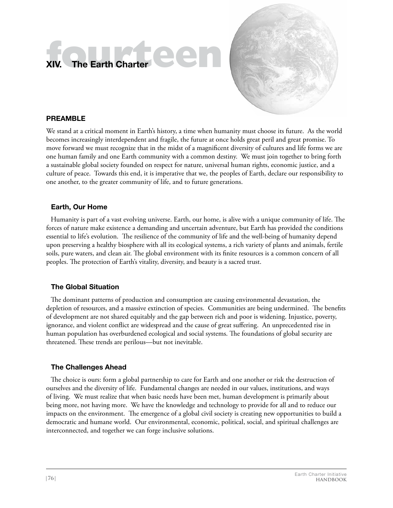# **fourteen fourter fourter**



# **PREAMBLE**

We stand at a critical moment in Earth's history, a time when humanity must choose its future. As the world becomes increasingly interdependent and fragile, the future at once holds great peril and great promise. To move forward we must recognize that in the midst of a magnificent diversity of cultures and life forms we are one human family and one Earth community with a common destiny. We must join together to bring forth a sustainable global society founded on respect for nature, universal human rights, economic justice, and a culture of peace. Towards this end, it is imperative that we, the peoples of Earth, declare our responsibility to one another, to the greater community of life, and to future generations.

# **Earth, Our Home**

Humanity is part of a vast evolving universe. Earth, our home, is alive with a unique community of life. The forces of nature make existence a demanding and uncertain adventure, but Earth has provided the conditions essential to life's evolution. The resilience of the community of life and the well-being of humanity depend upon preserving a healthy biosphere with all its ecological systems, a rich variety of plants and animals, fertile soils, pure waters, and clean air. The global environment with its finite resources is a common concern of all peoples. The protection of Earth's vitality, diversity, and beauty is a sacred trust.

# **The Global Situation**

The dominant patterns of production and consumption are causing environmental devastation, the depletion of resources, and a massive extinction of species. Communities are being undermined. The benefits of development are not shared equitably and the gap between rich and poor is widening. Injustice, poverty, ignorance, and violent conflict are widespread and the cause of great suffering. An unprecedented rise in human population has overburdened ecological and social systems. The foundations of global security are threatened. These trends are perilous—but not inevitable.

# **The Challenges Ahead**

The choice is ours: form a global partnership to care for Earth and one another or risk the destruction of ourselves and the diversity of life. Fundamental changes are needed in our values, institutions, and ways of living. We must realize that when basic needs have been met, human development is primarily about being more, not having more. We have the knowledge and technology to provide for all and to reduce our impacts on the environment. The emergence of a global civil society is creating new opportunities to build a democratic and humane world. Our environmental, economic, political, social, and spiritual challenges are interconnected, and together we can forge inclusive solutions.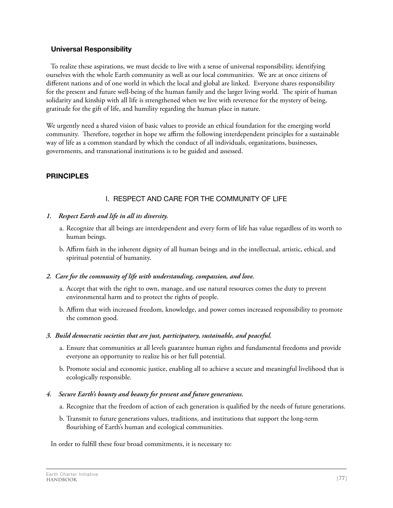## **Universal Responsibility**

To realize these aspirations, we must decide to live with a sense of universal responsibility, identifying ourselves with the whole Earth community as well as our local communities. We are at once citizens of different nations and of one world in which the local and global are linked. Everyone shares responsibility for the present and future well-being of the human family and the larger living world. The spirit of human solidarity and kinship with all life is strengthened when we live with reverence for the mystery of being, gratitude for the gift of life, and humility regarding the human place in nature.

We urgently need a shared vision of basic values to provide an ethical foundation for the emerging world community. Therefore, together in hope we affirm the following interdependent principles for a sustainable way of life as a common standard by which the conduct of all individuals, organizations, businesses, governments, and transnational institutions is to be guided and assessed.

# **PRINCIPLES**

# I. RESPECT AND CARE FOR THE COMMUNITY OF LIFE

- *1. Respect Earth and life in all its diversity.* 
	- a. Recognize that all beings are interdependent and every form of life has value regardless of its worth to human beings.
	- b. Affirm faith in the inherent dignity of all human beings and in the intellectual, artistic, ethical, and spiritual potential of humanity.

## *2. Care for the community of life with understanding, compassion, and love.*

- a. Accept that with the right to own, manage, and use natural resources comes the duty to prevent environmental harm and to protect the rights of people.
- b. Affirm that with increased freedom, knowledge, and power comes increased responsibility to promote the common good.

#### *3. Build democratic societies that are just, participatory, sustainable, and peaceful.*

- a. Ensure that communities at all levels guarantee human rights and fundamental freedoms and provide everyone an opportunity to realize his or her full potential.
- b. Promote social and economic justice, enabling all to achieve a secure and meaningful livelihood that is ecologically responsible.

#### *4. Secure Earth's bounty and beauty for present and future generations.*

- a. Recognize that the freedom of action of each generation is qualified by the needs of future generations.
- b. Transmit to future generations values, traditions, and institutions that support the long-term flourishing of Earth's human and ecological communities.

In order to fulfill these four broad commitments, it is necessary to: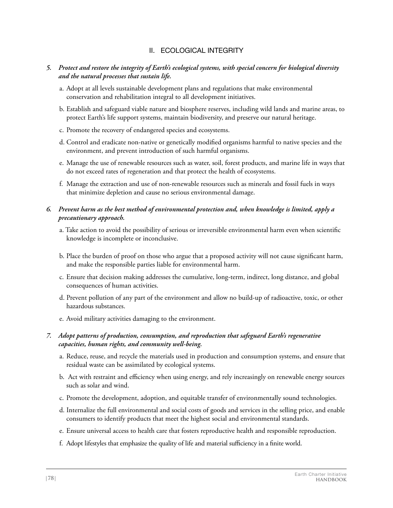## II. ECOLOGICAL INTEGRITY

## *5. Protect and restore the integrity of Earth's ecological systems, with special concern for biological diversity and the natural processes that sustain life.*

- a. Adopt at all levels sustainable development plans and regulations that make environmental conservation and rehabilitation integral to all development initiatives.
- b. Establish and safeguard viable nature and biosphere reserves, including wild lands and marine areas, to protect Earth's life support systems, maintain biodiversity, and preserve our natural heritage.
- c. Promote the recovery of endangered species and ecosystems.
- d. Control and eradicate non-native or genetically modified organisms harmful to native species and the environment, and prevent introduction of such harmful organisms.
- e. Manage the use of renewable resources such as water, soil, forest products, and marine life in ways that do not exceed rates of regeneration and that protect the health of ecosystems.
- f. Manage the extraction and use of non-renewable resources such as minerals and fossil fuels in ways that minimize depletion and cause no serious environmental damage.

## *6. Prevent harm as the best method of environmental protection and, when knowledge is limited, apply a precautionary approach.*

- a. Take action to avoid the possibility of serious or irreversible environmental harm even when scientific knowledge is incomplete or inconclusive.
- b. Place the burden of proof on those who argue that a proposed activity will not cause significant harm, and make the responsible parties liable for environmental harm.
- c. Ensure that decision making addresses the cumulative, long-term, indirect, long distance, and global consequences of human activities.
- d. Prevent pollution of any part of the environment and allow no build-up of radioactive, toxic, or other hazardous substances.
- e. Avoid military activities damaging to the environment.

## *7. Adopt patterns of production, consumption, and reproduction that safeguard Earth's regenerative capacities, human rights, and community well-being.*

- a. Reduce, reuse, and recycle the materials used in production and consumption systems, and ensure that residual waste can be assimilated by ecological systems.
- b. Act with restraint and efficiency when using energy, and rely increasingly on renewable energy sources such as solar and wind.
- c. Promote the development, adoption, and equitable transfer of environmentally sound technologies.
- d. Internalize the full environmental and social costs of goods and services in the selling price, and enable consumers to identify products that meet the highest social and environmental standards.
- e. Ensure universal access to health care that fosters reproductive health and responsible reproduction.
- f. Adopt lifestyles that emphasize the quality of life and material sufficiency in a finite world.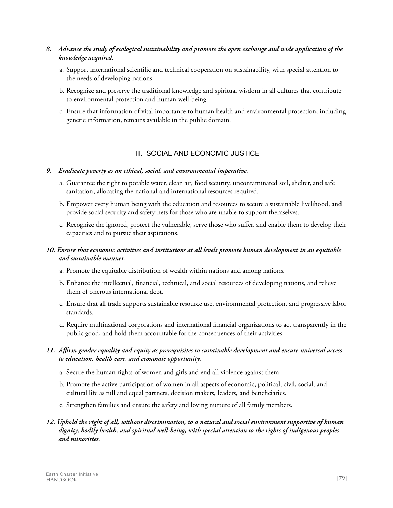- *8. Advance the study of ecological sustainability and promote the open exchange and wide application of the knowledge acquired.* 
	- a. Support international scientific and technical cooperation on sustainability, with special attention to the needs of developing nations.
	- b. Recognize and preserve the traditional knowledge and spiritual wisdom in all cultures that contribute to environmental protection and human well-being.
	- c. Ensure that information of vital importance to human health and environmental protection, including genetic information, remains available in the public domain.

# III. SOCIAL AND ECONOMIC JUSTICE

## *9. Eradicate poverty as an ethical, social, and environmental imperative.*

- a. Guarantee the right to potable water, clean air, food security, uncontaminated soil, shelter, and safe sanitation, allocating the national and international resources required.
- b. Empower every human being with the education and resources to secure a sustainable livelihood, and provide social security and safety nets for those who are unable to support themselves.
- c. Recognize the ignored, protect the vulnerable, serve those who suffer, and enable them to develop their capacities and to pursue their aspirations.

## *10. Ensure that economic activities and institutions at all levels promote human development in an equitable and sustainable manner.*

- a. Promote the equitable distribution of wealth within nations and among nations.
- b. Enhance the intellectual, financial, technical, and social resources of developing nations, and relieve them of onerous international debt.
- c. Ensure that all trade supports sustainable resource use, environmental protection, and progressive labor standards.
- d. Require multinational corporations and international financial organizations to act transparently in the public good, and hold them accountable for the consequences of their activities.

## *11. Affirm gender equality and equity as prerequisites to sustainable development and ensure universal access to education, health care, and economic opportunity.*

- a. Secure the human rights of women and girls and end all violence against them.
- b. Promote the active participation of women in all aspects of economic, political, civil, social, and cultural life as full and equal partners, decision makers, leaders, and beneficiaries.
- c. Strengthen families and ensure the safety and loving nurture of all family members.
- *12. Uphold the right of all, without discrimination, to a natural and social environment supportive of human dignity, bodily health, and spiritual well-being, with special attention to the rights of indigenous peoples and minorities.*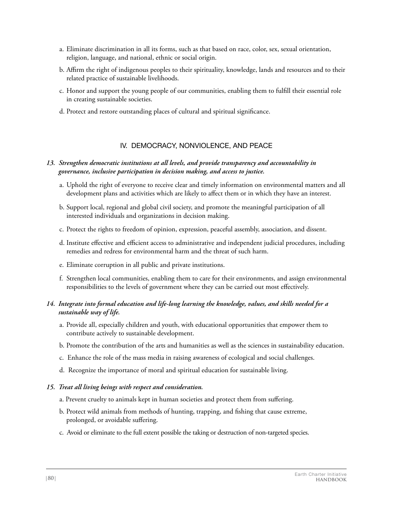- a. Eliminate discrimination in all its forms, such as that based on race, color, sex, sexual orientation, religion, language, and national, ethnic or social origin.
- b. Affirm the right of indigenous peoples to their spirituality, knowledge, lands and resources and to their related practice of sustainable livelihoods.
- c. Honor and support the young people of our communities, enabling them to fulfill their essential role in creating sustainable societies.
- d. Protect and restore outstanding places of cultural and spiritual significance.

## IV. DEMOCRACY, NONVIOLENCE, AND PEACE

## *13. Strengthen democratic institutions at all levels, and provide transparency and accountability in governance, inclusive participation in decision making, and access to justice.*

- a. Uphold the right of everyone to receive clear and timely information on environmental matters and all development plans and activities which are likely to affect them or in which they have an interest.
- b. Support local, regional and global civil society, and promote the meaningful participation of all interested individuals and organizations in decision making.
- c. Protect the rights to freedom of opinion, expression, peaceful assembly, association, and dissent.
- d. Institute effective and efficient access to administrative and independent judicial procedures, including remedies and redress for environmental harm and the threat of such harm.
- e. Eliminate corruption in all public and private institutions.
- f. Strengthen local communities, enabling them to care for their environments, and assign environmental responsibilities to the levels of government where they can be carried out most effectively.

## *14. Integrate into formal education and life-long learning the knowledge, values, and skills needed for a sustainable way of life.*

- a. Provide all, especially children and youth, with educational opportunities that empower them to contribute actively to sustainable development.
- b. Promote the contribution of the arts and humanities as well as the sciences in sustainability education.
- c. Enhance the role of the mass media in raising awareness of ecological and social challenges.
- d. Recognize the importance of moral and spiritual education for sustainable living.

## *15. Treat all living beings with respect and consideration.*

- a. Prevent cruelty to animals kept in human societies and protect them from suffering.
- b. Protect wild animals from methods of hunting, trapping, and fishing that cause extreme, prolonged, or avoidable suffering.
- c. Avoid or eliminate to the full extent possible the taking or destruction of non-targeted species.